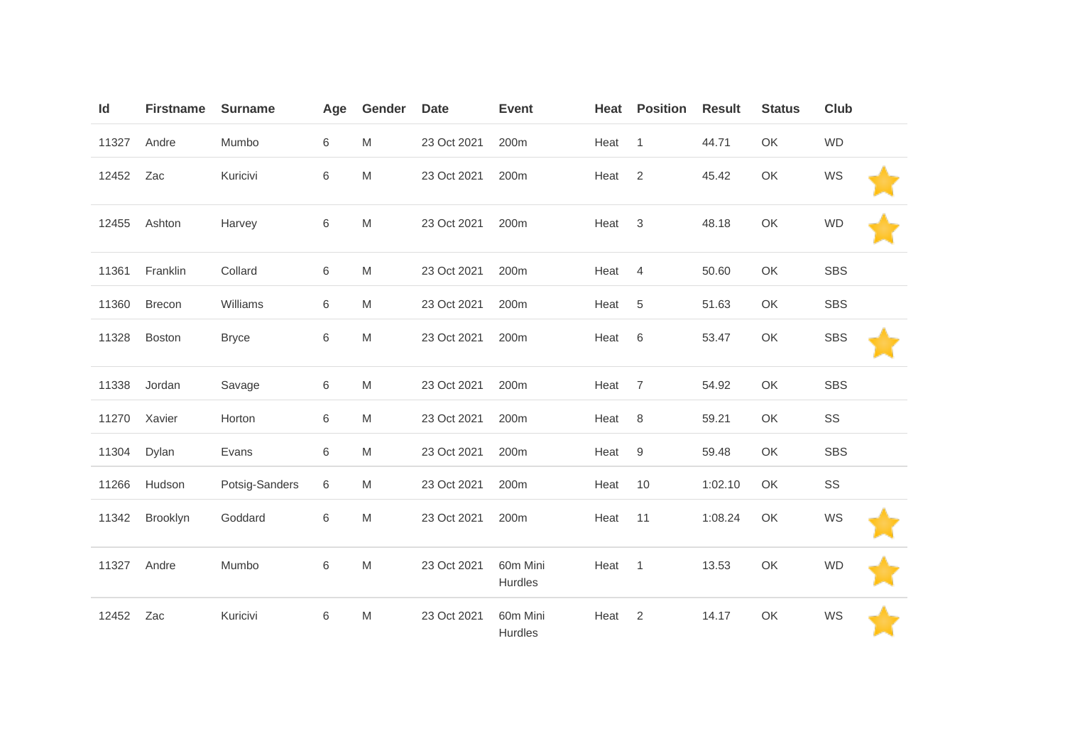| Id    | <b>Firstname</b> | <b>Surname</b> | Age | Gender    | <b>Date</b> | <b>Event</b>        | Heat | <b>Position</b> | <b>Result</b> | <b>Status</b> | <b>Club</b> |
|-------|------------------|----------------|-----|-----------|-------------|---------------------|------|-----------------|---------------|---------------|-------------|
| 11327 | Andre            | Mumbo          | 6   | M         | 23 Oct 2021 | 200m                | Heat | $\mathbf{1}$    | 44.71         | OK            | <b>WD</b>   |
| 12452 | Zac              | Kuricivi       | 6   | ${\sf M}$ | 23 Oct 2021 | 200m                | Heat | $\overline{2}$  | 45.42         | OK            | WS          |
| 12455 | Ashton           | Harvey         | 6   | M         | 23 Oct 2021 | 200m                | Heat | 3               | 48.18         | OK            | <b>WD</b>   |
| 11361 | Franklin         | Collard        | 6   | M         | 23 Oct 2021 | 200m                | Heat | 4               | 50.60         | OK            | <b>SBS</b>  |
| 11360 | <b>Brecon</b>    | Williams       | 6   | M         | 23 Oct 2021 | 200m                | Heat | $\,$ 5 $\,$     | 51.63         | OK            | <b>SBS</b>  |
| 11328 | <b>Boston</b>    | <b>Bryce</b>   | 6   | M         | 23 Oct 2021 | 200 <sub>m</sub>    | Heat | 6               | 53.47         | OK            | <b>SBS</b>  |
| 11338 | Jordan           | Savage         | 6   | M         | 23 Oct 2021 | 200m                | Heat | 7               | 54.92         | OK            | SBS         |
| 11270 | Xavier           | Horton         | 6   | M         | 23 Oct 2021 | 200m                | Heat | 8               | 59.21         | OK            | SS          |
| 11304 | Dylan            | Evans          | 6   | M         | 23 Oct 2021 | 200m                | Heat | 9               | 59.48         | OK            | <b>SBS</b>  |
| 11266 | Hudson           | Potsig-Sanders | 6   | M         | 23 Oct 2021 | 200m                | Heat | 10              | 1:02.10       | OK            | SS          |
| 11342 | Brooklyn         | Goddard        | 6   | M         | 23 Oct 2021 | 200m                | Heat | 11              | 1:08.24       | OK            | WS          |
| 11327 | Andre            | Mumbo          | 6   | M         | 23 Oct 2021 | 60m Mini<br>Hurdles | Heat | $\overline{1}$  | 13.53         | OK            | <b>WD</b>   |
| 12452 | Zac              | Kuricivi       | 6   | ${\sf M}$ | 23 Oct 2021 | 60m Mini<br>Hurdles | Heat | 2               | 14.17         | OK            | WS          |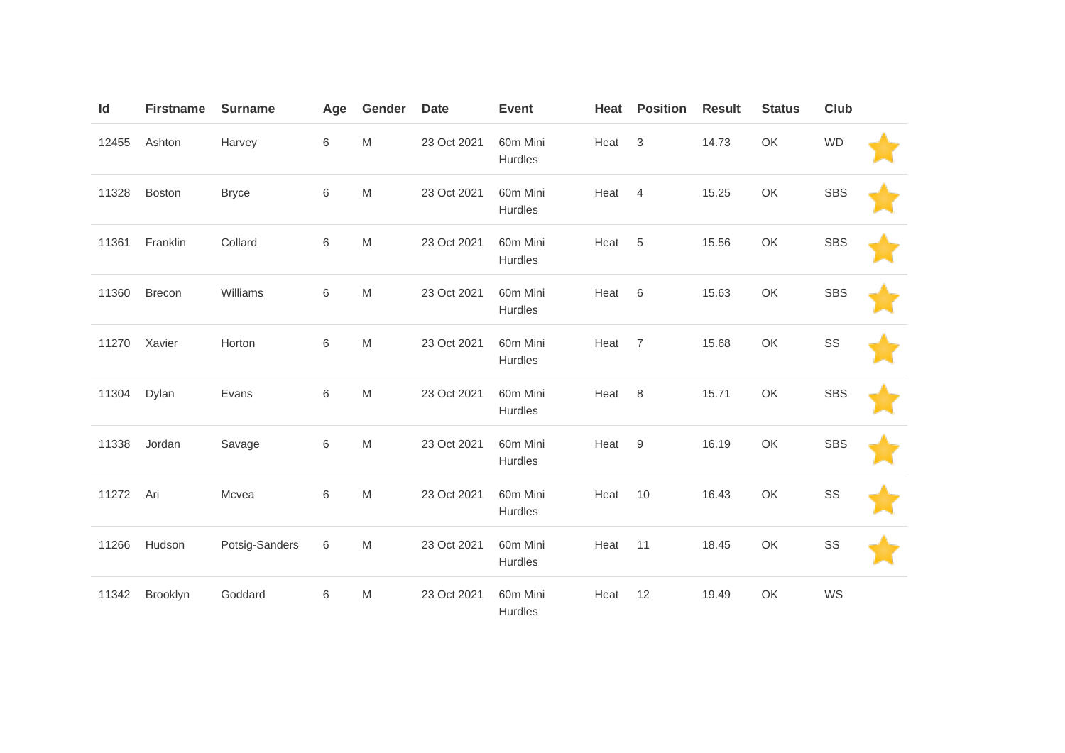| Id    | <b>Firstname</b> | <b>Surname</b> | Age         | Gender                                                                                                     | <b>Date</b> | <b>Event</b>        | Heat | <b>Position</b> | <b>Result</b> | <b>Status</b> | <b>Club</b> |  |
|-------|------------------|----------------|-------------|------------------------------------------------------------------------------------------------------------|-------------|---------------------|------|-----------------|---------------|---------------|-------------|--|
| 12455 | Ashton           | Harvey         | 6           | M                                                                                                          | 23 Oct 2021 | 60m Mini<br>Hurdles | Heat | 3               | 14.73         | OK            | <b>WD</b>   |  |
| 11328 | <b>Boston</b>    | <b>Bryce</b>   | $\,$ 6 $\,$ | M                                                                                                          | 23 Oct 2021 | 60m Mini<br>Hurdles | Heat | $\overline{4}$  | 15.25         | OK            | <b>SBS</b>  |  |
| 11361 | Franklin         | Collard        | 6           | M                                                                                                          | 23 Oct 2021 | 60m Mini<br>Hurdles | Heat | 5               | 15.56         | OK            | <b>SBS</b>  |  |
| 11360 | <b>Brecon</b>    | Williams       | 6           | M                                                                                                          | 23 Oct 2021 | 60m Mini<br>Hurdles | Heat | 6               | 15.63         | OK            | <b>SBS</b>  |  |
| 11270 | Xavier           | Horton         | 6           | M                                                                                                          | 23 Oct 2021 | 60m Mini<br>Hurdles | Heat | $\overline{7}$  | 15.68         | OK            | SS          |  |
| 11304 | Dylan            | Evans          | $\,$ 6 $\,$ | M                                                                                                          | 23 Oct 2021 | 60m Mini<br>Hurdles | Heat | 8               | 15.71         | OK            | <b>SBS</b>  |  |
| 11338 | Jordan           | Savage         | 6           | M                                                                                                          | 23 Oct 2021 | 60m Mini<br>Hurdles | Heat | 9               | 16.19         | OK            | <b>SBS</b>  |  |
| 11272 | Ari              | Mcvea          | 6           | $\mathsf{M}% _{T}=\mathsf{M}_{T}\!\left( a,b\right) ,\ \mathsf{M}_{T}=\mathsf{M}_{T}\!\left( a,b\right) ,$ | 23 Oct 2021 | 60m Mini<br>Hurdles | Heat | 10              | 16.43         | OK            | SS          |  |
| 11266 | Hudson           | Potsig-Sanders | 6           | $\mathsf{M}% _{T}=\mathsf{M}_{T}\!\left( a,b\right) ,\ \mathsf{M}_{T}=\mathsf{M}_{T}\!\left( a,b\right) ,$ | 23 Oct 2021 | 60m Mini<br>Hurdles | Heat | 11              | 18.45         | OK            | SS          |  |
| 11342 | Brooklyn         | Goddard        | 6           | M                                                                                                          | 23 Oct 2021 | 60m Mini<br>Hurdles | Heat | 12              | 19.49         | OK            | WS          |  |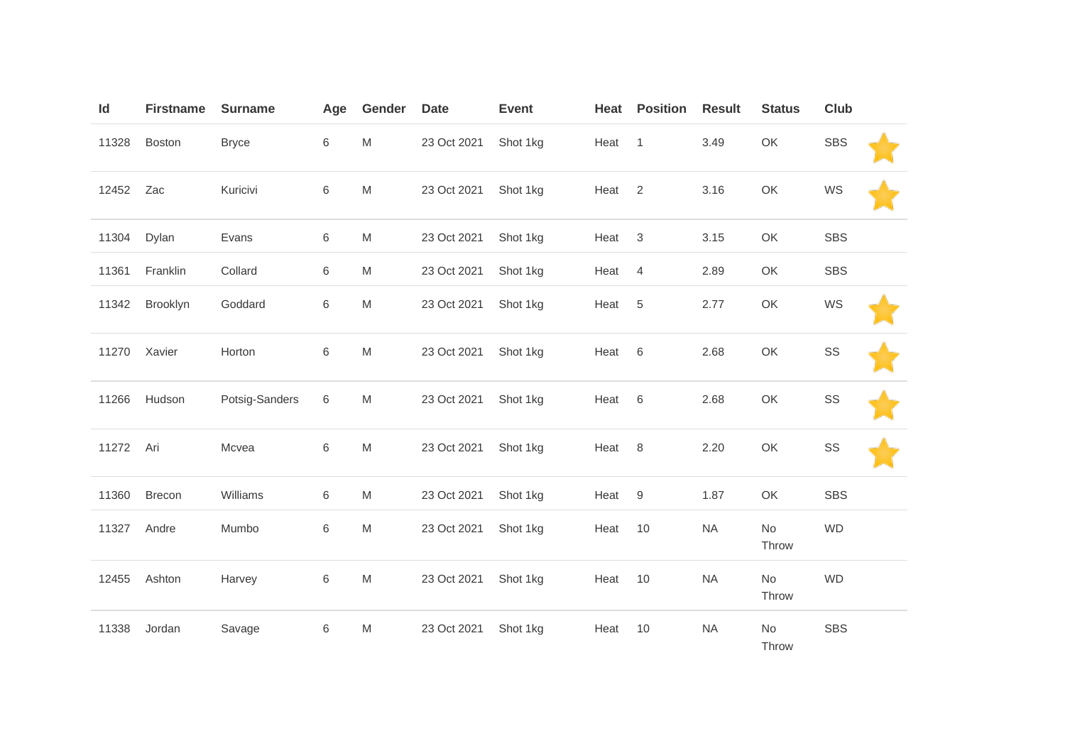| Id    | <b>Firstname</b> | <b>Surname</b> | Age     | Gender                                                                                                     | <b>Date</b> | <b>Event</b> | Heat | <b>Position</b>  | <b>Result</b> | <b>Status</b>          | Club       |  |
|-------|------------------|----------------|---------|------------------------------------------------------------------------------------------------------------|-------------|--------------|------|------------------|---------------|------------------------|------------|--|
| 11328 | Boston           | <b>Bryce</b>   | 6       | $\mathsf{M}% _{T}=\mathsf{M}_{T}\!\left( a,b\right) ,\ \mathsf{M}_{T}=\mathsf{M}_{T}\!\left( a,b\right) ,$ | 23 Oct 2021 | Shot 1kg     | Heat | $\mathbf{1}$     | 3.49          | OK                     | <b>SBS</b> |  |
| 12452 | Zac              | Kuricivi       | $\,6$   | $\mathsf{M}% _{T}=\mathsf{M}_{T}\!\left( a,b\right) ,\ \mathsf{M}_{T}=\mathsf{M}_{T}\!\left( a,b\right) ,$ | 23 Oct 2021 | Shot 1kg     | Heat | $\overline{2}$   | 3.16          | OK                     | WS         |  |
| 11304 | Dylan            | Evans          | 6       | M                                                                                                          | 23 Oct 2021 | Shot 1kg     | Heat | $\sqrt{3}$       | 3.15          | OK                     | <b>SBS</b> |  |
| 11361 | Franklin         | Collard        | $\,6$   | M                                                                                                          | 23 Oct 2021 | Shot 1kg     | Heat | $\overline{4}$   | 2.89          | OK                     | <b>SBS</b> |  |
| 11342 | Brooklyn         | Goddard        | $\,6$   | ${\sf M}$                                                                                                  | 23 Oct 2021 | Shot 1kg     | Heat | 5                | 2.77          | OK                     | WS         |  |
| 11270 | Xavier           | Horton         | 6       | M                                                                                                          | 23 Oct 2021 | Shot 1kg     | Heat | 6                | 2.68          | OK                     | SS         |  |
| 11266 | Hudson           | Potsig-Sanders | 6       | M                                                                                                          | 23 Oct 2021 | Shot 1kg     | Heat | 6                | 2.68          | OK                     | SS         |  |
| 11272 | Ari              | Mcvea          | $\,6$   | ${\sf M}$                                                                                                  | 23 Oct 2021 | Shot 1kg     | Heat | 8                | 2.20          | OK                     | SS         |  |
| 11360 | Brecon           | Williams       | 6       | M                                                                                                          | 23 Oct 2021 | Shot 1kg     | Heat | $\boldsymbol{9}$ | 1.87          | OK                     | <b>SBS</b> |  |
| 11327 | Andre            | Mumbo          | $\,6\,$ | ${\sf M}$                                                                                                  | 23 Oct 2021 | Shot 1kg     | Heat | 10               | <b>NA</b>     | $\mathsf{No}$<br>Throw | <b>WD</b>  |  |
| 12455 | Ashton           | Harvey         | $\,6$   | M                                                                                                          | 23 Oct 2021 | Shot 1kg     | Heat | 10               | <b>NA</b>     | No<br>Throw            | <b>WD</b>  |  |
| 11338 | Jordan           | Savage         | $\,6\,$ | M                                                                                                          | 23 Oct 2021 | Shot 1kg     | Heat | 10               | <b>NA</b>     | No<br>Throw            | <b>SBS</b> |  |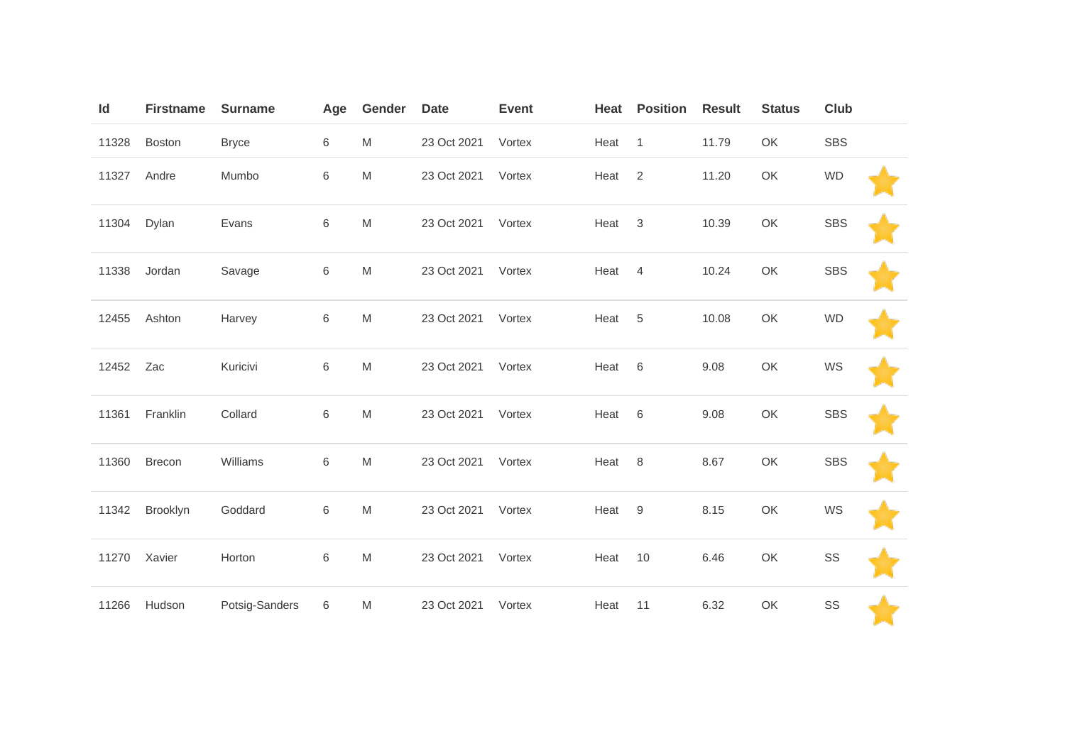| Id    | <b>Firstname</b> | <b>Surname</b> | Age     | Gender                                                                                                     | <b>Date</b> | <b>Event</b> | Heat | <b>Position</b>  | <b>Result</b> | <b>Status</b> | Club       |  |
|-------|------------------|----------------|---------|------------------------------------------------------------------------------------------------------------|-------------|--------------|------|------------------|---------------|---------------|------------|--|
| 11328 | <b>Boston</b>    | <b>Bryce</b>   | 6       | M                                                                                                          | 23 Oct 2021 | Vortex       | Heat | $\overline{1}$   | 11.79         | OK            | <b>SBS</b> |  |
| 11327 | Andre            | Mumbo          | $\,6$   | M                                                                                                          | 23 Oct 2021 | Vortex       | Heat | $\overline{2}$   | 11.20         | OK            | <b>WD</b>  |  |
| 11304 | Dylan            | Evans          | $\,6\,$ | M                                                                                                          | 23 Oct 2021 | Vortex       | Heat | $\sqrt{3}$       | 10.39         | OK            | <b>SBS</b> |  |
| 11338 | Jordan           | Savage         | $\,6$   | M                                                                                                          | 23 Oct 2021 | Vortex       | Heat | $\overline{4}$   | 10.24         | OK            | <b>SBS</b> |  |
| 12455 | Ashton           | Harvey         | 6       | M                                                                                                          | 23 Oct 2021 | Vortex       | Heat | 5                | 10.08         | OK            | <b>WD</b>  |  |
| 12452 | Zac              | Kuricivi       | 6       | M                                                                                                          | 23 Oct 2021 | Vortex       | Heat | $\,6$            | 9.08          | OK            | WS         |  |
| 11361 | Franklin         | Collard        | 6       | M                                                                                                          | 23 Oct 2021 | Vortex       | Heat | $\,6$            | 9.08          | OK            | <b>SBS</b> |  |
| 11360 | Brecon           | Williams       | 6       | M                                                                                                          | 23 Oct 2021 | Vortex       | Heat | 8                | 8.67          | OK            | <b>SBS</b> |  |
| 11342 | Brooklyn         | Goddard        | 6       | $\mathsf{M}% _{T}=\mathsf{M}_{T}\!\left( a,b\right) ,\ \mathsf{M}_{T}=\mathsf{M}_{T}\!\left( a,b\right) ,$ | 23 Oct 2021 | Vortex       | Heat | $\boldsymbol{9}$ | 8.15          | OK            | WS         |  |
| 11270 | Xavier           | Horton         | $\,6$   | M                                                                                                          | 23 Oct 2021 | Vortex       | Heat | 10               | 6.46          | OK            | SS         |  |
| 11266 | Hudson           | Potsig-Sanders | 6       | M                                                                                                          | 23 Oct 2021 | Vortex       | Heat | 11               | 6.32          | OK            | SS         |  |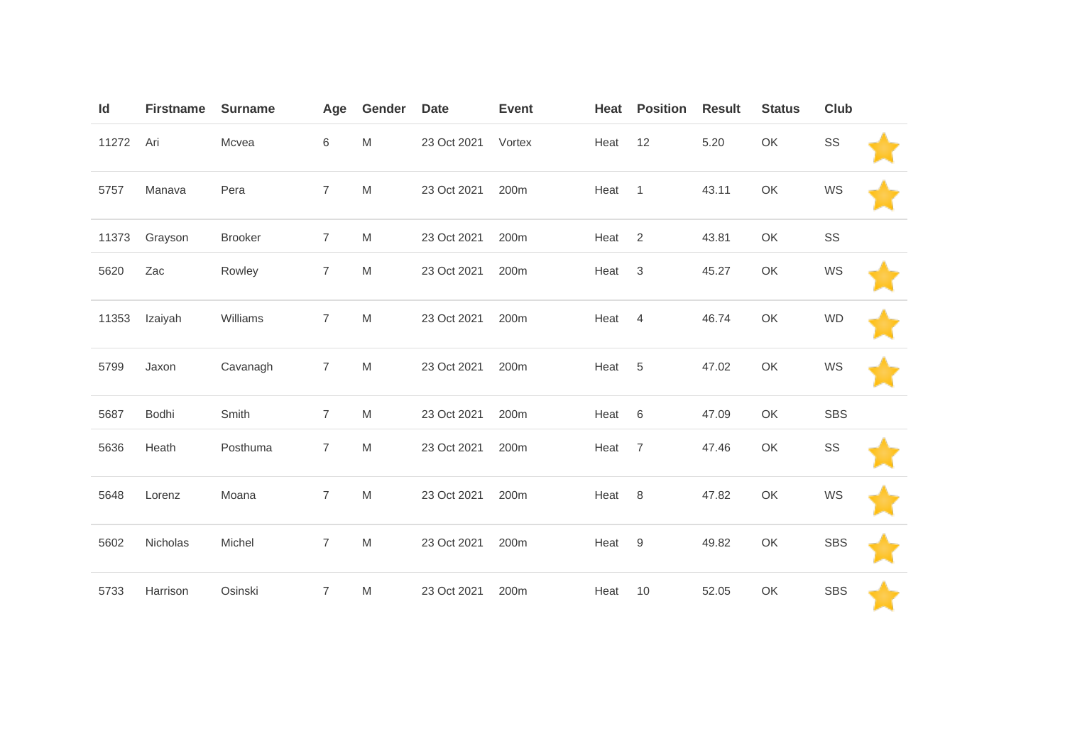| Id    | <b>Firstname</b> | <b>Surname</b> | Age            | Gender    | <b>Date</b> | <b>Event</b> | Heat | <b>Position</b> | <b>Result</b> | <b>Status</b> | Club       |  |
|-------|------------------|----------------|----------------|-----------|-------------|--------------|------|-----------------|---------------|---------------|------------|--|
| 11272 | Ari              | Mcvea          | 6              | ${\sf M}$ | 23 Oct 2021 | Vortex       | Heat | 12              | 5.20          | OK            | SS         |  |
| 5757  | Manava           | Pera           | $\overline{7}$ | M         | 23 Oct 2021 | 200m         | Heat | $\overline{1}$  | 43.11         | OK            | WS         |  |
| 11373 | Grayson          | <b>Brooker</b> | $\overline{7}$ | M         | 23 Oct 2021 | 200m         | Heat | 2               | 43.81         | OK            | SS         |  |
| 5620  | Zac              | Rowley         | $\overline{7}$ | M         | 23 Oct 2021 | 200m         | Heat | 3               | 45.27         | OK            | WS         |  |
| 11353 | Izaiyah          | Williams       | $\overline{7}$ | M         | 23 Oct 2021 | 200m         | Heat | $\overline{4}$  | 46.74         | OK            | <b>WD</b>  |  |
| 5799  | Jaxon            | Cavanagh       | $\overline{7}$ | M         | 23 Oct 2021 | 200m         | Heat | 5               | 47.02         | OK            | WS         |  |
| 5687  | Bodhi            | Smith          | $\overline{7}$ | M         | 23 Oct 2021 | 200m         | Heat | 6               | 47.09         | OK            | <b>SBS</b> |  |
| 5636  | Heath            | Posthuma       | $\overline{7}$ | ${\sf M}$ | 23 Oct 2021 | 200m         | Heat | $\overline{7}$  | 47.46         | OK            | SS         |  |
| 5648  | Lorenz           | Moana          | $\overline{7}$ | ${\sf M}$ | 23 Oct 2021 | 200m         | Heat | 8               | 47.82         | OK            | WS         |  |
| 5602  | Nicholas         | Michel         | $\overline{7}$ | ${\sf M}$ | 23 Oct 2021 | 200m         | Heat | 9               | 49.82         | OK            | <b>SBS</b> |  |
| 5733  | Harrison         | Osinski        | $\overline{7}$ | M         | 23 Oct 2021 | 200m         | Heat | 10              | 52.05         | OK            | <b>SBS</b> |  |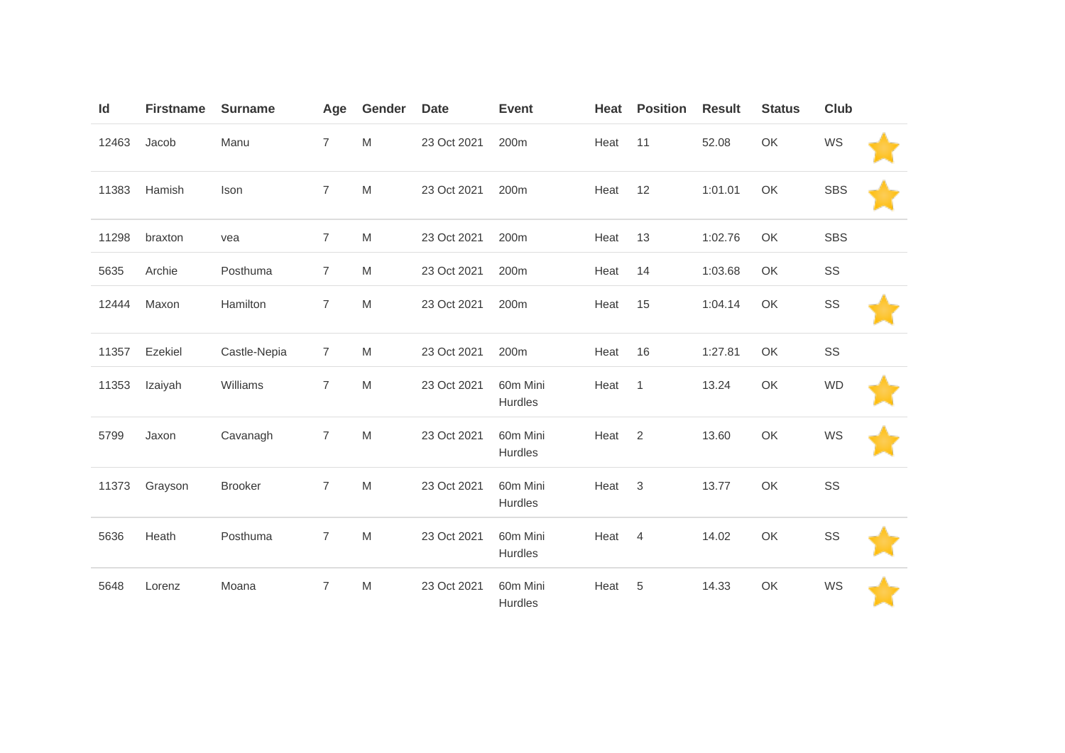| $\mathsf{Id}$ | <b>Firstname</b> | <b>Surname</b> | Age            | Gender    | <b>Date</b> | <b>Event</b>        | Heat | <b>Position</b> | <b>Result</b> | <b>Status</b> | Club       |  |
|---------------|------------------|----------------|----------------|-----------|-------------|---------------------|------|-----------------|---------------|---------------|------------|--|
| 12463         | Jacob            | Manu           | $\overline{7}$ | M         | 23 Oct 2021 | 200m                | Heat | 11              | 52.08         | OK            | WS         |  |
| 11383         | Hamish           | Ison           | $\overline{7}$ | M         | 23 Oct 2021 | 200m                | Heat | 12              | 1:01.01       | OK            | <b>SBS</b> |  |
| 11298         | braxton          | vea            | $\overline{7}$ | ${\sf M}$ | 23 Oct 2021 | 200m                | Heat | 13              | 1:02.76       | OK            | <b>SBS</b> |  |
| 5635          | Archie           | Posthuma       | $\overline{7}$ | M         | 23 Oct 2021 | 200m                | Heat | 14              | 1:03.68       | OK            | SS         |  |
| 12444         | Maxon            | Hamilton       | $\overline{7}$ | M         | 23 Oct 2021 | 200m                | Heat | 15              | 1:04.14       | OK            | SS         |  |
| 11357         | Ezekiel          | Castle-Nepia   | $\overline{7}$ | ${\sf M}$ | 23 Oct 2021 | 200m                | Heat | 16              | 1:27.81       | OK            | SS         |  |
| 11353         | Izaiyah          | Williams       | $\overline{7}$ | M         | 23 Oct 2021 | 60m Mini<br>Hurdles | Heat | $\overline{1}$  | 13.24         | OK            | <b>WD</b>  |  |
| 5799          | Jaxon            | Cavanagh       | $\overline{7}$ | M         | 23 Oct 2021 | 60m Mini<br>Hurdles | Heat | $\overline{2}$  | 13.60         | OK            | WS         |  |
| 11373         | Grayson          | <b>Brooker</b> | $\overline{7}$ | M         | 23 Oct 2021 | 60m Mini<br>Hurdles | Heat | $\sqrt{3}$      | 13.77         | OK            | SS         |  |
| 5636          | Heath            | Posthuma       | $\overline{7}$ | M         | 23 Oct 2021 | 60m Mini<br>Hurdles | Heat | 4               | 14.02         | OK            | SS         |  |
| 5648          | Lorenz           | Moana          | $\overline{7}$ | M         | 23 Oct 2021 | 60m Mini<br>Hurdles | Heat | 5               | 14.33         | OK            | WS         |  |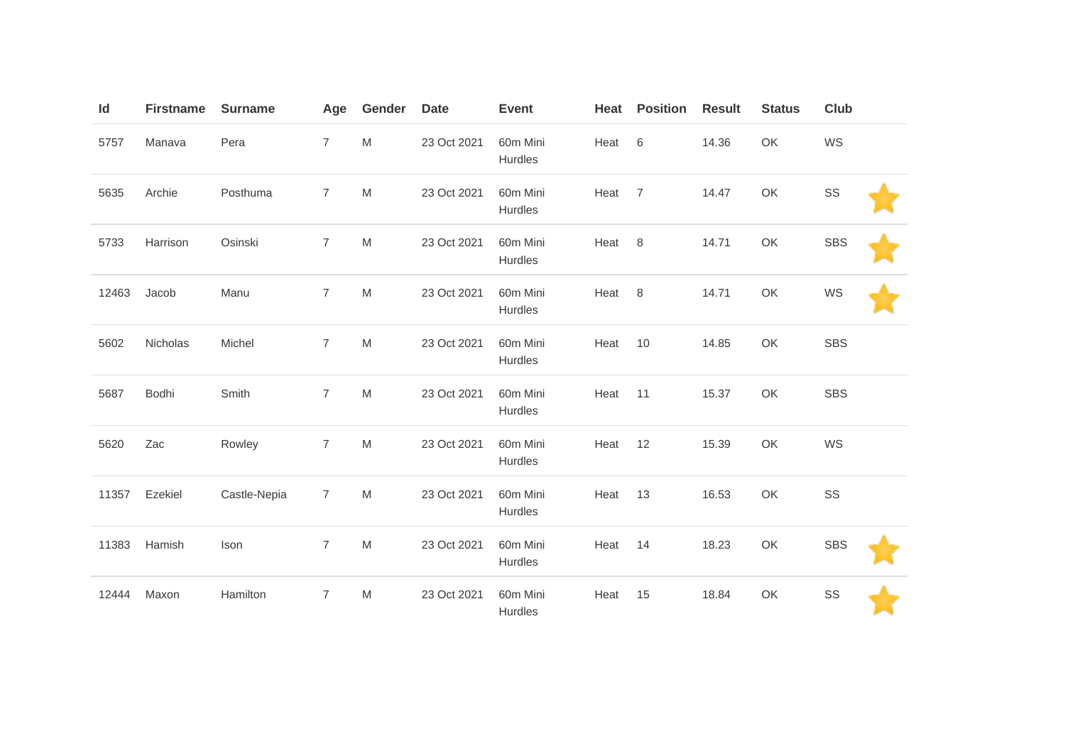| Id    | <b>Firstname</b> | <b>Surname</b> | Age              | Gender                                                                                                     | <b>Date</b> | <b>Event</b>               | Heat | <b>Position</b> | <b>Result</b> | <b>Status</b> | <b>Club</b> |  |
|-------|------------------|----------------|------------------|------------------------------------------------------------------------------------------------------------|-------------|----------------------------|------|-----------------|---------------|---------------|-------------|--|
| 5757  | Manava           | Pera           | $\boldsymbol{7}$ | ${\sf M}$                                                                                                  | 23 Oct 2021 | 60m Mini<br>Hurdles        | Heat | $\,6$           | 14.36         | OK            | WS          |  |
| 5635  | Archie           | Posthuma       | $\overline{7}$   | $\mathsf{M}% _{T}=\mathsf{M}_{T}\!\left( a,b\right) ,\ \mathsf{M}_{T}=\mathsf{M}_{T}\!\left( a,b\right) ,$ | 23 Oct 2021 | 60m Mini<br>Hurdles        | Heat | $\overline{7}$  | 14.47         | OK            | SS          |  |
| 5733  | Harrison         | Osinski        | $\overline{7}$   | ${\sf M}$                                                                                                  | 23 Oct 2021 | 60m Mini<br>Hurdles        | Heat | 8               | 14.71         | OK            | <b>SBS</b>  |  |
| 12463 | Jacob            | Manu           | $\overline{7}$   | ${\sf M}$                                                                                                  | 23 Oct 2021 | 60m Mini<br>Hurdles        | Heat | 8               | 14.71         | OK            | WS          |  |
| 5602  | Nicholas         | Michel         | $\overline{7}$   | M                                                                                                          | 23 Oct 2021 | 60m Mini<br>Hurdles        | Heat | 10              | 14.85         | OK            | <b>SBS</b>  |  |
| 5687  | Bodhi            | Smith          | $\boldsymbol{7}$ | ${\sf M}$                                                                                                  | 23 Oct 2021 | 60m Mini<br><b>Hurdles</b> | Heat | 11              | 15.37         | OK            | <b>SBS</b>  |  |
| 5620  | Zac              | Rowley         | $\overline{7}$   | M                                                                                                          | 23 Oct 2021 | 60m Mini<br>Hurdles        | Heat | 12              | 15.39         | OK            | WS          |  |
| 11357 | Ezekiel          | Castle-Nepia   | $\overline{7}$   | ${\sf M}$                                                                                                  | 23 Oct 2021 | 60m Mini<br>Hurdles        | Heat | 13              | 16.53         | OK            | SS          |  |
| 11383 | Hamish           | Ison           | $\overline{7}$   | $\mathsf{M}% _{T}=\mathsf{M}_{T}\!\left( a,b\right) ,\ \mathsf{M}_{T}=\mathsf{M}_{T}\!\left( a,b\right) ,$ | 23 Oct 2021 | 60m Mini<br><b>Hurdles</b> | Heat | 14              | 18.23         | OK            | <b>SBS</b>  |  |
| 12444 | Maxon            | Hamilton       | $\overline{7}$   | ${\sf M}$                                                                                                  | 23 Oct 2021 | 60m Mini<br>Hurdles        | Heat | 15              | 18.84         | OK            | SS          |  |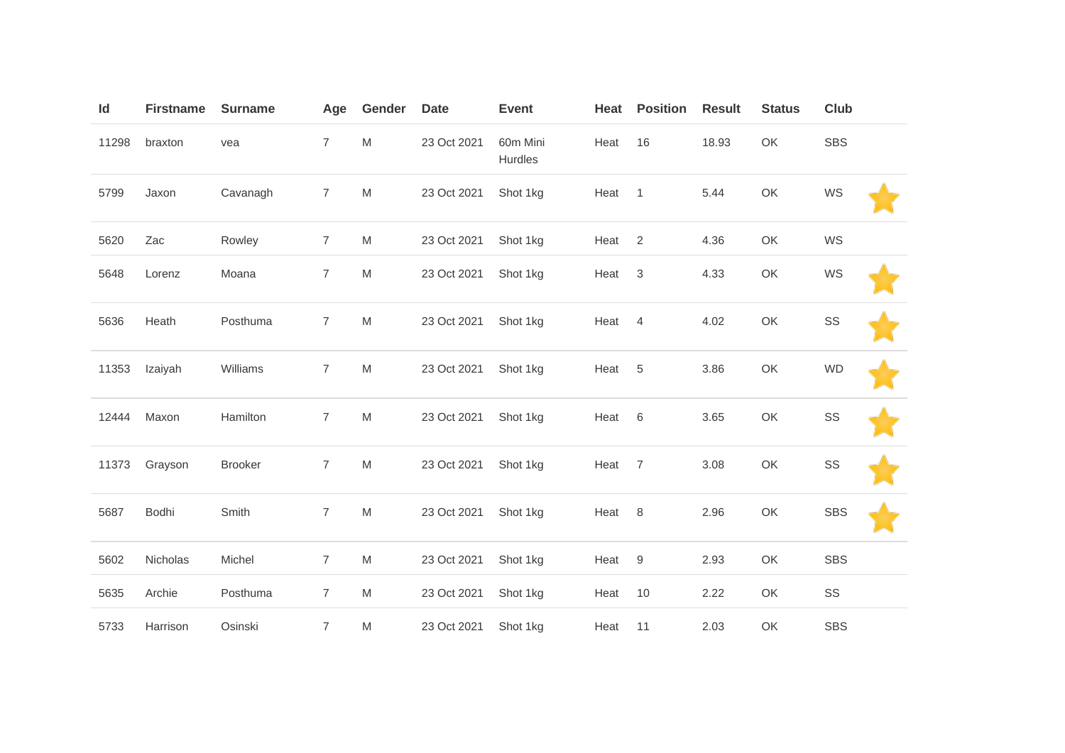| Id    | <b>Firstname</b> | <b>Surname</b> | Age            | Gender                                                                                                     | <b>Date</b> | <b>Event</b>               | Heat   | <b>Position</b> | <b>Result</b> | <b>Status</b> | <b>Club</b> |  |
|-------|------------------|----------------|----------------|------------------------------------------------------------------------------------------------------------|-------------|----------------------------|--------|-----------------|---------------|---------------|-------------|--|
| 11298 | braxton          | vea            | $\overline{7}$ | M                                                                                                          | 23 Oct 2021 | 60m Mini<br><b>Hurdles</b> | Heat   | 16              | 18.93         | OK            | <b>SBS</b>  |  |
| 5799  | Jaxon            | Cavanagh       | $\overline{7}$ | M                                                                                                          | 23 Oct 2021 | Shot 1kg                   | Heat   | $\overline{1}$  | 5.44          | OK            | WS          |  |
| 5620  | Zac              | Rowley         | $\overline{7}$ | M                                                                                                          | 23 Oct 2021 | Shot 1kg                   | Heat   | 2               | 4.36          | OK            | WS          |  |
| 5648  | Lorenz           | Moana          | $\overline{7}$ | M                                                                                                          | 23 Oct 2021 | Shot 1kg                   | Heat   | $\mathbf{3}$    | 4.33          | OK            | WS          |  |
| 5636  | Heath            | Posthuma       | $\overline{7}$ | $\mathsf{M}% _{T}=\mathsf{M}_{T}\!\left( a,b\right) ,\ \mathsf{M}_{T}=\mathsf{M}_{T}\!\left( a,b\right) ,$ | 23 Oct 2021 | Shot 1kg                   | Heat   | $\overline{4}$  | 4.02          | OK            | SS          |  |
| 11353 | Izaiyah          | Williams       | $\overline{7}$ | M                                                                                                          | 23 Oct 2021 | Shot 1kg                   | Heat   | 5               | 3.86          | OK            | <b>WD</b>   |  |
| 12444 | Maxon            | Hamilton       | $\overline{7}$ | M                                                                                                          | 23 Oct 2021 | Shot 1kg                   | Heat   | 6               | 3.65          | OK            | SS          |  |
| 11373 | Grayson          | Brooker        | $\overline{7}$ | M                                                                                                          | 23 Oct 2021 | Shot 1kg                   | Heat   | $\overline{7}$  | 3.08          | OK            | SS          |  |
| 5687  | Bodhi            | Smith          | $\overline{7}$ | M                                                                                                          | 23 Oct 2021 | Shot 1kg                   | Heat 8 |                 | 2.96          | OK            | <b>SBS</b>  |  |
| 5602  | Nicholas         | Michel         | $\overline{7}$ | M                                                                                                          | 23 Oct 2021 | Shot 1kg                   | Heat   | 9               | 2.93          | OK            | <b>SBS</b>  |  |
| 5635  | Archie           | Posthuma       | $\overline{7}$ | M                                                                                                          | 23 Oct 2021 | Shot 1kg                   | Heat   | 10              | 2.22          | OK            | SS          |  |
| 5733  | Harrison         | Osinski        | $\overline{7}$ | M                                                                                                          | 23 Oct 2021 | Shot 1kg                   | Heat   | 11              | 2.03          | OK            | <b>SBS</b>  |  |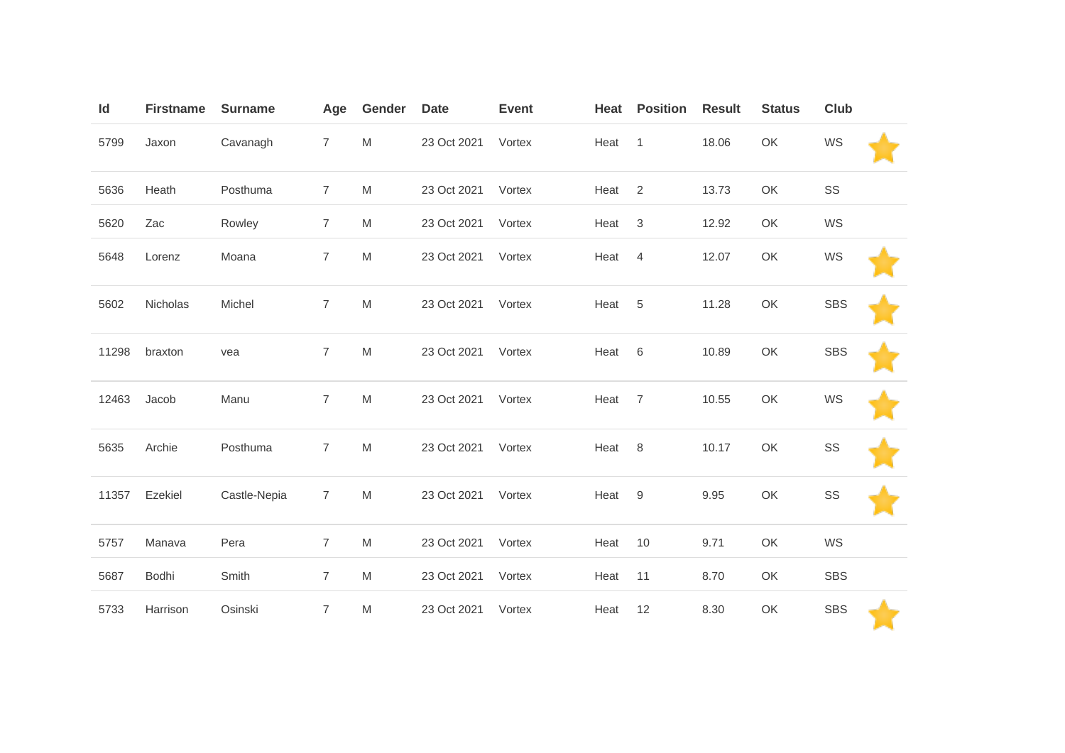| ld    | <b>Firstname</b> | <b>Surname</b> | Age            | Gender                                                                                                     | <b>Date</b> | <b>Event</b> | Heat | <b>Position</b> | <b>Result</b> | <b>Status</b> | Club       |  |
|-------|------------------|----------------|----------------|------------------------------------------------------------------------------------------------------------|-------------|--------------|------|-----------------|---------------|---------------|------------|--|
| 5799  | Jaxon            | Cavanagh       | $\overline{7}$ | M                                                                                                          | 23 Oct 2021 | Vortex       | Heat | $\mathbf{1}$    | 18.06         | OK            | WS         |  |
| 5636  | Heath            | Posthuma       | $\overline{7}$ | M                                                                                                          | 23 Oct 2021 | Vortex       | Heat | $\sqrt{2}$      | 13.73         | OK            | SS         |  |
| 5620  | Zac              | Rowley         | $\overline{7}$ | M                                                                                                          | 23 Oct 2021 | Vortex       | Heat | $\sqrt{3}$      | 12.92         | OK            | WS         |  |
| 5648  | Lorenz           | Moana          | $\overline{7}$ | ${\sf M}$                                                                                                  | 23 Oct 2021 | Vortex       | Heat | $\overline{4}$  | 12.07         | OK            | WS         |  |
| 5602  | Nicholas         | Michel         | $\overline{7}$ | ${\sf M}$                                                                                                  | 23 Oct 2021 | Vortex       | Heat | 5               | 11.28         | OK            | <b>SBS</b> |  |
| 11298 | braxton          | vea            | $\overline{7}$ | M                                                                                                          | 23 Oct 2021 | Vortex       | Heat | $\,6\,$         | 10.89         | OK            | <b>SBS</b> |  |
| 12463 | Jacob            | Manu           | $\overline{7}$ | $\mathsf{M}% _{T}=\mathsf{M}_{T}\!\left( a,b\right) ,\ \mathsf{M}_{T}=\mathsf{M}_{T}$                      | 23 Oct 2021 | Vortex       | Heat | $\overline{7}$  | 10.55         | OK            | WS         |  |
| 5635  | Archie           | Posthuma       | $\overline{7}$ | ${\sf M}$                                                                                                  | 23 Oct 2021 | Vortex       | Heat | 8               | 10.17         | OK            | SS         |  |
| 11357 | Ezekiel          | Castle-Nepia   | $\overline{7}$ | $\mathsf{M}% _{T}=\mathsf{M}_{T}\!\left( a,b\right) ,\ \mathsf{M}_{T}=\mathsf{M}_{T}\!\left( a,b\right) ,$ | 23 Oct 2021 | Vortex       | Heat | $9\,$           | 9.95          | OK            | SS         |  |
| 5757  | Manava           | Pera           | $\overline{7}$ | M                                                                                                          | 23 Oct 2021 | Vortex       | Heat | 10              | 9.71          | OK            | WS         |  |
| 5687  | Bodhi            | Smith          | $\overline{7}$ | M                                                                                                          | 23 Oct 2021 | Vortex       | Heat | 11              | 8.70          | OK            | SBS        |  |
| 5733  | Harrison         | Osinski        | $\overline{7}$ | ${\sf M}$                                                                                                  | 23 Oct 2021 | Vortex       | Heat | 12              | 8.30          | OK            | <b>SBS</b> |  |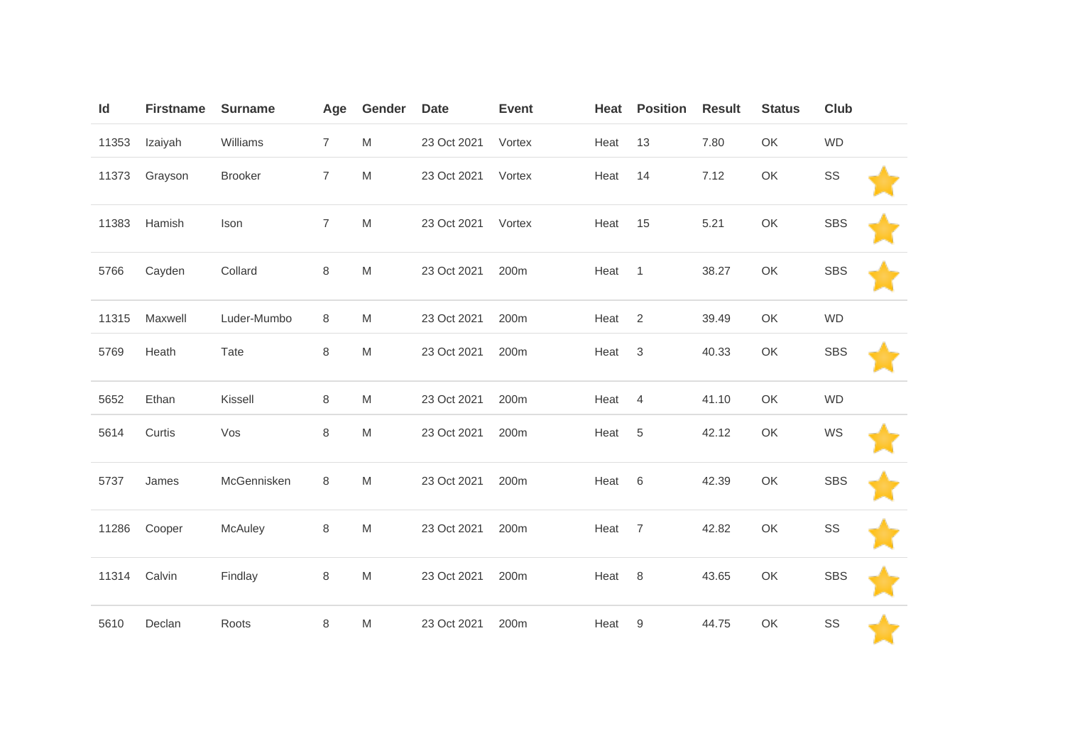| Id    | <b>Firstname</b> | <b>Surname</b> | Age            | Gender                                                                                | <b>Date</b> | <b>Event</b> | Heat | <b>Position</b> | <b>Result</b> | <b>Status</b> | Club       |  |
|-------|------------------|----------------|----------------|---------------------------------------------------------------------------------------|-------------|--------------|------|-----------------|---------------|---------------|------------|--|
| 11353 | Izaiyah          | Williams       | $\overline{7}$ | M                                                                                     | 23 Oct 2021 | Vortex       | Heat | 13              | 7.80          | OK            | <b>WD</b>  |  |
| 11373 | Grayson          | <b>Brooker</b> | $\overline{7}$ | ${\sf M}$                                                                             | 23 Oct 2021 | Vortex       | Heat | 14              | 7.12          | OK            | SS         |  |
| 11383 | Hamish           | Ison           | $\overline{7}$ | M                                                                                     | 23 Oct 2021 | Vortex       | Heat | 15              | 5.21          | OK            | <b>SBS</b> |  |
| 5766  | Cayden           | Collard        | $\,8\,$        | M                                                                                     | 23 Oct 2021 | 200m         | Heat | $\overline{1}$  | 38.27         | OK            | <b>SBS</b> |  |
| 11315 | Maxwell          | Luder-Mumbo    | 8              | M                                                                                     | 23 Oct 2021 | 200m         | Heat | 2               | 39.49         | OK            | <b>WD</b>  |  |
| 5769  | Heath            | Tate           | $\,8\,$        | M                                                                                     | 23 Oct 2021 | 200m         | Heat | $\mathbf{3}$    | 40.33         | OK            | <b>SBS</b> |  |
| 5652  | Ethan            | Kissell        | 8              | M                                                                                     | 23 Oct 2021 | 200m         | Heat | 4               | 41.10         | OK            | <b>WD</b>  |  |
| 5614  | Curtis           | Vos            | $\,8\,$        | ${\sf M}$                                                                             | 23 Oct 2021 | 200m         | Heat | 5               | 42.12         | OK            | WS         |  |
| 5737  | James            | McGennisken    | 8              | $\mathsf{M}% _{T}=\mathsf{M}_{T}\!\left( a,b\right) ,\ \mathsf{M}_{T}=\mathsf{M}_{T}$ | 23 Oct 2021 | 200m         | Heat | 6               | 42.39         | OK            | <b>SBS</b> |  |
| 11286 | Cooper           | McAuley        | $\,8\,$        | ${\sf M}$                                                                             | 23 Oct 2021 | 200m         | Heat | $\overline{7}$  | 42.82         | OK            | SS         |  |
| 11314 | Calvin           | Findlay        | 8              | M                                                                                     | 23 Oct 2021 | 200m         | Heat | 8               | 43.65         | OK            | <b>SBS</b> |  |
| 5610  | Declan           | Roots          | $\,8\,$        | M                                                                                     | 23 Oct 2021 | 200m         | Heat | 9               | 44.75         | OK            | SS         |  |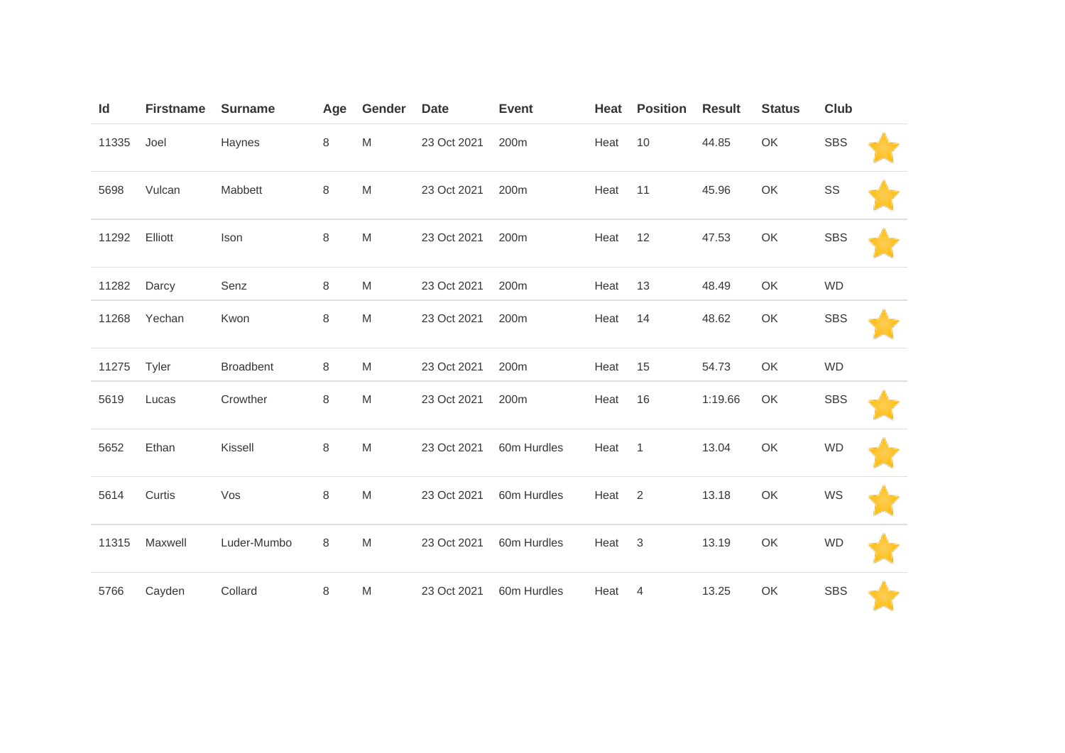| Id    | <b>Firstname</b> | <b>Surname</b>   | Age | Gender | <b>Date</b> | <b>Event</b> | Heat | <b>Position</b> | <b>Result</b> | <b>Status</b> | <b>Club</b> |  |
|-------|------------------|------------------|-----|--------|-------------|--------------|------|-----------------|---------------|---------------|-------------|--|
| 11335 | Joel             | Haynes           | 8   | M      | 23 Oct 2021 | 200m         | Heat | 10              | 44.85         | OK            | <b>SBS</b>  |  |
| 5698  | Vulcan           | Mabbett          | 8   | M      | 23 Oct 2021 | 200m         | Heat | 11              | 45.96         | OK            | SS          |  |
| 11292 | Elliott          | Ison             | 8   | M      | 23 Oct 2021 | 200m         | Heat | 12              | 47.53         | OK            | <b>SBS</b>  |  |
| 11282 | Darcy            | Senz             | 8   | M      | 23 Oct 2021 | 200m         | Heat | 13              | 48.49         | OK            | <b>WD</b>   |  |
| 11268 | Yechan           | Kwon             | 8   | M      | 23 Oct 2021 | 200m         | Heat | 14              | 48.62         | OK            | <b>SBS</b>  |  |
| 11275 | Tyler            | <b>Broadbent</b> | 8   | M      | 23 Oct 2021 | 200m         | Heat | 15              | 54.73         | OK            | <b>WD</b>   |  |
| 5619  | Lucas            | Crowther         | 8   | M      | 23 Oct 2021 | 200m         | Heat | 16              | 1:19.66       | OK            | <b>SBS</b>  |  |
| 5652  | Ethan            | Kissell          | 8   | M      | 23 Oct 2021 | 60m Hurdles  | Heat | $\overline{1}$  | 13.04         | OK            | <b>WD</b>   |  |
| 5614  | Curtis           | Vos              | 8   | M      | 23 Oct 2021 | 60m Hurdles  | Heat | 2               | 13.18         | OK            | WS          |  |
| 11315 | Maxwell          | Luder-Mumbo      | 8   | M      | 23 Oct 2021 | 60m Hurdles  | Heat | 3               | 13.19         | OK            | WD          |  |
| 5766  | Cayden           | Collard          | 8   | M      | 23 Oct 2021 | 60m Hurdles  | Heat | 4               | 13.25         | OK            | <b>SBS</b>  |  |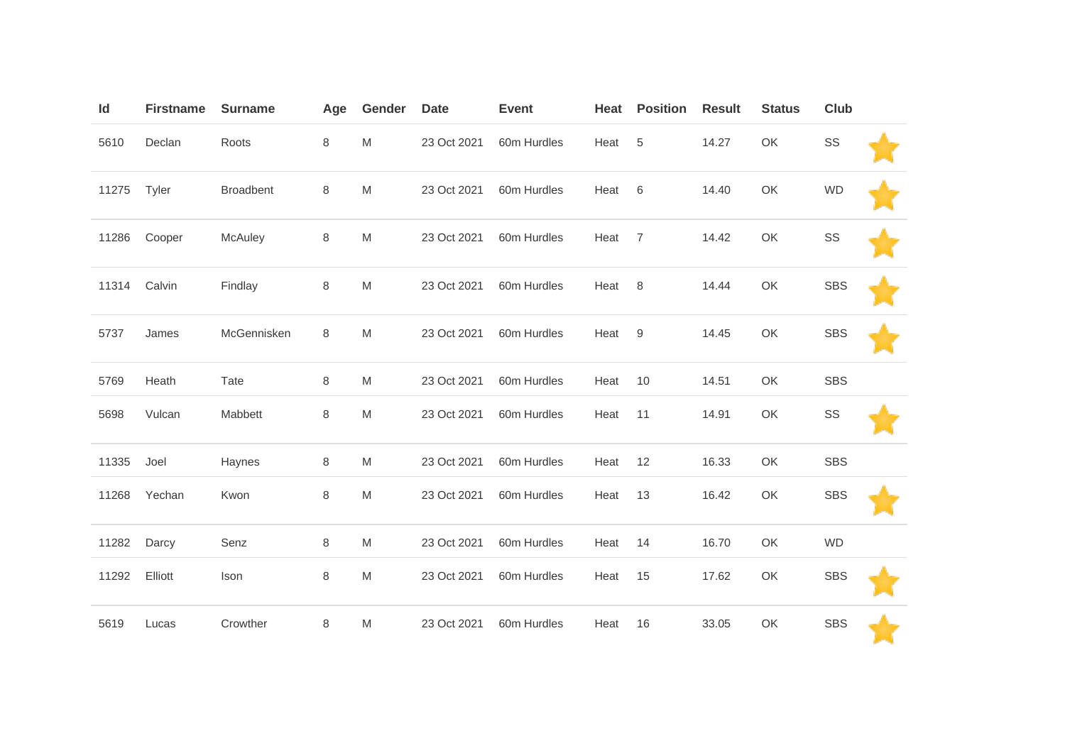| Id    | <b>Firstname</b> | <b>Surname</b>   | Age     | Gender                                                                                                     | <b>Date</b> | <b>Event</b> | Heat | <b>Position</b> | <b>Result</b> | <b>Status</b> | <b>Club</b> |  |
|-------|------------------|------------------|---------|------------------------------------------------------------------------------------------------------------|-------------|--------------|------|-----------------|---------------|---------------|-------------|--|
| 5610  | Declan           | Roots            | 8       | $\mathsf{M}% _{T}=\mathsf{M}_{T}\!\left( a,b\right) ,\ \mathsf{M}_{T}=\mathsf{M}_{T}\!\left( a,b\right) ,$ | 23 Oct 2021 | 60m Hurdles  | Heat | $\sqrt{5}$      | 14.27         | OK            | SS          |  |
| 11275 | Tyler            | <b>Broadbent</b> | $\,8\,$ | M                                                                                                          | 23 Oct 2021 | 60m Hurdles  | Heat | 6               | 14.40         | OK            | <b>WD</b>   |  |
| 11286 | Cooper           | McAuley          | 8       | M                                                                                                          | 23 Oct 2021 | 60m Hurdles  | Heat | $\overline{7}$  | 14.42         | OK            | SS          |  |
| 11314 | Calvin           | Findlay          | 8       | M                                                                                                          | 23 Oct 2021 | 60m Hurdles  | Heat | 8               | 14.44         | OK            | <b>SBS</b>  |  |
| 5737  | James            | McGennisken      | 8       | M                                                                                                          | 23 Oct 2021 | 60m Hurdles  | Heat | $9\,$           | 14.45         | OK            | <b>SBS</b>  |  |
| 5769  | Heath            | Tate             | $\,8\,$ | M                                                                                                          | 23 Oct 2021 | 60m Hurdles  | Heat | 10              | 14.51         | OK            | <b>SBS</b>  |  |
| 5698  | Vulcan           | Mabbett          | 8       | M                                                                                                          | 23 Oct 2021 | 60m Hurdles  | Heat | 11              | 14.91         | OK            | SS          |  |
| 11335 | Joel             | Haynes           | $\,8\,$ | M                                                                                                          | 23 Oct 2021 | 60m Hurdles  | Heat | 12              | 16.33         | OK            | <b>SBS</b>  |  |
| 11268 | Yechan           | Kwon             | 8       | M                                                                                                          | 23 Oct 2021 | 60m Hurdles  | Heat | 13              | 16.42         | OK            | <b>SBS</b>  |  |
| 11282 | Darcy            | Senz             | $\,8\,$ | M                                                                                                          | 23 Oct 2021 | 60m Hurdles  | Heat | 14              | 16.70         | OK            | <b>WD</b>   |  |
| 11292 | Elliott          | Ison             | 8       | M                                                                                                          | 23 Oct 2021 | 60m Hurdles  | Heat | 15              | 17.62         | OK            | <b>SBS</b>  |  |
| 5619  | Lucas            | Crowther         | 8       | M                                                                                                          | 23 Oct 2021 | 60m Hurdles  | Heat | 16              | 33.05         | OK            | <b>SBS</b>  |  |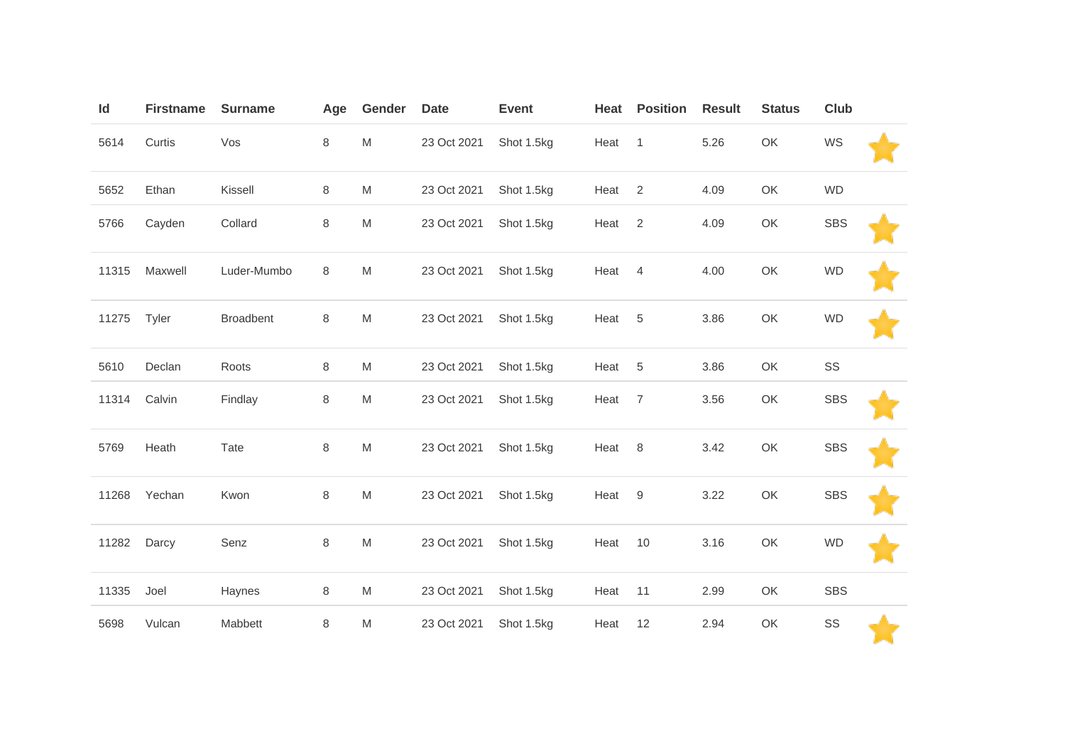| Id    | <b>Firstname</b> | <b>Surname</b>   | Age     | Gender                                                                                | <b>Date</b> | <b>Event</b> | Heat | <b>Position</b> | <b>Result</b> | <b>Status</b> | Club       |  |
|-------|------------------|------------------|---------|---------------------------------------------------------------------------------------|-------------|--------------|------|-----------------|---------------|---------------|------------|--|
| 5614  | Curtis           | Vos              | $\,8\,$ | M                                                                                     | 23 Oct 2021 | Shot 1.5kg   | Heat | $\mathbf{1}$    | 5.26          | OK            | WS         |  |
| 5652  | Ethan            | Kissell          | 8       | M                                                                                     | 23 Oct 2021 | Shot 1.5kg   | Heat | $\overline{2}$  | 4.09          | OK            | <b>WD</b>  |  |
| 5766  | Cayden           | Collard          | $\,8\,$ | ${\sf M}$                                                                             | 23 Oct 2021 | Shot 1.5kg   | Heat | $\sqrt{2}$      | 4.09          | OK            | <b>SBS</b> |  |
| 11315 | Maxwell          | Luder-Mumbo      | 8       | M                                                                                     | 23 Oct 2021 | Shot 1.5kg   | Heat | $\overline{4}$  | 4.00          | OK            | <b>WD</b>  |  |
| 11275 | Tyler            | <b>Broadbent</b> | $\,8\,$ | ${\sf M}$                                                                             | 23 Oct 2021 | Shot 1.5kg   | Heat | 5               | 3.86          | OK            | <b>WD</b>  |  |
| 5610  | Declan           | Roots            | 8       | M                                                                                     | 23 Oct 2021 | Shot 1.5kg   | Heat | 5               | 3.86          | OK            | SS         |  |
| 11314 | Calvin           | Findlay          | $\,8\,$ | ${\sf M}$                                                                             | 23 Oct 2021 | Shot 1.5kg   | Heat | $\overline{7}$  | 3.56          | OK            | <b>SBS</b> |  |
| 5769  | Heath            | Tate             | $\,8\,$ | ${\sf M}$                                                                             | 23 Oct 2021 | Shot 1.5kg   | Heat | 8               | 3.42          | OK            | <b>SBS</b> |  |
| 11268 | Yechan           | Kwon             | $\,8\,$ | $\mathsf{M}% _{T}=\mathsf{M}_{T}\!\left( a,b\right) ,\ \mathsf{M}_{T}=\mathsf{M}_{T}$ | 23 Oct 2021 | Shot 1.5kg   | Heat | 9               | 3.22          | OK            | <b>SBS</b> |  |
| 11282 | Darcy            | Senz             | $\,8\,$ | ${\sf M}$                                                                             | 23 Oct 2021 | Shot 1.5kg   | Heat | 10              | 3.16          | OK            | <b>WD</b>  |  |
| 11335 | Joel             | Haynes           | $\,8\,$ | M                                                                                     | 23 Oct 2021 | Shot 1.5kg   | Heat | 11              | 2.99          | OK            | <b>SBS</b> |  |
| 5698  | Vulcan           | Mabbett          | $\,8\,$ | M                                                                                     | 23 Oct 2021 | Shot 1.5kg   | Heat | 12              | 2.94          | OK            | SS         |  |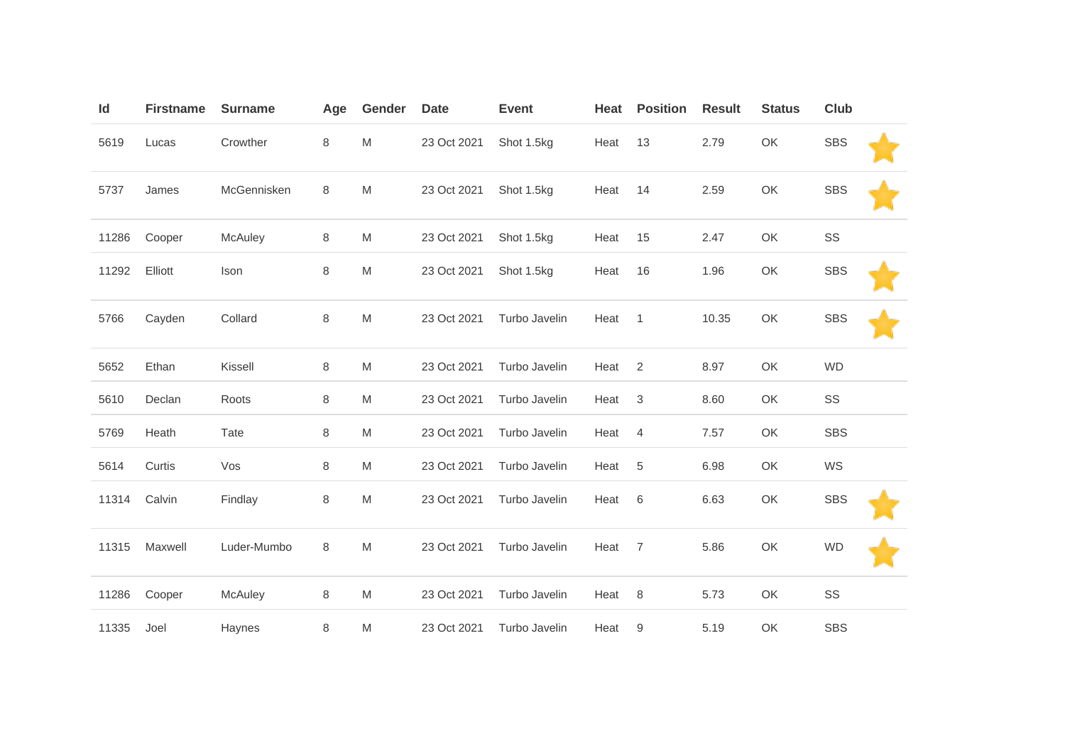| Id    | <b>Firstname</b> | <b>Surname</b> | Age     | Gender | <b>Date</b> | <b>Event</b>  | Heat | <b>Position</b> | <b>Result</b> | <b>Status</b> | <b>Club</b> |  |
|-------|------------------|----------------|---------|--------|-------------|---------------|------|-----------------|---------------|---------------|-------------|--|
| 5619  | Lucas            | Crowther       | 8       | M      | 23 Oct 2021 | Shot 1.5kg    | Heat | 13              | 2.79          | OK            | <b>SBS</b>  |  |
| 5737  | James            | McGennisken    | 8       | M      | 23 Oct 2021 | Shot 1.5kg    | Heat | 14              | 2.59          | OK            | <b>SBS</b>  |  |
| 11286 | Cooper           | McAuley        | $\,8\,$ | M      | 23 Oct 2021 | Shot 1.5kg    | Heat | 15              | 2.47          | OK            | SS          |  |
| 11292 | Elliott          | Ison           | 8       | M      | 23 Oct 2021 | Shot 1.5kg    | Heat | 16              | 1.96          | OK            | <b>SBS</b>  |  |
| 5766  | Cayden           | Collard        | 8       | M      | 23 Oct 2021 | Turbo Javelin | Heat | $\mathbf{1}$    | 10.35         | OK            | <b>SBS</b>  |  |
| 5652  | Ethan            | Kissell        | 8       | M      | 23 Oct 2021 | Turbo Javelin | Heat | $\overline{2}$  | 8.97          | OK            | <b>WD</b>   |  |
| 5610  | Declan           | Roots          | $\,8\,$ | M      | 23 Oct 2021 | Turbo Javelin | Heat | $\sqrt{3}$      | 8.60          | OK            | SS          |  |
| 5769  | Heath            | Tate           | $\,8\,$ | M      | 23 Oct 2021 | Turbo Javelin | Heat | $\overline{4}$  | 7.57          | OK            | <b>SBS</b>  |  |
| 5614  | Curtis           | Vos            | 8       | M      | 23 Oct 2021 | Turbo Javelin | Heat | 5               | 6.98          | OK            | WS          |  |
| 11314 | Calvin           | Findlay        | 8       | M      | 23 Oct 2021 | Turbo Javelin | Heat | 6               | 6.63          | OK            | <b>SBS</b>  |  |
| 11315 | Maxwell          | Luder-Mumbo    | 8       | M      | 23 Oct 2021 | Turbo Javelin | Heat | $\overline{7}$  | 5.86          | OK            | <b>WD</b>   |  |
| 11286 | Cooper           | McAuley        | 8       | M      | 23 Oct 2021 | Turbo Javelin | Heat | 8               | 5.73          | OK            | SS          |  |
| 11335 | Joel             | Haynes         | 8       | M      | 23 Oct 2021 | Turbo Javelin | Heat | 9               | 5.19          | OK            | <b>SBS</b>  |  |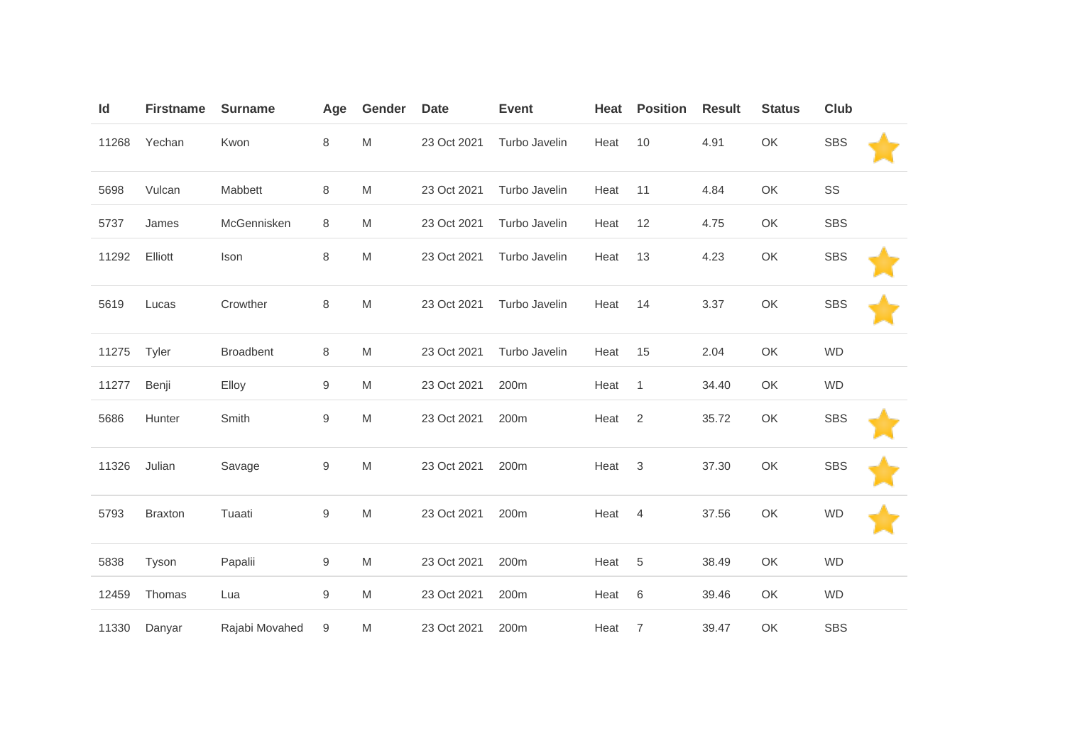| Id    | <b>Firstname</b> | <b>Surname</b>   | Age              | Gender | <b>Date</b> | <b>Event</b>  | Heat | <b>Position</b> | <b>Result</b> | <b>Status</b> | <b>Club</b> |  |
|-------|------------------|------------------|------------------|--------|-------------|---------------|------|-----------------|---------------|---------------|-------------|--|
| 11268 | Yechan           | Kwon             | 8                | M      | 23 Oct 2021 | Turbo Javelin | Heat | 10              | 4.91          | OK            | <b>SBS</b>  |  |
| 5698  | Vulcan           | Mabbett          | $\,8\,$          | M      | 23 Oct 2021 | Turbo Javelin | Heat | 11              | 4.84          | OK            | SS          |  |
| 5737  | James            | McGennisken      | 8                | M      | 23 Oct 2021 | Turbo Javelin | Heat | 12              | 4.75          | OK            | <b>SBS</b>  |  |
| 11292 | Elliott          | Ison             | 8                | M      | 23 Oct 2021 | Turbo Javelin | Heat | 13              | 4.23          | OK            | <b>SBS</b>  |  |
| 5619  | Lucas            | Crowther         | 8                | M      | 23 Oct 2021 | Turbo Javelin | Heat | 14              | 3.37          | OK            | <b>SBS</b>  |  |
| 11275 | Tyler            | <b>Broadbent</b> | 8                | M      | 23 Oct 2021 | Turbo Javelin | Heat | 15              | 2.04          | OK            | <b>WD</b>   |  |
| 11277 | Benji            | Elloy            | $\boldsymbol{9}$ | M      | 23 Oct 2021 | 200m          | Heat | $\mathbf{1}$    | 34.40         | OK            | <b>WD</b>   |  |
| 5686  | Hunter           | Smith            | $\boldsymbol{9}$ | M      | 23 Oct 2021 | 200m          | Heat | $\overline{2}$  | 35.72         | OK            | <b>SBS</b>  |  |
| 11326 | Julian           | Savage           | 9                | M      | 23 Oct 2021 | 200m          | Heat | 3               | 37.30         | OK            | <b>SBS</b>  |  |
| 5793  | <b>Braxton</b>   | Tuaati           | $\boldsymbol{9}$ | M      | 23 Oct 2021 | 200m          | Heat | $\overline{4}$  | 37.56         | OK            | <b>WD</b>   |  |
| 5838  | Tyson            | Papalii          | 9                | M      | 23 Oct 2021 | 200m          | Heat | 5               | 38.49         | OK            | <b>WD</b>   |  |
| 12459 | Thomas           | Lua              | $\boldsymbol{9}$ | M      | 23 Oct 2021 | 200m          | Heat | $6\,$           | 39.46         | OK            | <b>WD</b>   |  |
| 11330 | Danyar           | Rajabi Movahed   | 9                | M      | 23 Oct 2021 | 200m          | Heat | $\overline{7}$  | 39.47         | OK            | <b>SBS</b>  |  |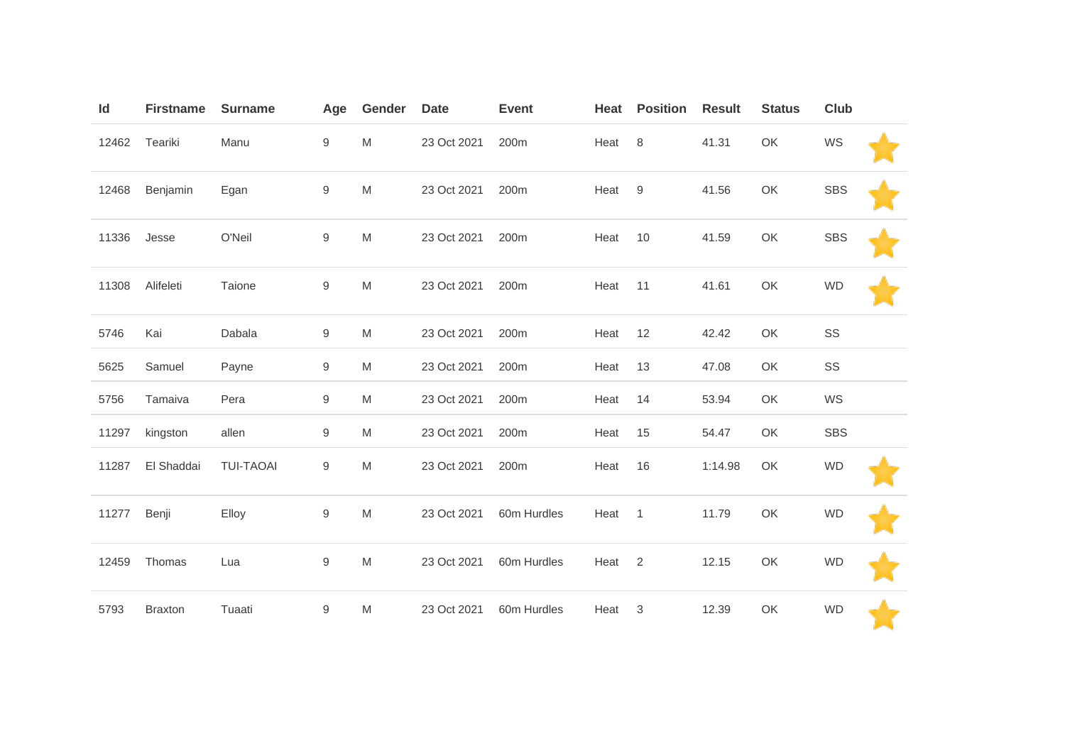| Id    | <b>Firstname</b> | <b>Surname</b>   | Age              | Gender                                                                                                     | <b>Date</b> | <b>Event</b> | Heat | <b>Position</b> | <b>Result</b> | <b>Status</b> | <b>Club</b> |  |
|-------|------------------|------------------|------------------|------------------------------------------------------------------------------------------------------------|-------------|--------------|------|-----------------|---------------|---------------|-------------|--|
| 12462 | Teariki          | Manu             | $\hbox{9}$       | $\mathsf{M}% _{T}=\mathsf{M}_{T}\!\left( a,b\right) ,\ \mathsf{M}_{T}=\mathsf{M}_{T}\!\left( a,b\right) ,$ | 23 Oct 2021 | 200m         | Heat | 8               | 41.31         | OK            | WS          |  |
| 12468 | Benjamin         | Egan             | $\mathsf 9$      | M                                                                                                          | 23 Oct 2021 | 200m         | Heat | $9\,$           | 41.56         | OK            | <b>SBS</b>  |  |
| 11336 | Jesse            | O'Neil           | $\hbox{9}$       | M                                                                                                          | 23 Oct 2021 | 200m         | Heat | 10              | 41.59         | OK            | <b>SBS</b>  |  |
| 11308 | Alifeleti        | Taione           | $\mathsf 9$      | M                                                                                                          | 23 Oct 2021 | 200m         | Heat | 11              | 41.61         | OK            | <b>WD</b>   |  |
| 5746  | Kai              | Dabala           | $\boldsymbol{9}$ | M                                                                                                          | 23 Oct 2021 | 200m         | Heat | 12              | 42.42         | OK            | SS          |  |
| 5625  | Samuel           | Payne            | $\mathsf 9$      | M                                                                                                          | 23 Oct 2021 | 200m         | Heat | 13              | 47.08         | OK            | SS          |  |
| 5756  | Tamaiva          | Pera             | $\boldsymbol{9}$ | M                                                                                                          | 23 Oct 2021 | 200m         | Heat | 14              | 53.94         | OK            | WS          |  |
| 11297 | kingston         | allen            | $\hbox{9}$       | M                                                                                                          | 23 Oct 2021 | 200m         | Heat | 15              | 54.47         | OK            | <b>SBS</b>  |  |
| 11287 | El Shaddai       | <b>TUI-TAOAI</b> | 9                | M                                                                                                          | 23 Oct 2021 | 200m         | Heat | 16              | 1:14.98       | OK            | <b>WD</b>   |  |
| 11277 | Benji            | Elloy            | $\hbox{9}$       | M                                                                                                          | 23 Oct 2021 | 60m Hurdles  | Heat | $\overline{1}$  | 11.79         | OK            | <b>WD</b>   |  |
| 12459 | Thomas           | Lua              | $\mathsf 9$      | M                                                                                                          | 23 Oct 2021 | 60m Hurdles  | Heat | 2               | 12.15         | OK            | <b>WD</b>   |  |
| 5793  | <b>Braxton</b>   | Tuaati           | $\boldsymbol{9}$ | M                                                                                                          | 23 Oct 2021 | 60m Hurdles  | Heat | $\sqrt{3}$      | 12.39         | OK            | <b>WD</b>   |  |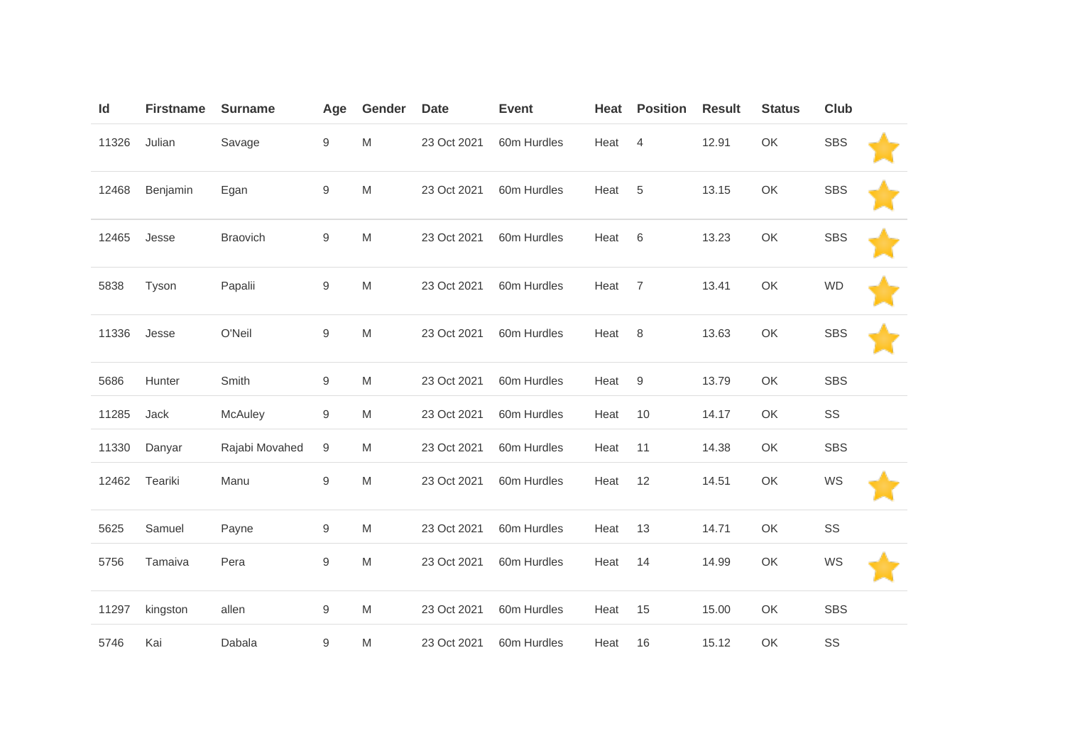| Id    | <b>Firstname</b> | <b>Surname</b>  | Age              | Gender    | <b>Date</b> | <b>Event</b> | Heat | <b>Position</b> | <b>Result</b> | <b>Status</b> | <b>Club</b> |  |
|-------|------------------|-----------------|------------------|-----------|-------------|--------------|------|-----------------|---------------|---------------|-------------|--|
| 11326 | Julian           | Savage          | $\boldsymbol{9}$ | M         | 23 Oct 2021 | 60m Hurdles  | Heat | 4               | 12.91         | OK            | <b>SBS</b>  |  |
| 12468 | Benjamin         | Egan            | $\boldsymbol{9}$ | M         | 23 Oct 2021 | 60m Hurdles  | Heat | 5               | 13.15         | OK            | <b>SBS</b>  |  |
| 12465 | Jesse            | <b>Braovich</b> | 9                | M         | 23 Oct 2021 | 60m Hurdles  | Heat | 6               | 13.23         | OK            | <b>SBS</b>  |  |
| 5838  | Tyson            | Papalii         | 9                | M         | 23 Oct 2021 | 60m Hurdles  | Heat | $\overline{7}$  | 13.41         | OK            | <b>WD</b>   |  |
| 11336 | Jesse            | O'Neil          | $\boldsymbol{9}$ | M         | 23 Oct 2021 | 60m Hurdles  | Heat | 8               | 13.63         | OK            | <b>SBS</b>  |  |
| 5686  | Hunter           | Smith           | 9                | M         | 23 Oct 2021 | 60m Hurdles  | Heat | 9               | 13.79         | OK            | <b>SBS</b>  |  |
| 11285 | Jack             | McAuley         | 9                | M         | 23 Oct 2021 | 60m Hurdles  | Heat | 10              | 14.17         | OK            | SS          |  |
| 11330 | Danyar           | Rajabi Movahed  | 9                | M         | 23 Oct 2021 | 60m Hurdles  | Heat | 11              | 14.38         | OK            | <b>SBS</b>  |  |
| 12462 | Teariki          | Manu            | $\boldsymbol{9}$ | M         | 23 Oct 2021 | 60m Hurdles  | Heat | 12              | 14.51         | OK            | WS          |  |
| 5625  | Samuel           | Payne           | $\boldsymbol{9}$ | M         | 23 Oct 2021 | 60m Hurdles  | Heat | 13              | 14.71         | OK            | SS          |  |
| 5756  | Tamaiva          | Pera            | $\hbox{9}$       | M         | 23 Oct 2021 | 60m Hurdles  | Heat | 14              | 14.99         | OK            | WS          |  |
| 11297 | kingston         | allen           | 9                | ${\sf M}$ | 23 Oct 2021 | 60m Hurdles  | Heat | 15              | 15.00         | OK            | <b>SBS</b>  |  |
| 5746  | Kai              | Dabala          | $\boldsymbol{9}$ | M         | 23 Oct 2021 | 60m Hurdles  | Heat | 16              | 15.12         | OK            | SS          |  |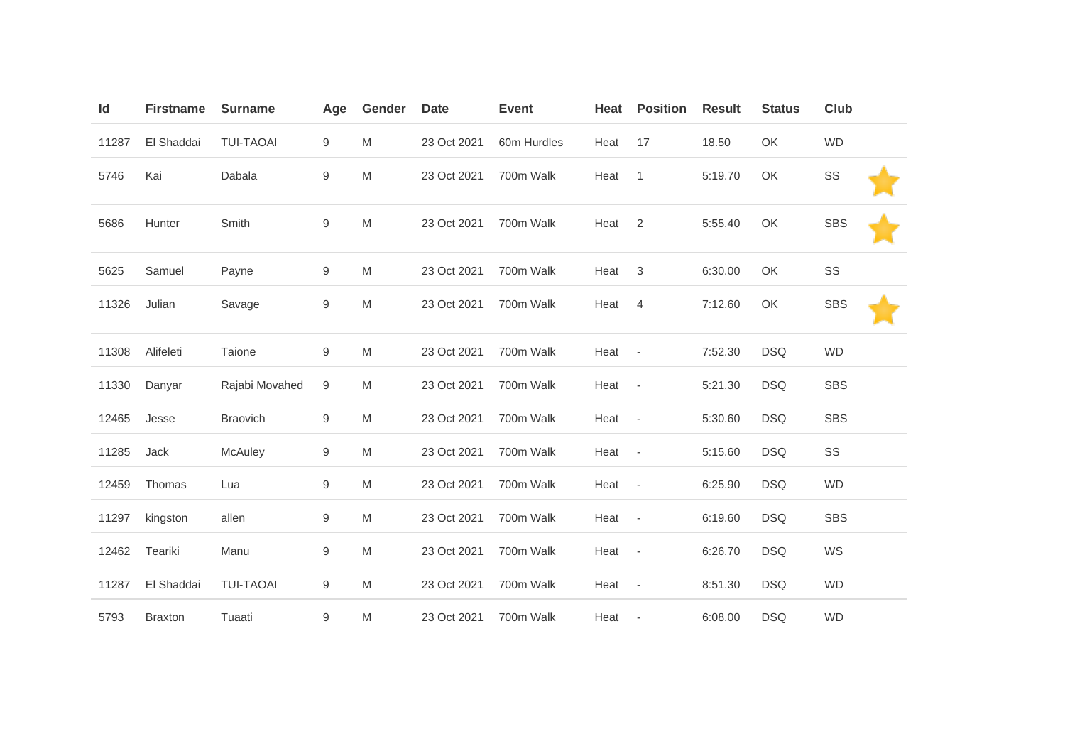| Id    | <b>Firstname</b> | <b>Surname</b>   | Age              | Gender | <b>Date</b> | <b>Event</b> | Heat   | <b>Position</b>          | <b>Result</b> | <b>Status</b> | Club       |  |
|-------|------------------|------------------|------------------|--------|-------------|--------------|--------|--------------------------|---------------|---------------|------------|--|
| 11287 | El Shaddai       | <b>TUI-TAOAI</b> | 9                | M      | 23 Oct 2021 | 60m Hurdles  | Heat   | 17                       | 18.50         | OK            | <b>WD</b>  |  |
| 5746  | Kai              | Dabala           | $\boldsymbol{9}$ | M      | 23 Oct 2021 | 700m Walk    | Heat   | $\mathbf{1}$             | 5:19.70       | OK            | SS         |  |
| 5686  | Hunter           | Smith            | 9                | M      | 23 Oct 2021 | 700m Walk    | Heat   | 2                        | 5:55.40       | OK            | <b>SBS</b> |  |
| 5625  | Samuel           | Payne            | $\mathsf 9$      | M      | 23 Oct 2021 | 700m Walk    | Heat   | $\sqrt{3}$               | 6:30.00       | OK            | SS         |  |
| 11326 | Julian           | Savage           | $\boldsymbol{9}$ | M      | 23 Oct 2021 | 700m Walk    | Heat   | $\overline{4}$           | 7:12.60       | OK            | <b>SBS</b> |  |
| 11308 | Alifeleti        | Taione           | 9                | M      | 23 Oct 2021 | 700m Walk    | Heat   | $\sim$ $-$               | 7:52.30       | <b>DSQ</b>    | <b>WD</b>  |  |
| 11330 | Danyar           | Rajabi Movahed   | $\boldsymbol{9}$ | M      | 23 Oct 2021 | 700m Walk    | Heat   | $\overline{\phantom{a}}$ | 5:21.30       | <b>DSQ</b>    | <b>SBS</b> |  |
| 12465 | Jesse            | <b>Braovich</b>  | $\mathsf 9$      | M      | 23 Oct 2021 | 700m Walk    | Heat   | $\sim$                   | 5:30.60       | <b>DSQ</b>    | <b>SBS</b> |  |
| 11285 | Jack             | McAuley          | $\mathsf 9$      | M      | 23 Oct 2021 | 700m Walk    | Heat - |                          | 5:15.60       | <b>DSQ</b>    | SS         |  |
| 12459 | Thomas           | Lua              | $\boldsymbol{9}$ | M      | 23 Oct 2021 | 700m Walk    | Heat   | $\overline{\phantom{a}}$ | 6:25.90       | <b>DSQ</b>    | <b>WD</b>  |  |
| 11297 | kingston         | allen            | $\boldsymbol{9}$ | M      | 23 Oct 2021 | 700m Walk    | Heat   | $\sim$ $-$               | 6:19.60       | <b>DSQ</b>    | <b>SBS</b> |  |
| 12462 | Teariki          | Manu             | $\mathsf 9$      | M      | 23 Oct 2021 | 700m Walk    | Heat   | $\overline{\phantom{a}}$ | 6:26.70       | <b>DSQ</b>    | WS         |  |
| 11287 | El Shaddai       | <b>TUI-TAOAI</b> | 9                | M      | 23 Oct 2021 | 700m Walk    | Heat   | $\overline{\phantom{a}}$ | 8:51.30       | <b>DSQ</b>    | <b>WD</b>  |  |
| 5793  | <b>Braxton</b>   | Tuaati           | $\boldsymbol{9}$ | M      | 23 Oct 2021 | 700m Walk    | Heat   | $\overline{\phantom{a}}$ | 6:08.00       | <b>DSQ</b>    | <b>WD</b>  |  |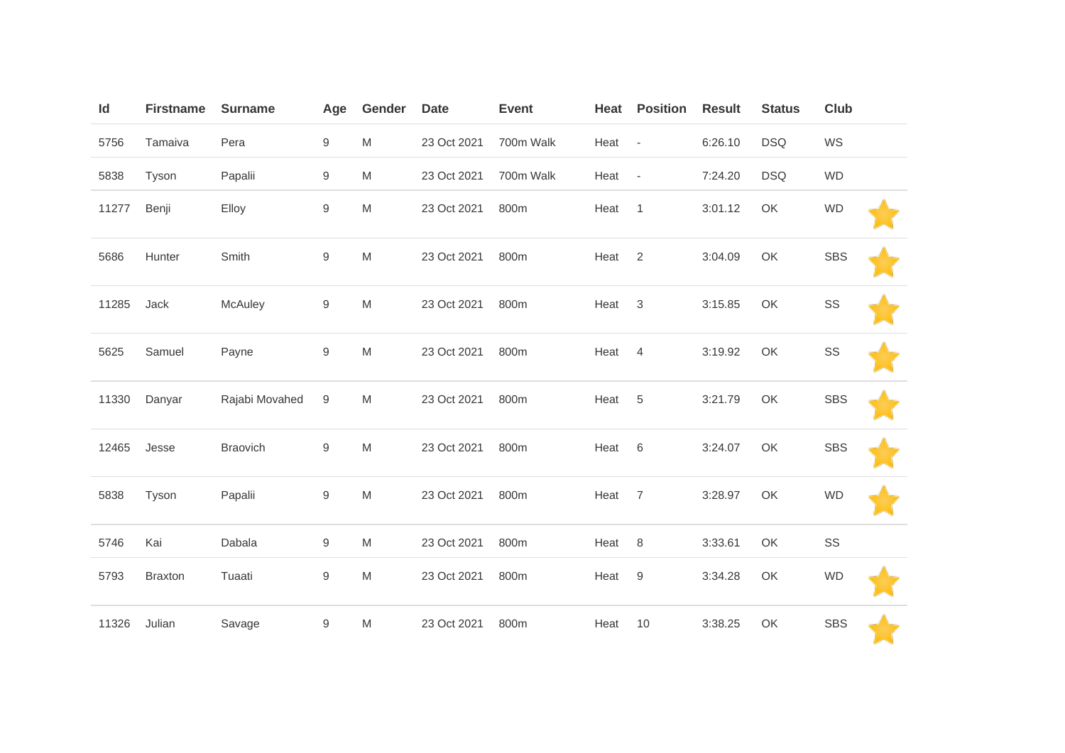| Id    | <b>Firstname</b> | <b>Surname</b> | Age              | Gender                                                                                                     | <b>Date</b> | <b>Event</b> | Heat | <b>Position</b>          | <b>Result</b> | <b>Status</b> | Club       |  |
|-------|------------------|----------------|------------------|------------------------------------------------------------------------------------------------------------|-------------|--------------|------|--------------------------|---------------|---------------|------------|--|
| 5756  | Tamaiva          | Pera           | $\boldsymbol{9}$ | M                                                                                                          | 23 Oct 2021 | 700m Walk    | Heat | $\overline{\phantom{a}}$ | 6:26.10       | <b>DSQ</b>    | WS         |  |
| 5838  | Tyson            | Papalii        | $9\,$            | M                                                                                                          | 23 Oct 2021 | 700m Walk    | Heat | $\overline{\phantom{a}}$ | 7:24.20       | <b>DSQ</b>    | <b>WD</b>  |  |
| 11277 | Benji            | Elloy          | $\boldsymbol{9}$ | M                                                                                                          | 23 Oct 2021 | 800m         | Heat | $\mathbf{1}$             | 3:01.12       | OK            | <b>WD</b>  |  |
| 5686  | Hunter           | Smith          | $\hbox{9}$       | M                                                                                                          | 23 Oct 2021 | 800m         | Heat | 2                        | 3:04.09       | OK            | <b>SBS</b> |  |
| 11285 | Jack             | McAuley        | $\boldsymbol{9}$ | $\mathsf{M}% _{T}=\mathsf{M}_{T}\!\left( a,b\right) ,\ \mathsf{M}_{T}=\mathsf{M}_{T}\!\left( a,b\right) ,$ | 23 Oct 2021 | 800m         | Heat | $\mathbf{3}$             | 3:15.85       | OK            | SS         |  |
| 5625  | Samuel           | Payne          | $\boldsymbol{9}$ | M                                                                                                          | 23 Oct 2021 | 800m         | Heat | $\overline{4}$           | 3:19.92       | OK            | SS         |  |
| 11330 | Danyar           | Rajabi Movahed | 9                | M                                                                                                          | 23 Oct 2021 | 800m         | Heat | 5                        | 3:21.79       | OK            | <b>SBS</b> |  |
| 12465 | Jesse            | Braovich       | $\boldsymbol{9}$ | M                                                                                                          | 23 Oct 2021 | 800m         | Heat | 6                        | 3:24.07       | OK            | <b>SBS</b> |  |
| 5838  | Tyson            | Papalii        | $\hbox{9}$       | M                                                                                                          | 23 Oct 2021 | 800m         | Heat | $\overline{7}$           | 3:28.97       | OK            | <b>WD</b>  |  |
| 5746  | Kai              | Dabala         | $\boldsymbol{9}$ | M                                                                                                          | 23 Oct 2021 | 800m         | Heat | 8                        | 3:33.61       | OK            | SS         |  |
| 5793  | <b>Braxton</b>   | Tuaati         | 9                | M                                                                                                          | 23 Oct 2021 | 800m         | Heat | 9                        | 3:34.28       | OK            | <b>WD</b>  |  |
| 11326 | Julian           | Savage         | $\boldsymbol{9}$ | M                                                                                                          | 23 Oct 2021 | 800m         | Heat | 10                       | 3:38.25       | OK            | <b>SBS</b> |  |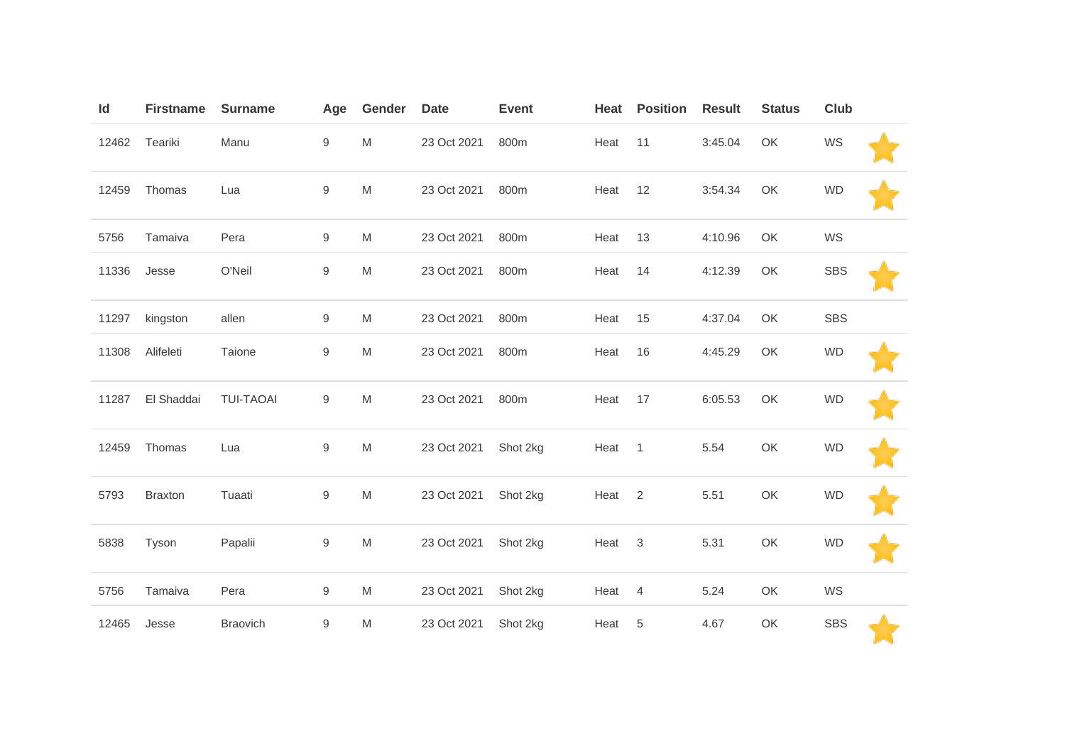| Id    | <b>Firstname</b> | <b>Surname</b>   | Age              | Gender                                                                                                     | <b>Date</b> | <b>Event</b> | Heat   | <b>Position</b> | <b>Result</b> | <b>Status</b> | <b>Club</b> |  |
|-------|------------------|------------------|------------------|------------------------------------------------------------------------------------------------------------|-------------|--------------|--------|-----------------|---------------|---------------|-------------|--|
| 12462 | Teariki          | Manu             | $\mathsf g$      | $\mathsf{M}% _{T}=\mathsf{M}_{T}\!\left( a,b\right) ,\ \mathsf{M}_{T}=\mathsf{M}_{T}\!\left( a,b\right) ,$ | 23 Oct 2021 | 800m         | Heat   | 11              | 3:45.04       | OK            | WS          |  |
| 12459 | Thomas           | Lua              | $\hbox{9}$       | M                                                                                                          | 23 Oct 2021 | 800m         | Heat   | 12              | 3:54.34       | OK            | <b>WD</b>   |  |
| 5756  | Tamaiva          | Pera             | $\mathsf 9$      | M                                                                                                          | 23 Oct 2021 | 800m         | Heat   | 13              | 4:10.96       | OK            | WS          |  |
| 11336 | Jesse            | O'Neil           | $\boldsymbol{9}$ | M                                                                                                          | 23 Oct 2021 | 800m         | Heat   | 14              | 4:12.39       | OK            | <b>SBS</b>  |  |
| 11297 | kingston         | allen            | $\boldsymbol{9}$ | M                                                                                                          | 23 Oct 2021 | 800m         | Heat   | 15              | 4:37.04       | OK            | <b>SBS</b>  |  |
| 11308 | Alifeleti        | Taione           | $\hbox{9}$       | M                                                                                                          | 23 Oct 2021 | 800m         | Heat   | 16              | 4:45.29       | OK            | <b>WD</b>   |  |
| 11287 | El Shaddai       | <b>TUI-TAOAI</b> | $\boldsymbol{9}$ | M                                                                                                          | 23 Oct 2021 | 800m         | Heat   | 17              | 6:05.53       | OK            | <b>WD</b>   |  |
| 12459 | Thomas           | Lua              | $\hbox{9}$       | M                                                                                                          | 23 Oct 2021 | Shot 2kg     | Heat 1 |                 | 5.54          | OK            | <b>WD</b>   |  |
| 5793  | <b>Braxton</b>   | Tuaati           | $\hbox{9}$       | $\mathsf{M}% _{T}=\mathsf{M}_{T}\!\left( a,b\right) ,\ \mathsf{M}_{T}=\mathsf{M}_{T}\!\left( a,b\right) ,$ | 23 Oct 2021 | Shot 2kg     | Heat   | $\overline{2}$  | 5.51          | OK            | <b>WD</b>   |  |
| 5838  | Tyson            | Papalii          | $\hbox{9}$       | M                                                                                                          | 23 Oct 2021 | Shot 2kg     | Heat   | $\mathbf{3}$    | 5.31          | OK            | <b>WD</b>   |  |
| 5756  | Tamaiva          | Pera             | $\boldsymbol{9}$ | M                                                                                                          | 23 Oct 2021 | Shot 2kg     | Heat   | $\overline{4}$  | 5.24          | OK            | WS          |  |
| 12465 | Jesse            | <b>Braovich</b>  | $\boldsymbol{9}$ | M                                                                                                          | 23 Oct 2021 | Shot 2kg     | Heat   | 5               | 4.67          | OK            | <b>SBS</b>  |  |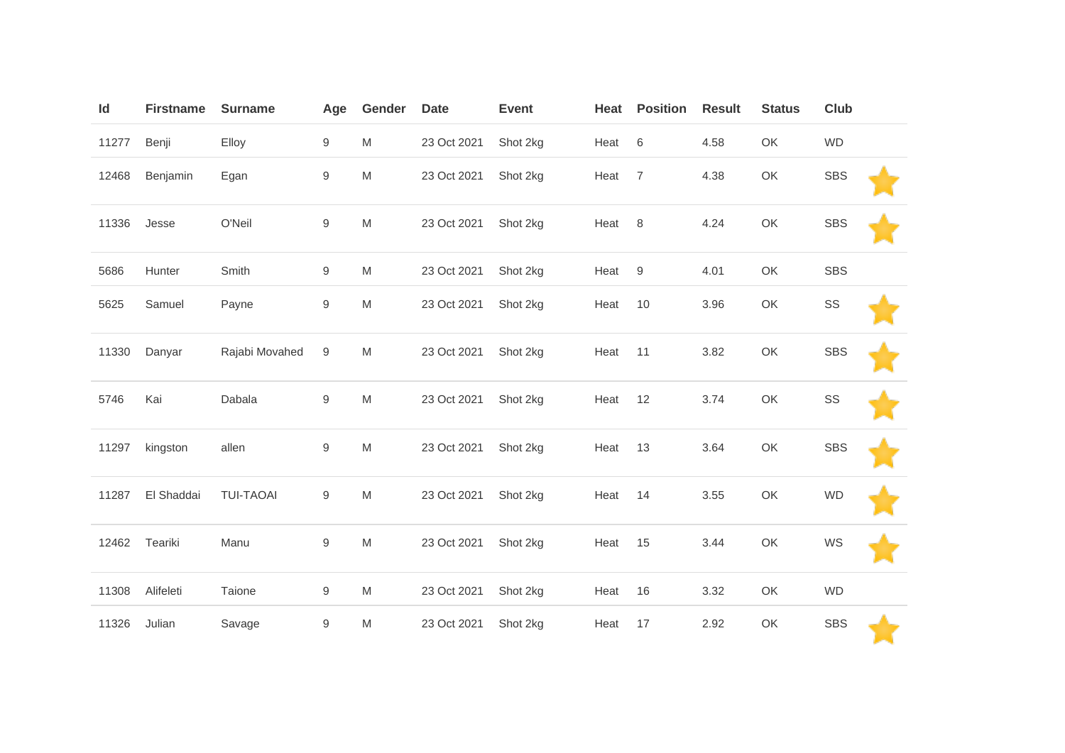| Id    | <b>Firstname</b> | <b>Surname</b>   | Age              | Gender                                                                                                     | <b>Date</b> | <b>Event</b> | Heat | <b>Position</b>  | <b>Result</b> | <b>Status</b> | Club       |  |
|-------|------------------|------------------|------------------|------------------------------------------------------------------------------------------------------------|-------------|--------------|------|------------------|---------------|---------------|------------|--|
| 11277 | Benji            | Elloy            | $\boldsymbol{9}$ | M                                                                                                          | 23 Oct 2021 | Shot 2kg     | Heat | $\,6\,$          | 4.58          | OK            | <b>WD</b>  |  |
| 12468 | Benjamin         | Egan             | $\boldsymbol{9}$ | M                                                                                                          | 23 Oct 2021 | Shot 2kg     | Heat | $\overline{7}$   | 4.38          | OK            | <b>SBS</b> |  |
| 11336 | Jesse            | O'Neil           | $\hbox{9}$       | M                                                                                                          | 23 Oct 2021 | Shot 2kg     | Heat | 8                | 4.24          | OK            | <b>SBS</b> |  |
| 5686  | Hunter           | Smith            | 9                | M                                                                                                          | 23 Oct 2021 | Shot 2kg     | Heat | $\boldsymbol{9}$ | 4.01          | OK            | <b>SBS</b> |  |
| 5625  | Samuel           | Payne            | $\boldsymbol{9}$ | M                                                                                                          | 23 Oct 2021 | Shot 2kg     | Heat | 10               | 3.96          | OK            | SS         |  |
| 11330 | Danyar           | Rajabi Movahed   | 9                | M                                                                                                          | 23 Oct 2021 | Shot 2kg     | Heat | 11               | 3.82          | OK            | <b>SBS</b> |  |
| 5746  | Kai              | Dabala           | $\hbox{9}$       | M                                                                                                          | 23 Oct 2021 | Shot 2kg     | Heat | 12               | 3.74          | OK            | SS         |  |
| 11297 | kingston         | allen            | $\hbox{9}$       | M                                                                                                          | 23 Oct 2021 | Shot 2kg     | Heat | 13               | 3.64          | OK            | <b>SBS</b> |  |
| 11287 | El Shaddai       | <b>TUI-TAOAI</b> | $\hbox{9}$       | $\mathsf{M}% _{T}=\mathsf{M}_{T}\!\left( a,b\right) ,\ \mathsf{M}_{T}=\mathsf{M}_{T}\!\left( a,b\right) ,$ | 23 Oct 2021 | Shot 2kg     | Heat | 14               | 3.55          | OK            | <b>WD</b>  |  |
| 12462 | Teariki          | Manu             | $\hbox{9}$       | $\mathsf{M}% _{T}=\mathsf{M}_{T}\!\left( a,b\right) ,\ \mathsf{M}_{T}=\mathsf{M}_{T}\!\left( a,b\right) ,$ | 23 Oct 2021 | Shot 2kg     | Heat | 15               | 3.44          | OK            | WS         |  |
| 11308 | Alifeleti        | Taione           | $\boldsymbol{9}$ | M                                                                                                          | 23 Oct 2021 | Shot 2kg     | Heat | 16               | 3.32          | OK            | <b>WD</b>  |  |
| 11326 | Julian           | Savage           | $\boldsymbol{9}$ | M                                                                                                          | 23 Oct 2021 | Shot 2kg     | Heat | 17               | 2.92          | OK            | <b>SBS</b> |  |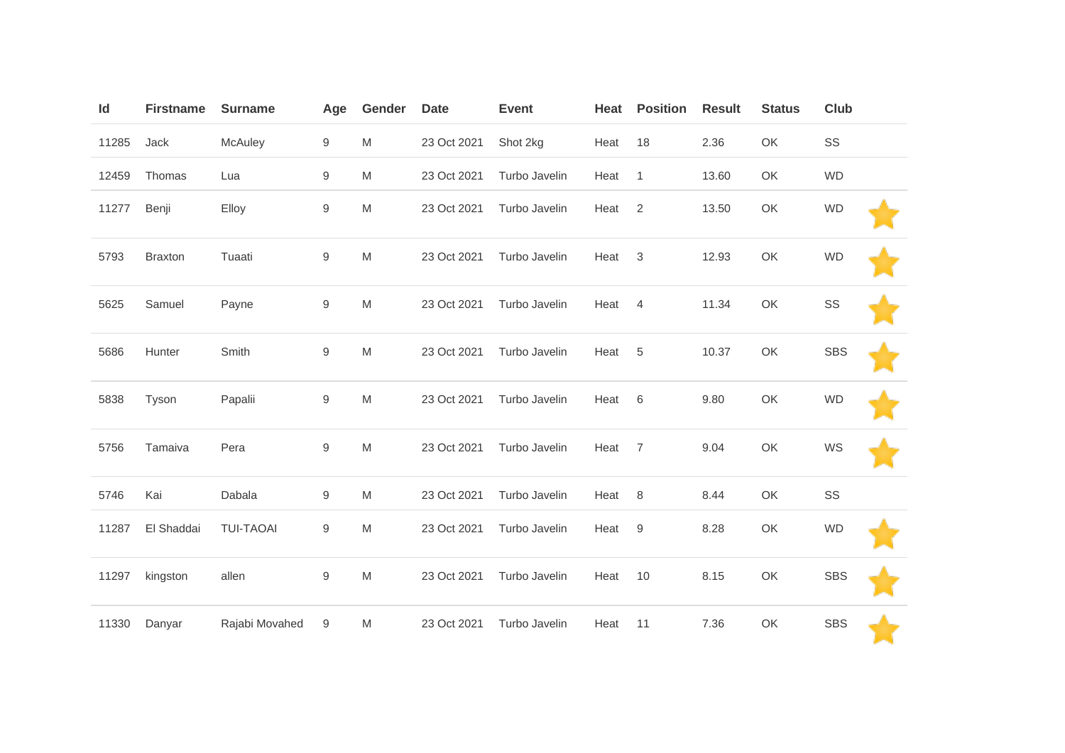| Id    | <b>Firstname</b> | <b>Surname</b>   | Age              | Gender | <b>Date</b> | <b>Event</b>  | Heat | <b>Position</b> | <b>Result</b> | <b>Status</b> | Club       |  |
|-------|------------------|------------------|------------------|--------|-------------|---------------|------|-----------------|---------------|---------------|------------|--|
| 11285 | Jack             | McAuley          | $\boldsymbol{9}$ | M      | 23 Oct 2021 | Shot 2kg      | Heat | 18              | 2.36          | OK            | SS         |  |
| 12459 | Thomas           | Lua              | $\overline{9}$   | M      | 23 Oct 2021 | Turbo Javelin | Heat | $\mathbf{1}$    | 13.60         | OK            | <b>WD</b>  |  |
| 11277 | Benji            | Elloy            | $\boldsymbol{9}$ | M      | 23 Oct 2021 | Turbo Javelin | Heat | 2               | 13.50         | OK            | <b>WD</b>  |  |
| 5793  | <b>Braxton</b>   | Tuaati           | $\boldsymbol{9}$ | M      | 23 Oct 2021 | Turbo Javelin | Heat | 3               | 12.93         | OK            | <b>WD</b>  |  |
| 5625  | Samuel           | Payne            | $\hbox{9}$       | M      | 23 Oct 2021 | Turbo Javelin | Heat | $\overline{4}$  | 11.34         | OK            | SS         |  |
| 5686  | Hunter           | Smith            | $\hbox{9}$       | M      | 23 Oct 2021 | Turbo Javelin | Heat | 5               | 10.37         | OK            | <b>SBS</b> |  |
| 5838  | Tyson            | Papalii          | $\hbox{9}$       | M      | 23 Oct 2021 | Turbo Javelin | Heat | 6               | 9.80          | OK            | <b>WD</b>  |  |
| 5756  | Tamaiva          | Pera             | $\hbox{9}$       | M      | 23 Oct 2021 | Turbo Javelin | Heat | $\overline{7}$  | 9.04          | OK            | WS         |  |
| 5746  | Kai              | Dabala           | $\boldsymbol{9}$ | M      | 23 Oct 2021 | Turbo Javelin | Heat | 8               | 8.44          | OK            | SS         |  |
| 11287 | El Shaddai       | <b>TUI-TAOAI</b> | $\hbox{9}$       | M      | 23 Oct 2021 | Turbo Javelin | Heat | $9\,$           | 8.28          | OK            | <b>WD</b>  |  |
| 11297 | kingston         | allen            | $\boldsymbol{9}$ | M      | 23 Oct 2021 | Turbo Javelin | Heat | 10              | 8.15          | OK            | <b>SBS</b> |  |
| 11330 | Danyar           | Rajabi Movahed   | 9                | M      | 23 Oct 2021 | Turbo Javelin | Heat | 11              | 7.36          | OK            | <b>SBS</b> |  |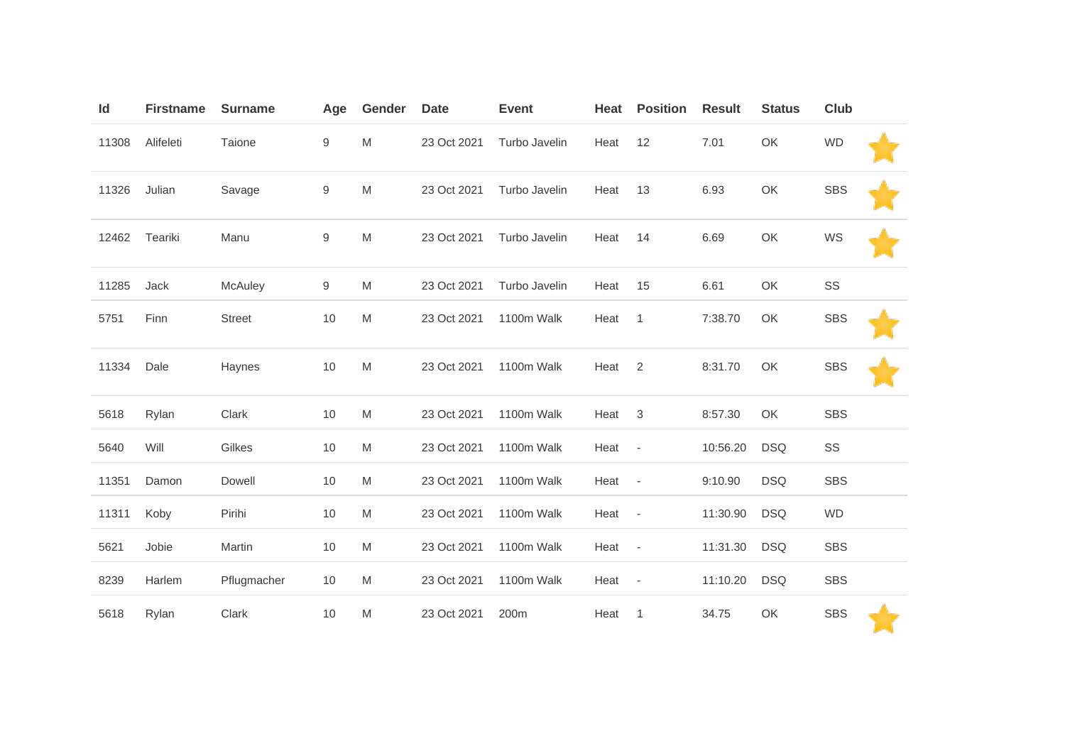| Id    | <b>Firstname</b> | <b>Surname</b> | Age              | Gender | <b>Date</b> | <b>Event</b>  | Heat | <b>Position</b>          | <b>Result</b> | <b>Status</b> | Club       |  |
|-------|------------------|----------------|------------------|--------|-------------|---------------|------|--------------------------|---------------|---------------|------------|--|
| 11308 | Alifeleti        | Taione         | $\boldsymbol{9}$ | M      | 23 Oct 2021 | Turbo Javelin | Heat | 12                       | 7.01          | OK            | <b>WD</b>  |  |
| 11326 | Julian           | Savage         | 9                | M      | 23 Oct 2021 | Turbo Javelin | Heat | 13                       | 6.93          | OK            | <b>SBS</b> |  |
| 12462 | Teariki          | Manu           | 9                | M      | 23 Oct 2021 | Turbo Javelin | Heat | 14                       | 6.69          | OK            | WS         |  |
| 11285 | Jack             | McAuley        | $\mathsf g$      | M      | 23 Oct 2021 | Turbo Javelin | Heat | 15                       | 6.61          | OK            | SS         |  |
| 5751  | Finn             | <b>Street</b>  | 10               | M      | 23 Oct 2021 | 1100m Walk    | Heat | $\mathbf{1}$             | 7:38.70       | OK            | <b>SBS</b> |  |
| 11334 | Dale             | Haynes         | 10               | M      | 23 Oct 2021 | 1100m Walk    | Heat | $\overline{2}$           | 8:31.70       | OK            | <b>SBS</b> |  |
| 5618  | Rylan            | Clark          | 10               | M      | 23 Oct 2021 | 1100m Walk    | Heat | 3                        | 8:57.30       | OK            | <b>SBS</b> |  |
| 5640  | Will             | Gilkes         | 10               | M      | 23 Oct 2021 | 1100m Walk    | Heat | $\overline{\phantom{a}}$ | 10:56.20      | <b>DSQ</b>    | SS         |  |
| 11351 | Damon            | Dowell         | 10               | M      | 23 Oct 2021 | 1100m Walk    | Heat | $\overline{\phantom{a}}$ | 9:10.90       | <b>DSQ</b>    | <b>SBS</b> |  |
| 11311 | Koby             | Pirihi         | 10               | M      | 23 Oct 2021 | 1100m Walk    | Heat | $\overline{\phantom{a}}$ | 11:30.90      | <b>DSQ</b>    | <b>WD</b>  |  |
| 5621  | Jobie            | Martin         | 10               | M      | 23 Oct 2021 | 1100m Walk    | Heat | $\overline{\phantom{a}}$ | 11:31.30      | <b>DSQ</b>    | <b>SBS</b> |  |
| 8239  | Harlem           | Pflugmacher    | 10               | M      | 23 Oct 2021 | 1100m Walk    | Heat | $\overline{\phantom{a}}$ | 11:10.20      | <b>DSQ</b>    | <b>SBS</b> |  |
| 5618  | Rylan            | Clark          | 10               | M      | 23 Oct 2021 | 200m          | Heat | $\mathbf{1}$             | 34.75         | OK            | <b>SBS</b> |  |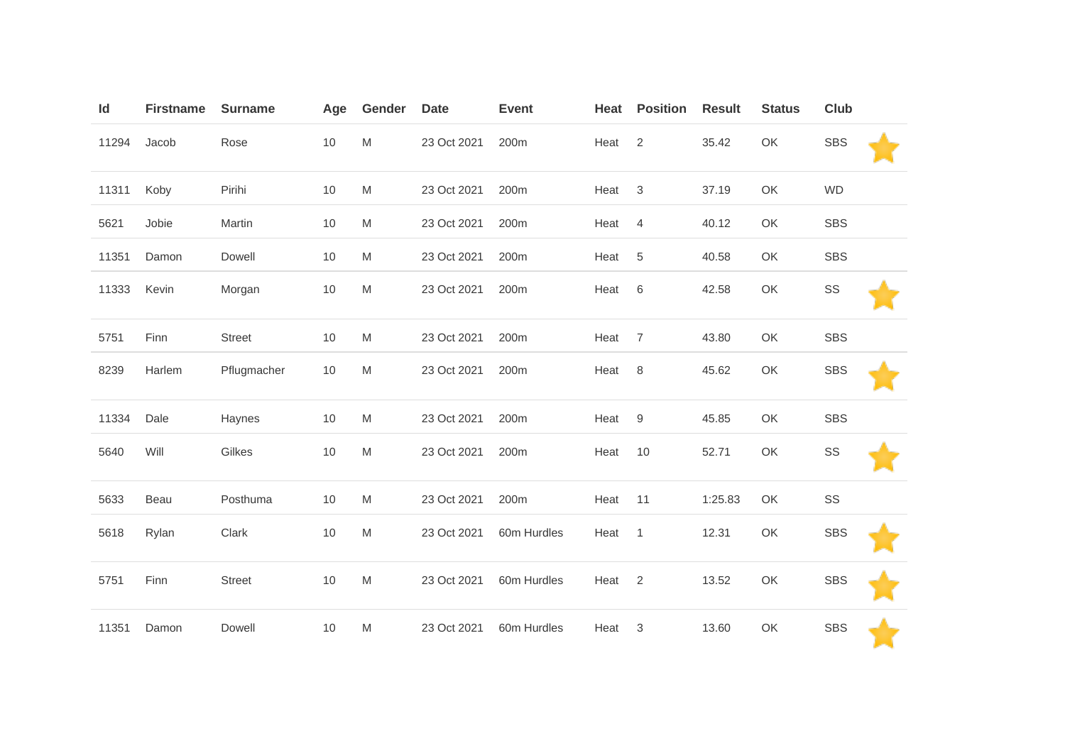| Id    | <b>Firstname</b> | <b>Surname</b> | Age  | Gender    | <b>Date</b> | <b>Event</b> | Heat | <b>Position</b> | <b>Result</b> | <b>Status</b> | Club       |  |
|-------|------------------|----------------|------|-----------|-------------|--------------|------|-----------------|---------------|---------------|------------|--|
| 11294 | Jacob            | Rose           | 10   | M         | 23 Oct 2021 | 200m         | Heat | $\overline{2}$  | 35.42         | OK            | <b>SBS</b> |  |
| 11311 | Koby             | Pirihi         | 10   | M         | 23 Oct 2021 | 200m         | Heat | $\sqrt{3}$      | 37.19         | OK            | <b>WD</b>  |  |
| 5621  | Jobie            | Martin         | 10   | M         | 23 Oct 2021 | 200m         | Heat | $\overline{4}$  | 40.12         | OK            | <b>SBS</b> |  |
| 11351 | Damon            | Dowell         | 10   | M         | 23 Oct 2021 | 200m         | Heat | 5               | 40.58         | OK            | <b>SBS</b> |  |
| 11333 | Kevin            | Morgan         | $10$ | M         | 23 Oct 2021 | 200m         | Heat | 6               | 42.58         | OK            | SS         |  |
| 5751  | Finn             | <b>Street</b>  | 10   | M         | 23 Oct 2021 | 200m         | Heat | $\overline{7}$  | 43.80         | OK            | <b>SBS</b> |  |
| 8239  | Harlem           | Pflugmacher    | 10   | M         | 23 Oct 2021 | 200m         | Heat | 8               | 45.62         | OK            | <b>SBS</b> |  |
| 11334 | Dale             | Haynes         | $10$ | M         | 23 Oct 2021 | 200m         | Heat | $9\,$           | 45.85         | OK            | <b>SBS</b> |  |
| 5640  | Will             | Gilkes         | $10$ | M         | 23 Oct 2021 | 200m         | Heat | 10              | 52.71         | OK            | SS         |  |
| 5633  | Beau             | Posthuma       | 10   | M         | 23 Oct 2021 | 200m         | Heat | 11              | 1:25.83       | OK            | SS         |  |
| 5618  | Rylan            | Clark          | 10   | M         | 23 Oct 2021 | 60m Hurdles  | Heat | $\mathbf{1}$    | 12.31         | OK            | <b>SBS</b> |  |
| 5751  | Finn             | <b>Street</b>  | 10   | M         | 23 Oct 2021 | 60m Hurdles  | Heat | $\overline{2}$  | 13.52         | OK            | <b>SBS</b> |  |
| 11351 | Damon            | Dowell         | $10$ | ${\sf M}$ | 23 Oct 2021 | 60m Hurdles  | Heat | 3               | 13.60         | OK            | <b>SBS</b> |  |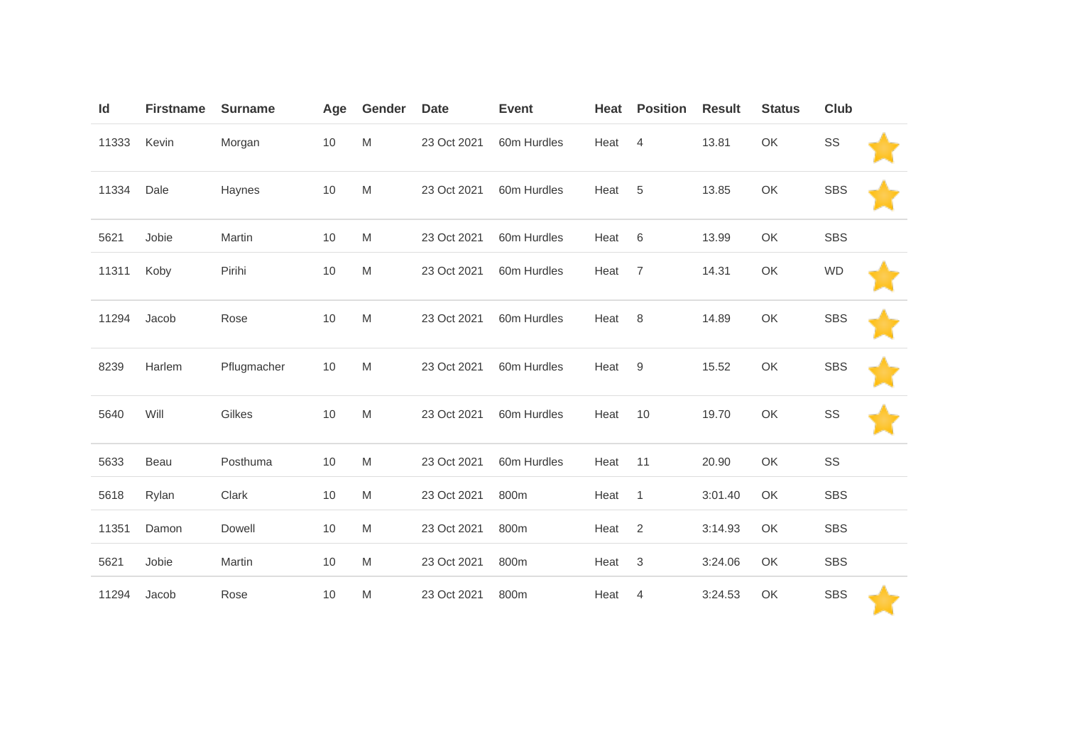| Id    | <b>Firstname</b> | <b>Surname</b> | Age | Gender    | <b>Date</b> | <b>Event</b> | Heat | <b>Position</b>           | <b>Result</b> | <b>Status</b> | <b>Club</b> |  |
|-------|------------------|----------------|-----|-----------|-------------|--------------|------|---------------------------|---------------|---------------|-------------|--|
| 11333 | Kevin            | Morgan         | 10  | ${\sf M}$ | 23 Oct 2021 | 60m Hurdles  | Heat | $\overline{4}$            | 13.81         | OK            | SS          |  |
| 11334 | Dale             | Haynes         | 10  | ${\sf M}$ | 23 Oct 2021 | 60m Hurdles  | Heat | 5                         | 13.85         | OK            | <b>SBS</b>  |  |
| 5621  | Jobie            | Martin         | 10  | M         | 23 Oct 2021 | 60m Hurdles  | Heat | $\,6$                     | 13.99         | OK            | <b>SBS</b>  |  |
| 11311 | Koby             | Pirihi         | 10  | ${\sf M}$ | 23 Oct 2021 | 60m Hurdles  | Heat | $\overline{7}$            | 14.31         | OK            | <b>WD</b>   |  |
| 11294 | Jacob            | Rose           | 10  | M         | 23 Oct 2021 | 60m Hurdles  | Heat | 8                         | 14.89         | OK            | <b>SBS</b>  |  |
| 8239  | Harlem           | Pflugmacher    | 10  | M         | 23 Oct 2021 | 60m Hurdles  | Heat | $\boldsymbol{9}$          | 15.52         | OK            | <b>SBS</b>  |  |
| 5640  | Will             | Gilkes         | 10  | M         | 23 Oct 2021 | 60m Hurdles  | Heat | 10                        | 19.70         | OK            | SS          |  |
| 5633  | Beau             | Posthuma       | 10  | M         | 23 Oct 2021 | 60m Hurdles  | Heat | 11                        | 20.90         | OK            | SS          |  |
| 5618  | Rylan            | Clark          | 10  | M         | 23 Oct 2021 | 800m         | Heat | $\mathbf{1}$              | 3:01.40       | OK            | <b>SBS</b>  |  |
| 11351 | Damon            | Dowell         | 10  | M         | 23 Oct 2021 | 800m         | Heat | $\overline{2}$            | 3:14.93       | OK            | <b>SBS</b>  |  |
| 5621  | Jobie            | Martin         | 10  | M         | 23 Oct 2021 | 800m         | Heat | $\ensuremath{\mathsf{3}}$ | 3:24.06       | OK            | <b>SBS</b>  |  |
| 11294 | Jacob            | Rose           | 10  | M         | 23 Oct 2021 | 800m         | Heat | 4                         | 3:24.53       | OK            | <b>SBS</b>  |  |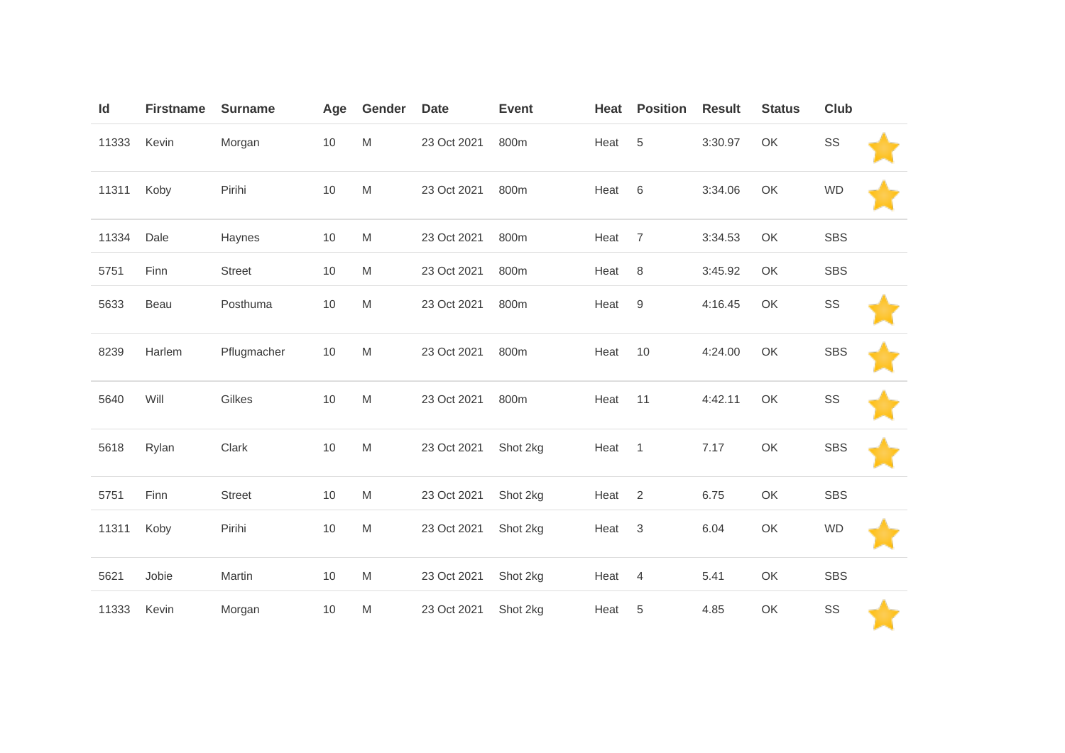| Id    | <b>Firstname</b> | <b>Surname</b> | Age  | Gender                                                                                                     | <b>Date</b> | <b>Event</b> | Heat | <b>Position</b>  | <b>Result</b> | <b>Status</b> | Club       |  |
|-------|------------------|----------------|------|------------------------------------------------------------------------------------------------------------|-------------|--------------|------|------------------|---------------|---------------|------------|--|
| 11333 | Kevin            | Morgan         | $10$ | $\mathsf{M}% _{T}=\mathsf{M}_{T}\!\left( a,b\right) ,\ \mathsf{M}_{T}=\mathsf{M}_{T}\!\left( a,b\right) ,$ | 23 Oct 2021 | 800m         | Heat | 5                | 3:30.97       | OK            | SS         |  |
| 11311 | Koby             | Pirihi         | 10   | M                                                                                                          | 23 Oct 2021 | 800m         | Heat | 6                | 3:34.06       | OK            | <b>WD</b>  |  |
| 11334 | Dale             | Haynes         | 10   | M                                                                                                          | 23 Oct 2021 | 800m         | Heat | $\overline{7}$   | 3:34.53       | OK            | <b>SBS</b> |  |
| 5751  | Finn             | <b>Street</b>  | 10   | M                                                                                                          | 23 Oct 2021 | 800m         | Heat | 8                | 3:45.92       | OK            | <b>SBS</b> |  |
| 5633  | Beau             | Posthuma       | 10   | M                                                                                                          | 23 Oct 2021 | 800m         | Heat | $\boldsymbol{9}$ | 4:16.45       | OK            | SS         |  |
| 8239  | Harlem           | Pflugmacher    | 10   | M                                                                                                          | 23 Oct 2021 | 800m         | Heat | 10               | 4:24.00       | OK            | <b>SBS</b> |  |
| 5640  | Will             | Gilkes         | 10   | M                                                                                                          | 23 Oct 2021 | 800m         | Heat | 11               | 4:42.11       | OK            | SS         |  |
| 5618  | Rylan            | Clark          | 10   | M                                                                                                          | 23 Oct 2021 | Shot 2kg     | Heat | $\mathbf{1}$     | 7.17          | OK            | <b>SBS</b> |  |
| 5751  | Finn             | <b>Street</b>  | $10$ | M                                                                                                          | 23 Oct 2021 | Shot 2kg     | Heat | 2                | 6.75          | OK            | <b>SBS</b> |  |
| 11311 | Koby             | Pirihi         | 10   | M                                                                                                          | 23 Oct 2021 | Shot 2kg     | Heat | $\sqrt{3}$       | 6.04          | OK            | <b>WD</b>  |  |
| 5621  | Jobie            | Martin         | 10   | M                                                                                                          | 23 Oct 2021 | Shot 2kg     | Heat | $\overline{4}$   | 5.41          | OK            | <b>SBS</b> |  |
| 11333 | Kevin            | Morgan         | 10   | M                                                                                                          | 23 Oct 2021 | Shot 2kg     | Heat | 5                | 4.85          | OK            | SS         |  |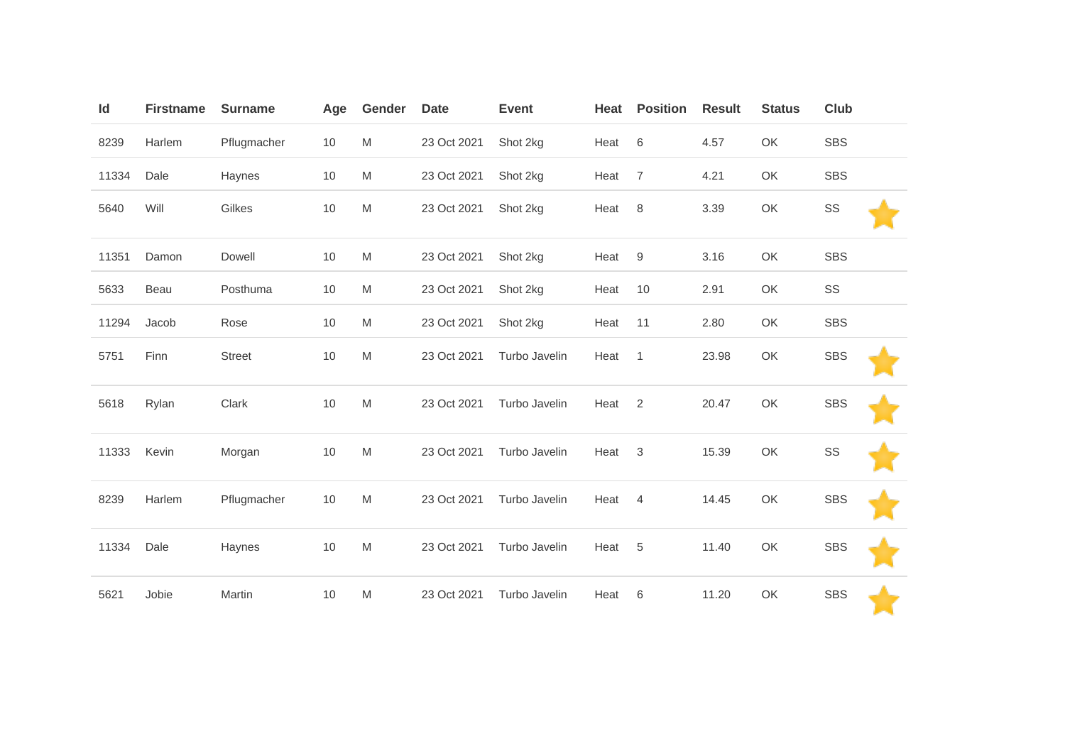| Id    | <b>Firstname</b> | <b>Surname</b> | Age | Gender                                                                                | <b>Date</b> | <b>Event</b>  | Heat | <b>Position</b> | <b>Result</b> | <b>Status</b> | Club       |  |
|-------|------------------|----------------|-----|---------------------------------------------------------------------------------------|-------------|---------------|------|-----------------|---------------|---------------|------------|--|
| 8239  | Harlem           | Pflugmacher    | 10  | M                                                                                     | 23 Oct 2021 | Shot 2kg      | Heat | 6               | 4.57          | OK            | <b>SBS</b> |  |
| 11334 | Dale             | Haynes         | 10  | $\mathsf{M}% _{T}=\mathsf{M}_{T}\!\left( a,b\right) ,\ \mathsf{M}_{T}=\mathsf{M}_{T}$ | 23 Oct 2021 | Shot 2kg      | Heat | $\overline{7}$  | 4.21          | OK            | <b>SBS</b> |  |
| 5640  | Will             | Gilkes         | 10  | M                                                                                     | 23 Oct 2021 | Shot 2kg      | Heat | 8               | 3.39          | OK            | SS         |  |
| 11351 | Damon            | Dowell         | 10  | M                                                                                     | 23 Oct 2021 | Shot 2kg      | Heat | 9               | 3.16          | OK            | <b>SBS</b> |  |
| 5633  | Beau             | Posthuma       | 10  | M                                                                                     | 23 Oct 2021 | Shot 2kg      | Heat | 10              | 2.91          | OK            | SS         |  |
| 11294 | Jacob            | Rose           | 10  | M                                                                                     | 23 Oct 2021 | Shot 2kg      | Heat | 11              | 2.80          | OK            | <b>SBS</b> |  |
| 5751  | Finn             | <b>Street</b>  | 10  | ${\sf M}$                                                                             | 23 Oct 2021 | Turbo Javelin | Heat | $\mathbf{1}$    | 23.98         | OK            | <b>SBS</b> |  |
| 5618  | Rylan            | Clark          | 10  | M                                                                                     | 23 Oct 2021 | Turbo Javelin | Heat | 2               | 20.47         | OK            | <b>SBS</b> |  |
| 11333 | Kevin            | Morgan         | 10  | M                                                                                     | 23 Oct 2021 | Turbo Javelin | Heat | 3               | 15.39         | OK            | SS         |  |
| 8239  | Harlem           | Pflugmacher    | 10  | M                                                                                     | 23 Oct 2021 | Turbo Javelin | Heat | $\overline{4}$  | 14.45         | OK            | <b>SBS</b> |  |
| 11334 | Dale             | Haynes         | 10  | M                                                                                     | 23 Oct 2021 | Turbo Javelin | Heat | $\overline{5}$  | 11.40         | OK            | <b>SBS</b> |  |
| 5621  | Jobie            | Martin         | 10  | M                                                                                     | 23 Oct 2021 | Turbo Javelin | Heat | 6               | 11.20         | OK            | <b>SBS</b> |  |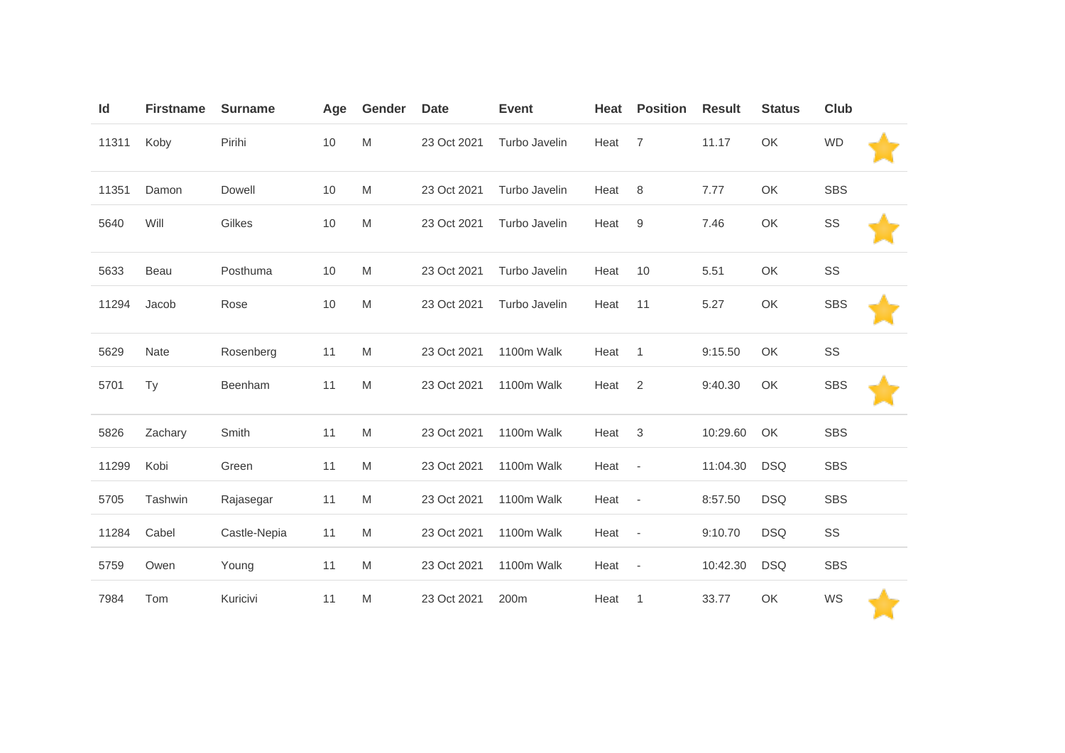| Id    | <b>Firstname</b> | <b>Surname</b> | Age | Gender                                                                                | <b>Date</b> | <b>Event</b>  | Heat | <b>Position</b>          | <b>Result</b> | <b>Status</b> | <b>Club</b> |  |
|-------|------------------|----------------|-----|---------------------------------------------------------------------------------------|-------------|---------------|------|--------------------------|---------------|---------------|-------------|--|
| 11311 | Koby             | Pirihi         | 10  | ${\sf M}$                                                                             | 23 Oct 2021 | Turbo Javelin | Heat | $\overline{7}$           | 11.17         | OK            | <b>WD</b>   |  |
| 11351 | Damon            | Dowell         | 10  | ${\sf M}$                                                                             | 23 Oct 2021 | Turbo Javelin | Heat | 8                        | 7.77          | OK            | <b>SBS</b>  |  |
| 5640  | Will             | Gilkes         | 10  | M                                                                                     | 23 Oct 2021 | Turbo Javelin | Heat | 9                        | 7.46          | OK            | SS          |  |
| 5633  | Beau             | Posthuma       | 10  | M                                                                                     | 23 Oct 2021 | Turbo Javelin | Heat | 10                       | 5.51          | OK            | SS          |  |
| 11294 | Jacob            | Rose           | 10  | ${\sf M}$                                                                             | 23 Oct 2021 | Turbo Javelin | Heat | 11                       | 5.27          | OK            | <b>SBS</b>  |  |
| 5629  | Nate             | Rosenberg      | 11  | ${\sf M}$                                                                             | 23 Oct 2021 | 1100m Walk    | Heat | $\mathbf{1}$             | 9:15.50       | OK            | SS          |  |
| 5701  | Ty               | Beenham        | 11  | M                                                                                     | 23 Oct 2021 | 1100m Walk    | Heat | $\overline{2}$           | 9:40.30       | OK            | <b>SBS</b>  |  |
| 5826  | Zachary          | Smith          | 11  | M                                                                                     | 23 Oct 2021 | 1100m Walk    | Heat | 3                        | 10:29.60      | OK            | <b>SBS</b>  |  |
| 11299 | Kobi             | Green          | 11  | M                                                                                     | 23 Oct 2021 | 1100m Walk    | Heat | $\overline{\phantom{a}}$ | 11:04.30      | <b>DSQ</b>    | <b>SBS</b>  |  |
| 5705  | Tashwin          | Rajasegar      | 11  | M                                                                                     | 23 Oct 2021 | 1100m Walk    | Heat | $\overline{\phantom{a}}$ | 8:57.50       | <b>DSQ</b>    | <b>SBS</b>  |  |
| 11284 | Cabel            | Castle-Nepia   | 11  | $\mathsf{M}% _{T}=\mathsf{M}_{T}\!\left( a,b\right) ,\ \mathsf{M}_{T}=\mathsf{M}_{T}$ | 23 Oct 2021 | 1100m Walk    | Heat | $\overline{\phantom{a}}$ | 9:10.70       | <b>DSQ</b>    | SS          |  |
| 5759  | Owen             | Young          | 11  | M                                                                                     | 23 Oct 2021 | 1100m Walk    | Heat | $\overline{\phantom{a}}$ | 10:42.30      | <b>DSQ</b>    | <b>SBS</b>  |  |
| 7984  | Tom              | Kuricivi       | 11  | M                                                                                     | 23 Oct 2021 | 200m          | Heat | $\mathbf{1}$             | 33.77         | OK            | WS          |  |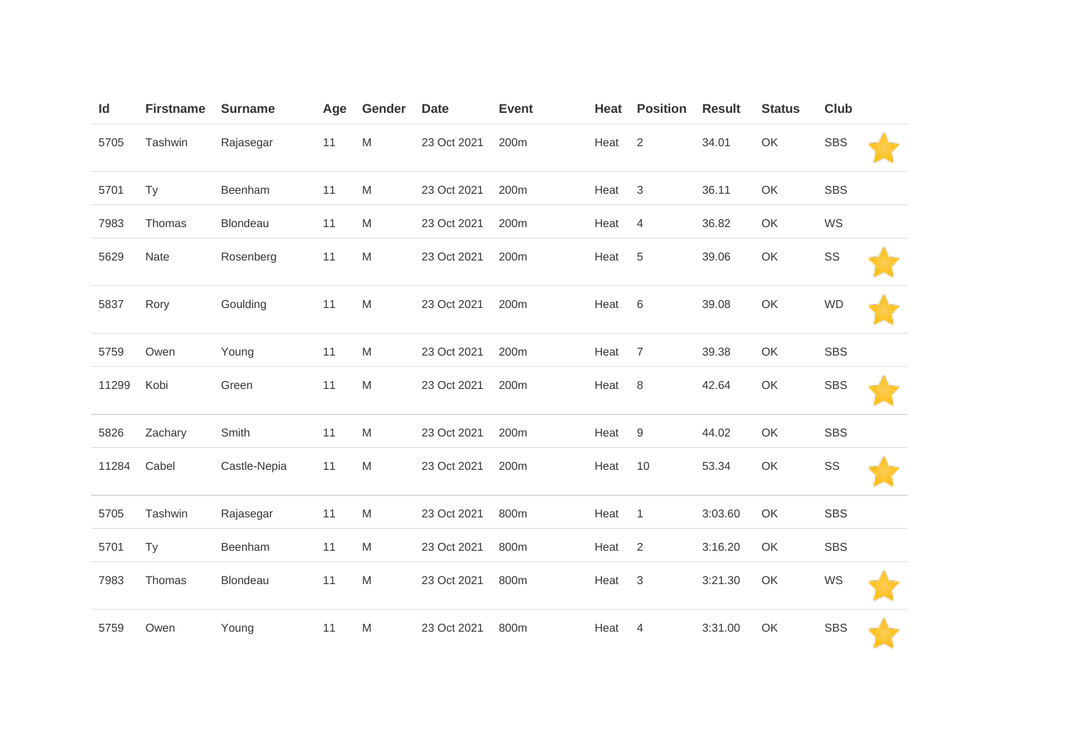| Id    | <b>Firstname</b> | <b>Surname</b> | Age | Gender    | <b>Date</b> | <b>Event</b> | Heat | <b>Position</b>  | <b>Result</b> | <b>Status</b> | <b>Club</b> |  |
|-------|------------------|----------------|-----|-----------|-------------|--------------|------|------------------|---------------|---------------|-------------|--|
| 5705  | Tashwin          | Rajasegar      | 11  | ${\sf M}$ | 23 Oct 2021 | 200m         | Heat | 2                | 34.01         | OK            | <b>SBS</b>  |  |
| 5701  | Ty               | Beenham        | 11  | M         | 23 Oct 2021 | 200m         | Heat | 3                | 36.11         | OK            | <b>SBS</b>  |  |
| 7983  | Thomas           | Blondeau       | 11  | M         | 23 Oct 2021 | 200m         | Heat | $\overline{4}$   | 36.82         | OK            | WS          |  |
| 5629  | Nate             | Rosenberg      | 11  | M         | 23 Oct 2021 | 200m         | Heat | 5                | 39.06         | OK            | SS          |  |
| 5837  | Rory             | Goulding       | 11  | ${\sf M}$ | 23 Oct 2021 | 200m         | Heat | 6                | 39.08         | OK            | <b>WD</b>   |  |
| 5759  | Owen             | Young          | 11  | ${\sf M}$ | 23 Oct 2021 | 200m         | Heat | $\overline{7}$   | 39.38         | OK            | <b>SBS</b>  |  |
| 11299 | Kobi             | Green          | 11  | ${\sf M}$ | 23 Oct 2021 | 200m         | Heat | 8                | 42.64         | OK            | <b>SBS</b>  |  |
| 5826  | Zachary          | Smith          | 11  | M         | 23 Oct 2021 | 200m         | Heat | $\boldsymbol{9}$ | 44.02         | OK            | <b>SBS</b>  |  |
| 11284 | Cabel            | Castle-Nepia   | 11  | ${\sf M}$ | 23 Oct 2021 | 200m         | Heat | 10               | 53.34         | OK            | SS          |  |
| 5705  | Tashwin          | Rajasegar      | 11  | ${\sf M}$ | 23 Oct 2021 | 800m         | Heat | $\mathbf{1}$     | 3:03.60       | OK            | <b>SBS</b>  |  |
| 5701  | <b>Ty</b>        | Beenham        | 11  | ${\sf M}$ | 23 Oct 2021 | 800m         | Heat | $\overline{2}$   | 3:16.20       | OK            | <b>SBS</b>  |  |
| 7983  | Thomas           | Blondeau       | 11  | ${\sf M}$ | 23 Oct 2021 | 800m         | Heat | 3                | 3:21.30       | OK            | WS          |  |
| 5759  | Owen             | Young          | 11  | ${\sf M}$ | 23 Oct 2021 | 800m         | Heat | 4                | 3:31.00       | OK            | <b>SBS</b>  |  |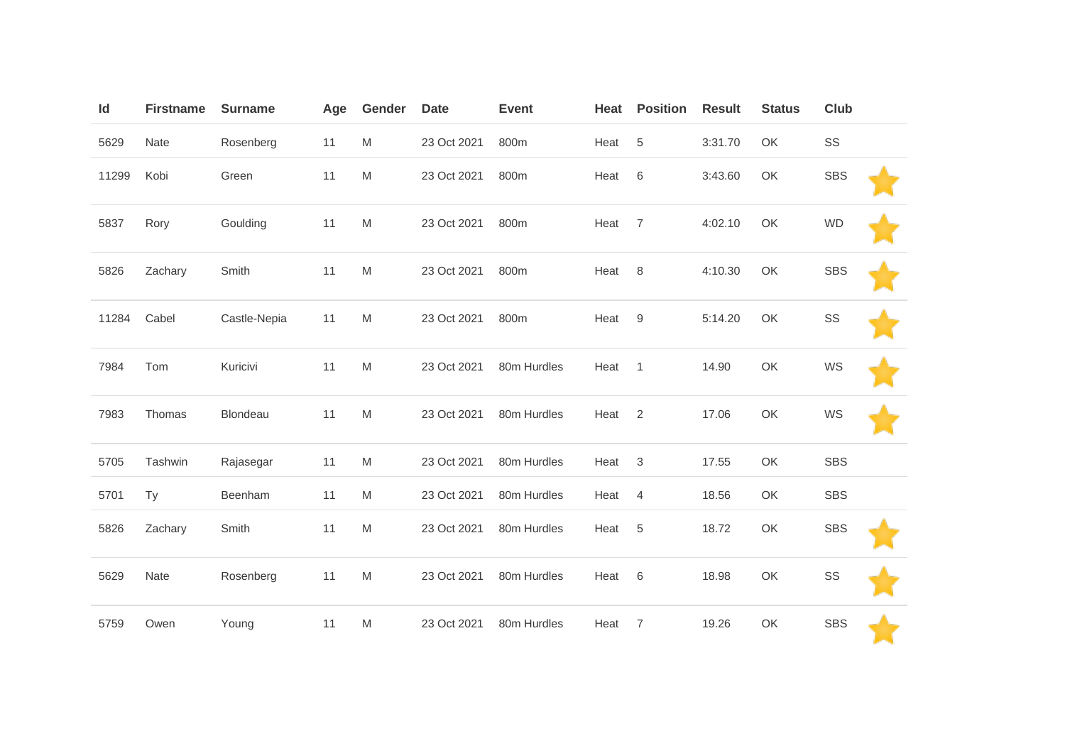| Id    | <b>Firstname</b> | <b>Surname</b> | Age | Gender    | <b>Date</b> | <b>Event</b> | Heat | <b>Position</b> | <b>Result</b> | <b>Status</b> | Club       |  |
|-------|------------------|----------------|-----|-----------|-------------|--------------|------|-----------------|---------------|---------------|------------|--|
| 5629  | Nate             | Rosenberg      | 11  | ${\sf M}$ | 23 Oct 2021 | 800m         | Heat | 5               | 3:31.70       | OK            | SS         |  |
| 11299 | Kobi             | Green          | 11  | M         | 23 Oct 2021 | 800m         | Heat | 6               | 3:43.60       | OK            | <b>SBS</b> |  |
| 5837  | Rory             | Goulding       | 11  | ${\sf M}$ | 23 Oct 2021 | 800m         | Heat | $\overline{7}$  | 4:02.10       | OK            | <b>WD</b>  |  |
| 5826  | Zachary          | Smith          | 11  | ${\sf M}$ | 23 Oct 2021 | 800m         | Heat | 8               | 4:10.30       | OK            | <b>SBS</b> |  |
| 11284 | Cabel            | Castle-Nepia   | 11  | ${\sf M}$ | 23 Oct 2021 | 800m         | Heat | 9               | 5:14.20       | OK            | SS         |  |
| 7984  | Tom              | Kuricivi       | 11  | ${\sf M}$ | 23 Oct 2021 | 80m Hurdles  | Heat | $\mathbf{1}$    | 14.90         | OK            | WS         |  |
| 7983  | Thomas           | Blondeau       | 11  | ${\sf M}$ | 23 Oct 2021 | 80m Hurdles  | Heat | 2               | 17.06         | OK            | WS         |  |
| 5705  | Tashwin          | Rajasegar      | 11  | M         | 23 Oct 2021 | 80m Hurdles  | Heat | 3               | 17.55         | OK            | <b>SBS</b> |  |
| 5701  | Ty               | Beenham        | 11  | ${\sf M}$ | 23 Oct 2021 | 80m Hurdles  | Heat | $\overline{4}$  | 18.56         | OK            | <b>SBS</b> |  |
| 5826  | Zachary          | Smith          | 11  | ${\sf M}$ | 23 Oct 2021 | 80m Hurdles  | Heat | 5               | 18.72         | OK            | <b>SBS</b> |  |
| 5629  | Nate             | Rosenberg      | 11  | ${\sf M}$ | 23 Oct 2021 | 80m Hurdles  | Heat | 6               | 18.98         | OK            | SS         |  |
| 5759  | Owen             | Young          | 11  | M         | 23 Oct 2021 | 80m Hurdles  | Heat | 7               | 19.26         | OK            | <b>SBS</b> |  |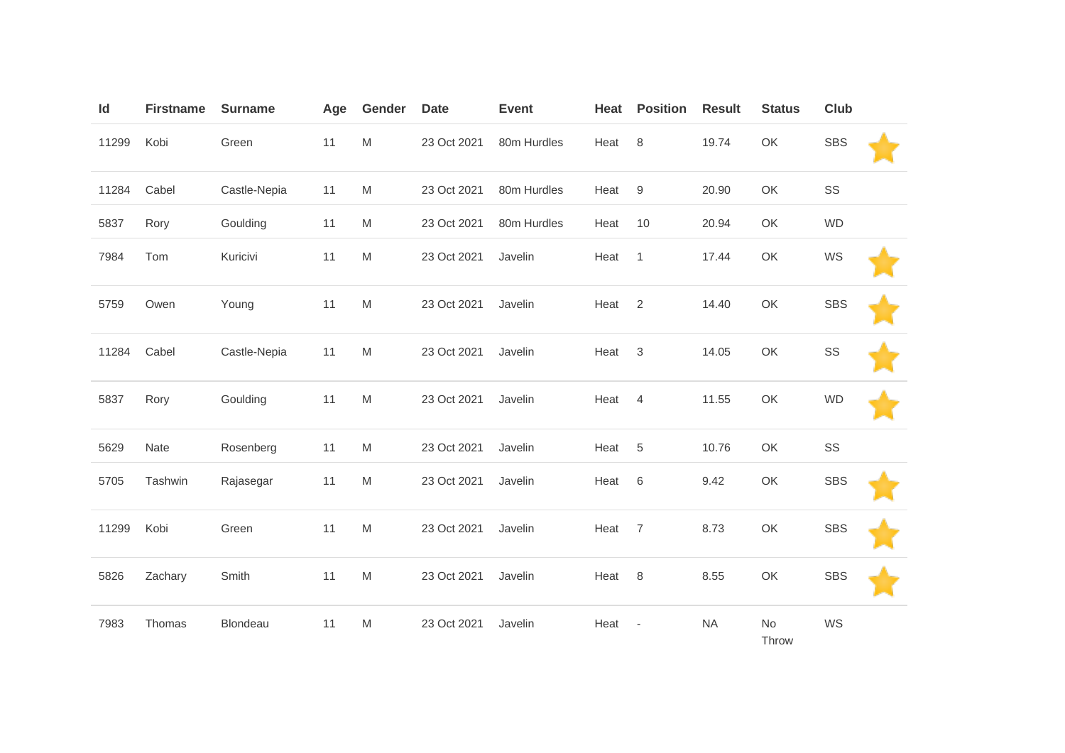| Id    | <b>Firstname</b> | <b>Surname</b> | Age | Gender    | <b>Date</b> | <b>Event</b> | Heat | <b>Position</b>          | <b>Result</b> | <b>Status</b> | <b>Club</b> |  |
|-------|------------------|----------------|-----|-----------|-------------|--------------|------|--------------------------|---------------|---------------|-------------|--|
| 11299 | Kobi             | Green          | 11  | ${\sf M}$ | 23 Oct 2021 | 80m Hurdles  | Heat | $\,8\,$                  | 19.74         | OK            | <b>SBS</b>  |  |
| 11284 | Cabel            | Castle-Nepia   | 11  | M         | 23 Oct 2021 | 80m Hurdles  | Heat | 9                        | 20.90         | OK            | SS          |  |
| 5837  | Rory             | Goulding       | 11  | ${\sf M}$ | 23 Oct 2021 | 80m Hurdles  | Heat | 10                       | 20.94         | OK            | <b>WD</b>   |  |
| 7984  | Tom              | Kuricivi       | 11  | M         | 23 Oct 2021 | Javelin      | Heat | $\mathbf{1}$             | 17.44         | OK            | WS          |  |
| 5759  | Owen             | Young          | 11  | ${\sf M}$ | 23 Oct 2021 | Javelin      | Heat | 2                        | 14.40         | OK            | <b>SBS</b>  |  |
| 11284 | Cabel            | Castle-Nepia   | 11  | ${\sf M}$ | 23 Oct 2021 | Javelin      | Heat | 3                        | 14.05         | OK            | SS          |  |
| 5837  | Rory             | Goulding       | 11  | M         | 23 Oct 2021 | Javelin      | Heat | $\overline{4}$           | 11.55         | OK            | <b>WD</b>   |  |
| 5629  | Nate             | Rosenberg      | 11  | M         | 23 Oct 2021 | Javelin      | Heat | $\,$ 5 $\,$              | 10.76         | OK            | $\text{SS}$ |  |
| 5705  | Tashwin          | Rajasegar      | 11  | ${\sf M}$ | 23 Oct 2021 | Javelin      | Heat | 6                        | 9.42          | OK            | <b>SBS</b>  |  |
| 11299 | Kobi             | Green          | 11  | ${\sf M}$ | 23 Oct 2021 | Javelin      | Heat | $\overline{7}$           | 8.73          | OK            | <b>SBS</b>  |  |
| 5826  | Zachary          | Smith          | 11  | M         | 23 Oct 2021 | Javelin      | Heat | 8                        | 8.55          | OK            | <b>SBS</b>  |  |
| 7983  | Thomas           | Blondeau       | 11  | M         | 23 Oct 2021 | Javelin      | Heat | $\overline{\phantom{a}}$ | <b>NA</b>     | No<br>Throw   | WS          |  |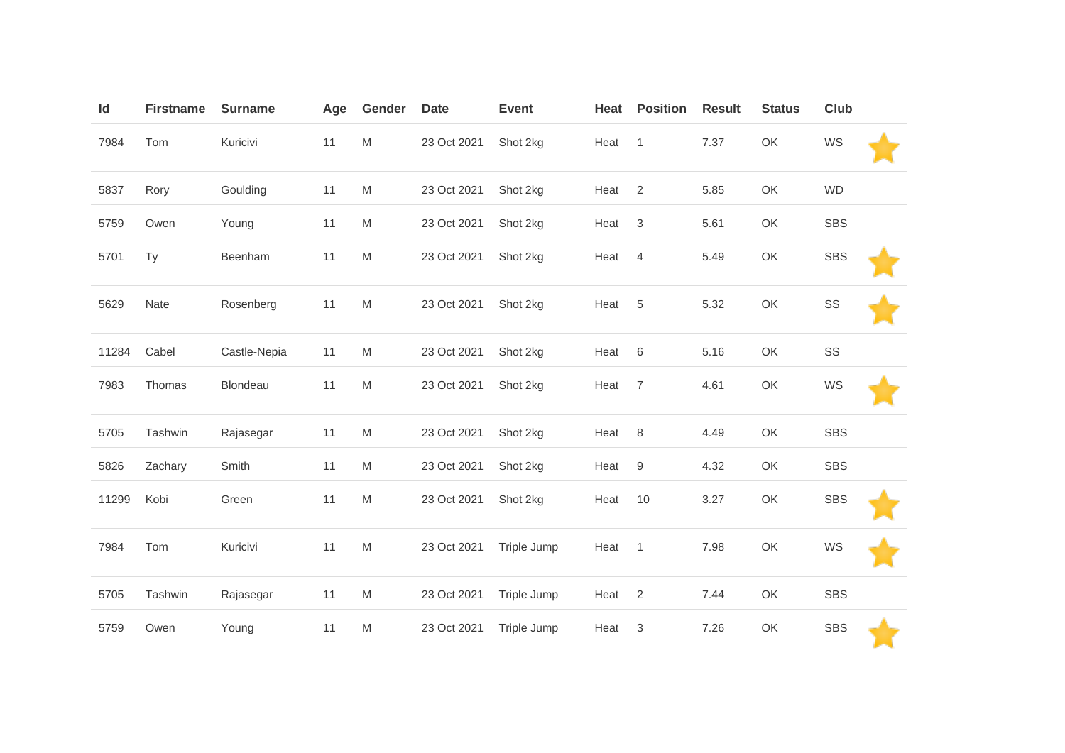| Id    | <b>Firstname</b> | <b>Surname</b> | Age | Gender | <b>Date</b> | <b>Event</b> | Heat | <b>Position</b>  | <b>Result</b> | <b>Status</b> | <b>Club</b> |  |
|-------|------------------|----------------|-----|--------|-------------|--------------|------|------------------|---------------|---------------|-------------|--|
| 7984  | Tom              | Kuricivi       | 11  | M      | 23 Oct 2021 | Shot 2kg     | Heat | $\mathbf{1}$     | 7.37          | OK            | WS          |  |
| 5837  | Rory             | Goulding       | 11  | M      | 23 Oct 2021 | Shot 2kg     | Heat | 2                | 5.85          | OK            | <b>WD</b>   |  |
| 5759  | Owen             | Young          | 11  | M      | 23 Oct 2021 | Shot 2kg     | Heat | $\sqrt{3}$       | 5.61          | OK            | <b>SBS</b>  |  |
| 5701  | Ty               | Beenham        | 11  | M      | 23 Oct 2021 | Shot 2kg     | Heat | $\overline{4}$   | 5.49          | OK            | <b>SBS</b>  |  |
| 5629  | Nate             | Rosenberg      | 11  | M      | 23 Oct 2021 | Shot 2kg     | Heat | $\,$ 5 $\,$      | 5.32          | OK            | SS          |  |
| 11284 | Cabel            | Castle-Nepia   | 11  | M      | 23 Oct 2021 | Shot 2kg     | Heat | 6                | 5.16          | OK            | SS          |  |
| 7983  | Thomas           | Blondeau       | 11  | M      | 23 Oct 2021 | Shot 2kg     | Heat | $\overline{7}$   | 4.61          | OK            | WS          |  |
| 5705  | Tashwin          | Rajasegar      | 11  | M      | 23 Oct 2021 | Shot 2kg     | Heat | 8                | 4.49          | OK            | <b>SBS</b>  |  |
| 5826  | Zachary          | Smith          | 11  | M      | 23 Oct 2021 | Shot 2kg     | Heat | $\boldsymbol{9}$ | 4.32          | OK            | <b>SBS</b>  |  |
| 11299 | Kobi             | Green          | 11  | M      | 23 Oct 2021 | Shot 2kg     | Heat | 10               | 3.27          | OK            | <b>SBS</b>  |  |
| 7984  | Tom              | Kuricivi       | 11  | M      | 23 Oct 2021 | Triple Jump  | Heat | $\mathbf{1}$     | 7.98          | OK            | WS          |  |
| 5705  | Tashwin          | Rajasegar      | 11  | M      | 23 Oct 2021 | Triple Jump  | Heat | $\overline{2}$   | 7.44          | OK            | <b>SBS</b>  |  |
| 5759  | Owen             | Young          | 11  | M      | 23 Oct 2021 | Triple Jump  | Heat | 3                | 7.26          | OK            | <b>SBS</b>  |  |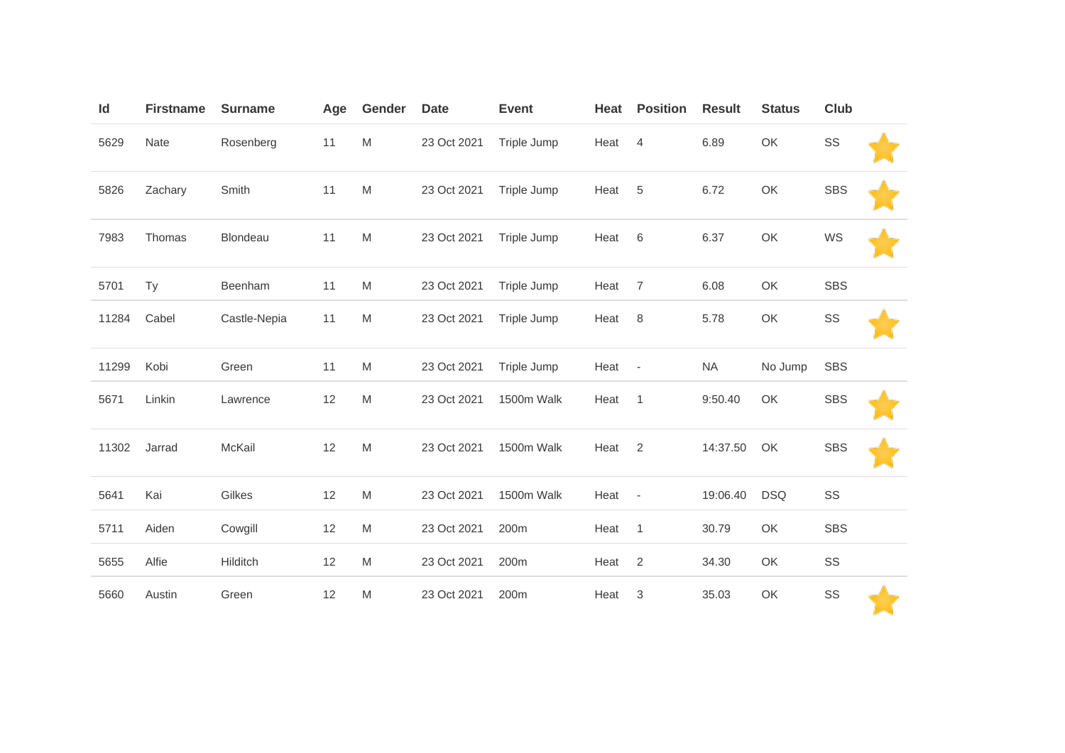| Id    | <b>Firstname</b> | <b>Surname</b> | Age | Gender                                                                                                     | <b>Date</b> | <b>Event</b> | Heat | <b>Position</b>          | <b>Result</b> | <b>Status</b> | <b>Club</b> |  |
|-------|------------------|----------------|-----|------------------------------------------------------------------------------------------------------------|-------------|--------------|------|--------------------------|---------------|---------------|-------------|--|
| 5629  | Nate             | Rosenberg      | 11  | ${\sf M}$                                                                                                  | 23 Oct 2021 | Triple Jump  | Heat | $\overline{4}$           | 6.89          | OK            | SS          |  |
| 5826  | Zachary          | Smith          | 11  | M                                                                                                          | 23 Oct 2021 | Triple Jump  | Heat | 5                        | 6.72          | OK            | <b>SBS</b>  |  |
| 7983  | Thomas           | Blondeau       | 11  | ${\sf M}$                                                                                                  | 23 Oct 2021 | Triple Jump  | Heat | $\,6$                    | 6.37          | OK            | WS          |  |
| 5701  | Ty               | Beenham        | 11  | M                                                                                                          | 23 Oct 2021 | Triple Jump  | Heat | $\overline{7}$           | 6.08          | OK            | <b>SBS</b>  |  |
| 11284 | Cabel            | Castle-Nepia   | 11  | M                                                                                                          | 23 Oct 2021 | Triple Jump  | Heat | 8                        | 5.78          | OK            | SS          |  |
| 11299 | Kobi             | Green          | 11  | M                                                                                                          | 23 Oct 2021 | Triple Jump  | Heat | $\overline{\phantom{a}}$ | <b>NA</b>     | No Jump       | <b>SBS</b>  |  |
| 5671  | Linkin           | Lawrence       | 12  | M                                                                                                          | 23 Oct 2021 | 1500m Walk   | Heat | $\mathbf{1}$             | 9:50.40       | OK            | <b>SBS</b>  |  |
| 11302 | Jarrad           | McKail         | 12  | $\mathsf{M}% _{T}=\mathsf{M}_{T}\!\left( a,b\right) ,\ \mathsf{M}_{T}=\mathsf{M}_{T}\!\left( a,b\right) ,$ | 23 Oct 2021 | 1500m Walk   | Heat | 2                        | 14:37.50      | OK            | <b>SBS</b>  |  |
| 5641  | Kai              | Gilkes         | 12  | M                                                                                                          | 23 Oct 2021 | 1500m Walk   | Heat | $\overline{\phantom{a}}$ | 19:06.40      | <b>DSQ</b>    | SS          |  |
| 5711  | Aiden            | Cowgill        | 12  | M                                                                                                          | 23 Oct 2021 | 200m         | Heat | $\mathbf{1}$             | 30.79         | OK            | <b>SBS</b>  |  |
| 5655  | Alfie            | Hilditch       | 12  | M                                                                                                          | 23 Oct 2021 | 200m         | Heat | $\overline{2}$           | 34.30         | OK            | SS          |  |
| 5660  | Austin           | Green          | 12  | M                                                                                                          | 23 Oct 2021 | 200m         | Heat | 3                        | 35.03         | OK            | SS          |  |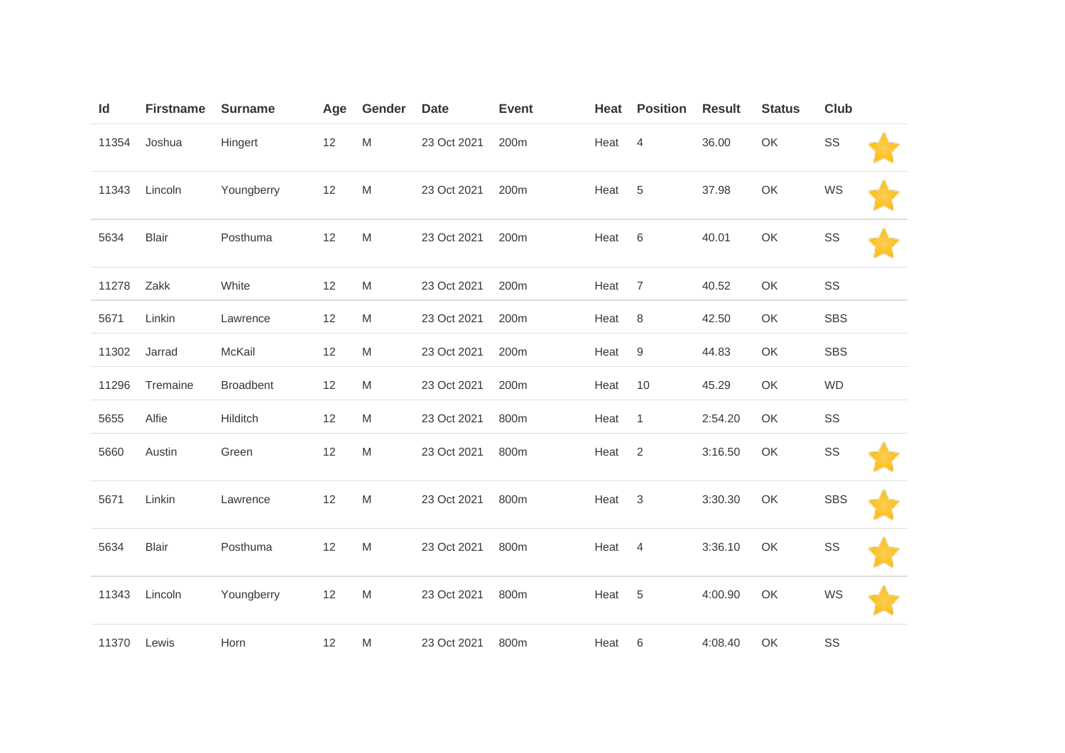| Id    | <b>Firstname</b> | <b>Surname</b>   | Age  | Gender                                                                                                     | <b>Date</b> | <b>Event</b> | Heat | <b>Position</b> | <b>Result</b> | <b>Status</b> | Club       |  |
|-------|------------------|------------------|------|------------------------------------------------------------------------------------------------------------|-------------|--------------|------|-----------------|---------------|---------------|------------|--|
| 11354 | Joshua           | Hingert          | 12   | $\mathsf{M}% _{T}=\mathsf{M}_{T}\!\left( a,b\right) ,\ \mathsf{M}_{T}=\mathsf{M}_{T}\!\left( a,b\right) ,$ | 23 Oct 2021 | 200m         | Heat | $\overline{4}$  | 36.00         | OK            | SS         |  |
| 11343 | Lincoln          | Youngberry       | 12   | ${\sf M}$                                                                                                  | 23 Oct 2021 | 200m         | Heat | 5               | 37.98         | OK            | WS         |  |
| 5634  | <b>Blair</b>     | Posthuma         | $12$ | $\mathsf{M}% _{T}=\mathsf{M}_{T}\!\left( a,b\right) ,\ \mathsf{M}_{T}=\mathsf{M}_{T}\!\left( a,b\right) ,$ | 23 Oct 2021 | 200m         | Heat | $\,6\,$         | 40.01         | OK            | SS         |  |
| 11278 | Zakk             | White            | 12   | M                                                                                                          | 23 Oct 2021 | 200m         | Heat | $\overline{7}$  | 40.52         | OK            | SS         |  |
| 5671  | Linkin           | Lawrence         | 12   | M                                                                                                          | 23 Oct 2021 | 200m         | Heat | 8               | 42.50         | OK            | <b>SBS</b> |  |
| 11302 | Jarrad           | McKail           | 12   | M                                                                                                          | 23 Oct 2021 | 200m         | Heat | 9               | 44.83         | OK            | <b>SBS</b> |  |
| 11296 | Tremaine         | <b>Broadbent</b> | 12   | M                                                                                                          | 23 Oct 2021 | 200m         | Heat | 10              | 45.29         | OK            | <b>WD</b>  |  |
| 5655  | Alfie            | Hilditch         | 12   | M                                                                                                          | 23 Oct 2021 | 800m         | Heat | $\mathbf{1}$    | 2:54.20       | OK            | SS         |  |
| 5660  | Austin           | Green            | 12   | M                                                                                                          | 23 Oct 2021 | 800m         | Heat | $\mathbf{2}$    | 3:16.50       | OK            | SS         |  |
| 5671  | Linkin           | Lawrence         | 12   | ${\sf M}$                                                                                                  | 23 Oct 2021 | 800m         | Heat | 3               | 3:30.30       | OK            | <b>SBS</b> |  |
| 5634  | <b>Blair</b>     | Posthuma         | 12   | ${\sf M}$                                                                                                  | 23 Oct 2021 | 800m         | Heat | $\overline{4}$  | 3:36.10       | OK            | SS         |  |
| 11343 | Lincoln          | Youngberry       | 12   | $\mathsf{M}% _{T}=\mathsf{M}_{T}\!\left( a,b\right) ,\ \mathsf{M}_{T}=\mathsf{M}_{T}\!\left( a,b\right) ,$ | 23 Oct 2021 | 800m         | Heat | $\sqrt{5}$      | 4:00.90       | OK            | WS         |  |
| 11370 | Lewis            | Horn             | 12   | M                                                                                                          | 23 Oct 2021 | 800m         | Heat | 6               | 4:08.40       | OK            | SS         |  |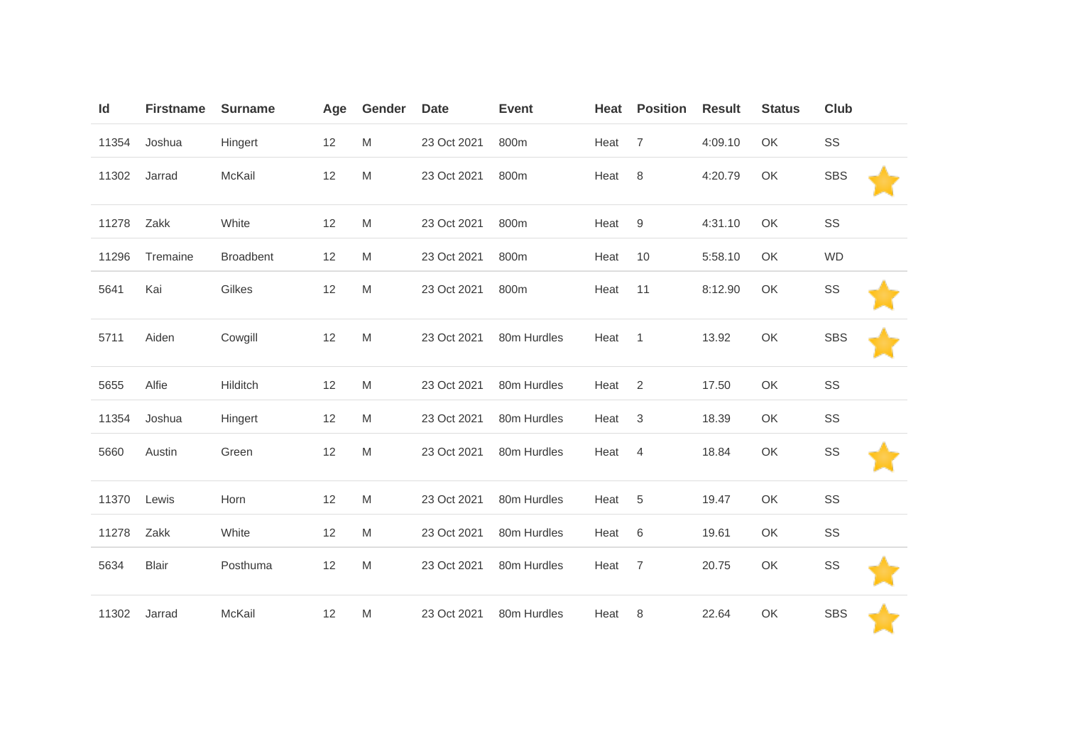| Id    | <b>Firstname</b> | <b>Surname</b>   | Age | Gender | <b>Date</b> | <b>Event</b> | Heat | <b>Position</b> | <b>Result</b> | <b>Status</b> | <b>Club</b> |
|-------|------------------|------------------|-----|--------|-------------|--------------|------|-----------------|---------------|---------------|-------------|
| 11354 | Joshua           | Hingert          | 12  | M      | 23 Oct 2021 | 800m         | Heat | $\overline{7}$  | 4:09.10       | OK            | SS          |
| 11302 | Jarrad           | McKail           | 12  | M      | 23 Oct 2021 | 800m         | Heat | 8               | 4:20.79       | OK            | <b>SBS</b>  |
| 11278 | Zakk             | White            | 12  | M      | 23 Oct 2021 | 800m         | Heat | 9               | 4:31.10       | OK            | SS          |
| 11296 | Tremaine         | <b>Broadbent</b> | 12  | M      | 23 Oct 2021 | 800m         | Heat | 10              | 5:58.10       | OK            | <b>WD</b>   |
| 5641  | Kai              | Gilkes           | 12  | M      | 23 Oct 2021 | 800m         | Heat | 11              | 8:12.90       | OK            | SS          |
| 5711  | Aiden            | Cowgill          | 12  | M      | 23 Oct 2021 | 80m Hurdles  | Heat | $\overline{1}$  | 13.92         | OK            | <b>SBS</b>  |
| 5655  | Alfie            | Hilditch         | 12  | M      | 23 Oct 2021 | 80m Hurdles  | Heat | 2               | 17.50         | OK            | SS          |
| 11354 | Joshua           | Hingert          | 12  | M      | 23 Oct 2021 | 80m Hurdles  | Heat | $\sqrt{3}$      | 18.39         | OK            | SS          |
| 5660  | Austin           | Green            | 12  | M      | 23 Oct 2021 | 80m Hurdles  | Heat | $\overline{4}$  | 18.84         | OK            | SS          |
| 11370 | Lewis            | Horn             | 12  | M      | 23 Oct 2021 | 80m Hurdles  | Heat | $\sqrt{5}$      | 19.47         | OK            | SS          |
| 11278 | Zakk             | White            | 12  | M      | 23 Oct 2021 | 80m Hurdles  | Heat | $6\,$           | 19.61         | OK            | SS          |
| 5634  | <b>Blair</b>     | Posthuma         | 12  | M      | 23 Oct 2021 | 80m Hurdles  | Heat | $\overline{7}$  | 20.75         | OK            | SS          |
| 11302 | Jarrad           | McKail           | 12  | M      | 23 Oct 2021 | 80m Hurdles  | Heat | 8               | 22.64         | OK            | <b>SBS</b>  |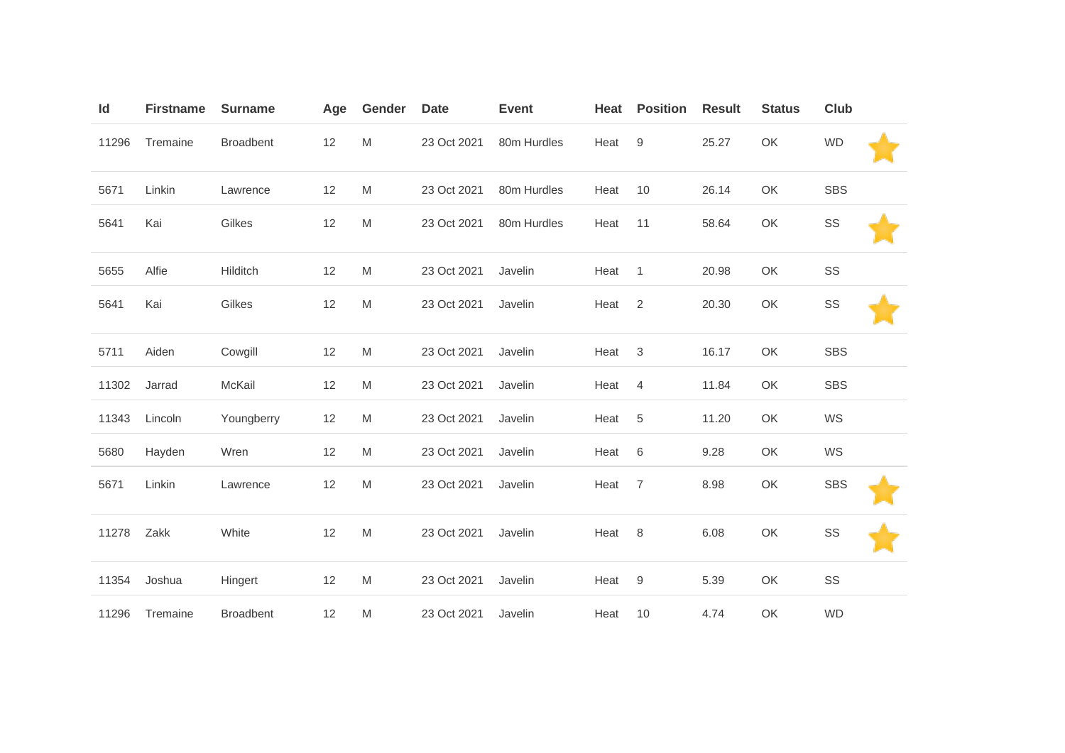| Id    | <b>Firstname</b> | <b>Surname</b>   | Age | Gender | <b>Date</b> | <b>Event</b> | Heat | <b>Position</b>  | <b>Result</b> | <b>Status</b> | <b>Club</b> |  |
|-------|------------------|------------------|-----|--------|-------------|--------------|------|------------------|---------------|---------------|-------------|--|
| 11296 | Tremaine         | <b>Broadbent</b> | 12  | M      | 23 Oct 2021 | 80m Hurdles  | Heat | $\boldsymbol{9}$ | 25.27         | OK            | <b>WD</b>   |  |
| 5671  | Linkin           | Lawrence         | 12  | M      | 23 Oct 2021 | 80m Hurdles  | Heat | 10               | 26.14         | OK            | <b>SBS</b>  |  |
| 5641  | Kai              | Gilkes           | 12  | M      | 23 Oct 2021 | 80m Hurdles  | Heat | 11               | 58.64         | OK            | SS          |  |
| 5655  | Alfie            | Hilditch         | 12  | M      | 23 Oct 2021 | Javelin      | Heat | $\mathbf{1}$     | 20.98         | OK            | SS          |  |
| 5641  | Kai              | Gilkes           | 12  | M      | 23 Oct 2021 | Javelin      | Heat | $\overline{2}$   | 20.30         | OK            | SS          |  |
| 5711  | Aiden            | Cowgill          | 12  | M      | 23 Oct 2021 | Javelin      | Heat | $\sqrt{3}$       | 16.17         | OK            | <b>SBS</b>  |  |
| 11302 | Jarrad           | McKail           | 12  | M      | 23 Oct 2021 | Javelin      | Heat | $\overline{4}$   | 11.84         | OK            | <b>SBS</b>  |  |
| 11343 | Lincoln          | Youngberry       | 12  | M      | 23 Oct 2021 | Javelin      | Heat | $\sqrt{5}$       | 11.20         | OK            | WS          |  |
| 5680  | Hayden           | Wren             | 12  | M      | 23 Oct 2021 | Javelin      | Heat | $\,6$            | 9.28          | OK            | WS          |  |
| 5671  | Linkin           | Lawrence         | 12  | M      | 23 Oct 2021 | Javelin      | Heat | $\overline{7}$   | 8.98          | OK            | <b>SBS</b>  |  |
| 11278 | Zakk             | White            | 12  | M      | 23 Oct 2021 | Javelin      | Heat | $\,8\,$          | 6.08          | OK            | SS          |  |
| 11354 | Joshua           | Hingert          | 12  | M      | 23 Oct 2021 | Javelin      | Heat | $\boldsymbol{9}$ | 5.39          | OK            | SS          |  |
| 11296 | Tremaine         | <b>Broadbent</b> | 12  | M      | 23 Oct 2021 | Javelin      | Heat | 10               | 4.74          | OK            | <b>WD</b>   |  |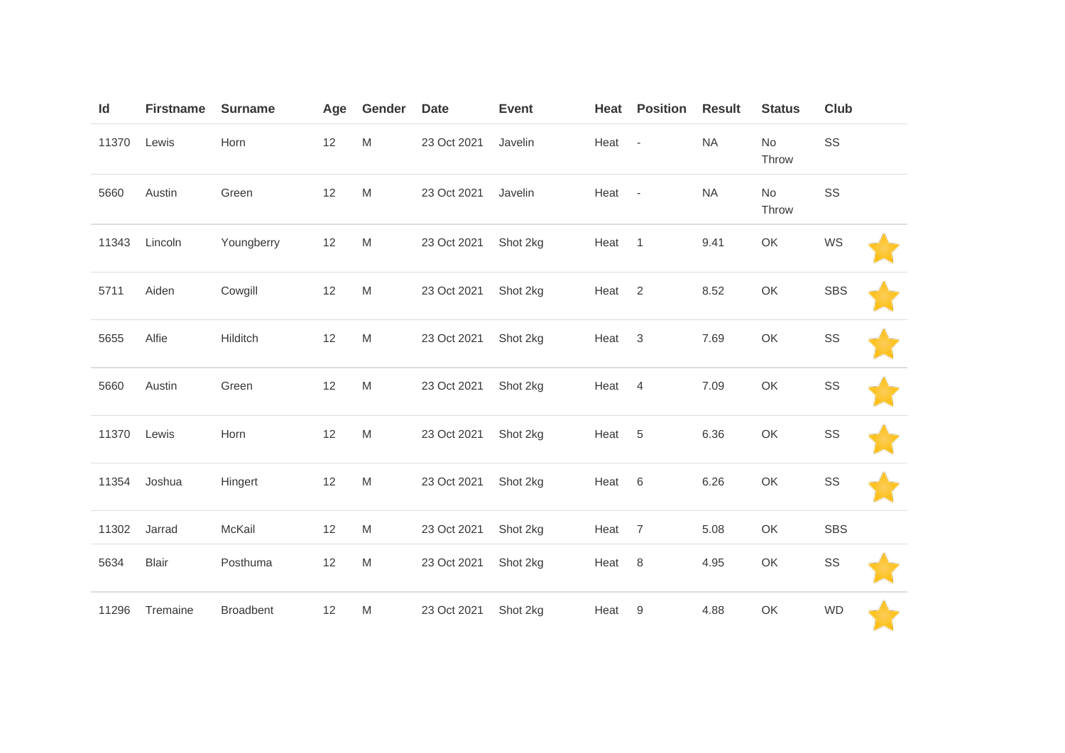| Id    | <b>Firstname</b> | <b>Surname</b> | Age | Gender                                                                                | <b>Date</b> | <b>Event</b> | Heat   | <b>Position</b> | <b>Result</b> | <b>Status</b> | Club       |  |
|-------|------------------|----------------|-----|---------------------------------------------------------------------------------------|-------------|--------------|--------|-----------------|---------------|---------------|------------|--|
| 11370 | Lewis            | Horn           | 12  | $\mathsf{M}% _{T}=\mathsf{M}_{T}\!\left( a,b\right) ,\ \mathsf{M}_{T}=\mathsf{M}_{T}$ | 23 Oct 2021 | Javelin      | Heat - |                 | <b>NA</b>     | No<br>Throw   | SS         |  |
| 5660  | Austin           | Green          | 12  | M                                                                                     | 23 Oct 2021 | Javelin      | Heat - |                 | <b>NA</b>     | No<br>Throw   | SS         |  |
| 11343 | Lincoln          | Youngberry     | 12  | M                                                                                     | 23 Oct 2021 | Shot 2kg     | Heat 1 |                 | 9.41          | OK            | WS         |  |
| 5711  | Aiden            | Cowgill        | 12  | M                                                                                     | 23 Oct 2021 | Shot 2kg     | Heat   | $\overline{2}$  | 8.52          | OK            | <b>SBS</b> |  |
| 5655  | Alfie            | Hilditch       | 12  | M                                                                                     | 23 Oct 2021 | Shot 2kg     | Heat   | $\sqrt{3}$      | 7.69          | OK            | SS         |  |
| 5660  | Austin           | Green          | 12  | M                                                                                     | 23 Oct 2021 | Shot 2kg     | Heat   | $\overline{4}$  | 7.09          | OK            | SS         |  |
| 11370 | Lewis            | Horn           | 12  | M                                                                                     | 23 Oct 2021 | Shot 2kg     | Heat   | 5               | 6.36          | OK            | SS         |  |
| 11354 | Joshua           | Hingert        | 12  | M                                                                                     | 23 Oct 2021 | Shot 2kg     | Heat 6 |                 | 6.26          | OK            | SS         |  |
| 11302 | Jarrad           | McKail         | 12  | M                                                                                     | 23 Oct 2021 | Shot 2kg     | Heat   | $\overline{7}$  | 5.08          | OK            | <b>SBS</b> |  |
| 5634  | <b>Blair</b>     | Posthuma       | 12  | M                                                                                     | 23 Oct 2021 | Shot 2kg     | Heat   | 8               | 4.95          | OK            | SS         |  |
| 11296 | Tremaine         | Broadbent      | 12  | M                                                                                     | 23 Oct 2021 | Shot 2kg     | Heat   | 9               | 4.88          | OK            | <b>WD</b>  |  |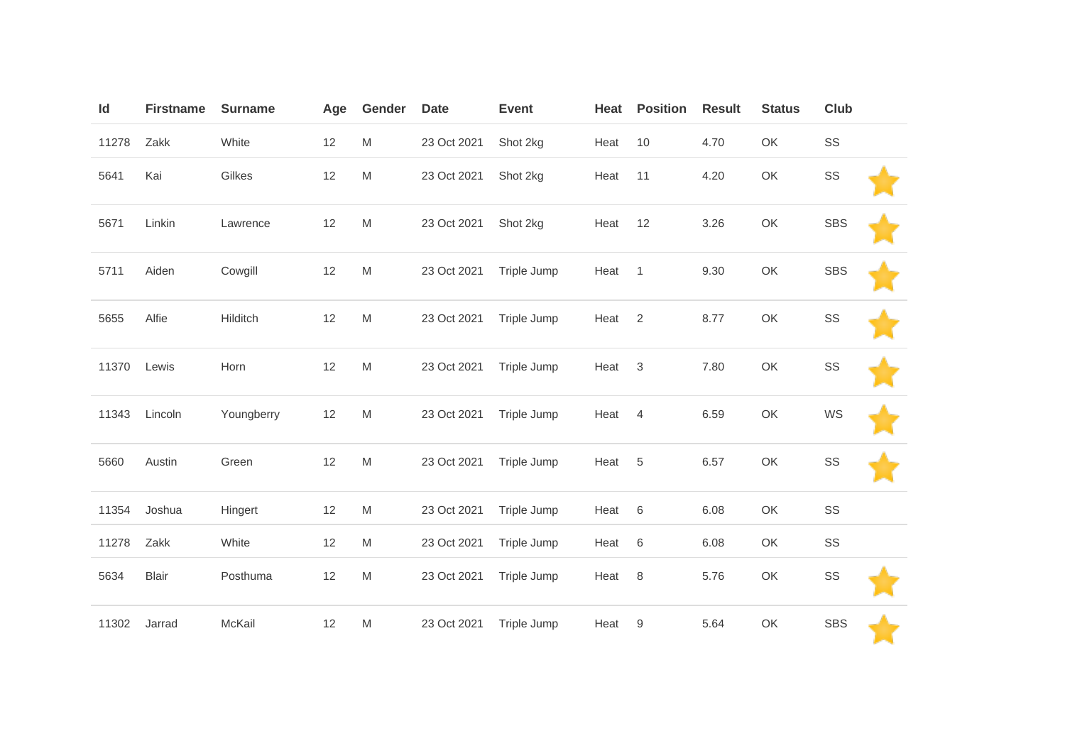| Id    | <b>Firstname</b> | <b>Surname</b> | Age | Gender                                                                                                     | <b>Date</b> | <b>Event</b> | Heat | <b>Position</b> | <b>Result</b> | <b>Status</b> | Club       |  |
|-------|------------------|----------------|-----|------------------------------------------------------------------------------------------------------------|-------------|--------------|------|-----------------|---------------|---------------|------------|--|
| 11278 | Zakk             | White          | 12  | $\mathsf{M}% _{T}=\mathsf{M}_{T}\!\left( a,b\right) ,\ \mathsf{M}_{T}=\mathsf{M}_{T}\!\left( a,b\right) ,$ | 23 Oct 2021 | Shot 2kg     | Heat | 10              | 4.70          | OK            | SS         |  |
| 5641  | Kai              | Gilkes         | 12  | $\mathsf{M}% _{T}=\mathsf{M}_{T}\!\left( a,b\right) ,\ \mathsf{M}_{T}=\mathsf{M}_{T}\!\left( a,b\right) ,$ | 23 Oct 2021 | Shot 2kg     | Heat | 11              | 4.20          | OK            | SS         |  |
| 5671  | Linkin           | Lawrence       | 12  | ${\sf M}$                                                                                                  | 23 Oct 2021 | Shot 2kg     | Heat | 12              | 3.26          | OK            | <b>SBS</b> |  |
| 5711  | Aiden            | Cowgill        | 12  | ${\sf M}$                                                                                                  | 23 Oct 2021 | Triple Jump  | Heat | $\mathbf{1}$    | 9.30          | OK            | <b>SBS</b> |  |
| 5655  | Alfie            | Hilditch       | 12  | ${\sf M}$                                                                                                  | 23 Oct 2021 | Triple Jump  | Heat | $\overline{2}$  | 8.77          | OK            | SS         |  |
| 11370 | Lewis            | Horn           | 12  | $\mathsf{M}% _{T}=\mathsf{M}_{T}\!\left( a,b\right) ,\ \mathsf{M}_{T}=\mathsf{M}_{T}\!\left( a,b\right) ,$ | 23 Oct 2021 | Triple Jump  | Heat | $\sqrt{3}$      | 7.80          | OK            | SS         |  |
| 11343 | Lincoln          | Youngberry     | 12  | ${\sf M}$                                                                                                  | 23 Oct 2021 | Triple Jump  | Heat | $\overline{4}$  | 6.59          | OK            | WS         |  |
| 5660  | Austin           | Green          | 12  | ${\sf M}$                                                                                                  | 23 Oct 2021 | Triple Jump  | Heat | $\sqrt{5}$      | 6.57          | OK            | SS         |  |
| 11354 | Joshua           | Hingert        | 12  | ${\sf M}$                                                                                                  | 23 Oct 2021 | Triple Jump  | Heat | $\,6\,$         | 6.08          | OK            | SS         |  |
| 11278 | Zakk             | White          | 12  | ${\sf M}$                                                                                                  | 23 Oct 2021 | Triple Jump  | Heat | $\,6\,$         | 6.08          | OK            | SS         |  |
| 5634  | <b>Blair</b>     | Posthuma       | 12  | M                                                                                                          | 23 Oct 2021 | Triple Jump  | Heat | $\,8\,$         | 5.76          | OK            | SS         |  |
| 11302 | Jarrad           | McKail         | 12  | M                                                                                                          | 23 Oct 2021 | Triple Jump  | Heat | 9               | 5.64          | OK            | <b>SBS</b> |  |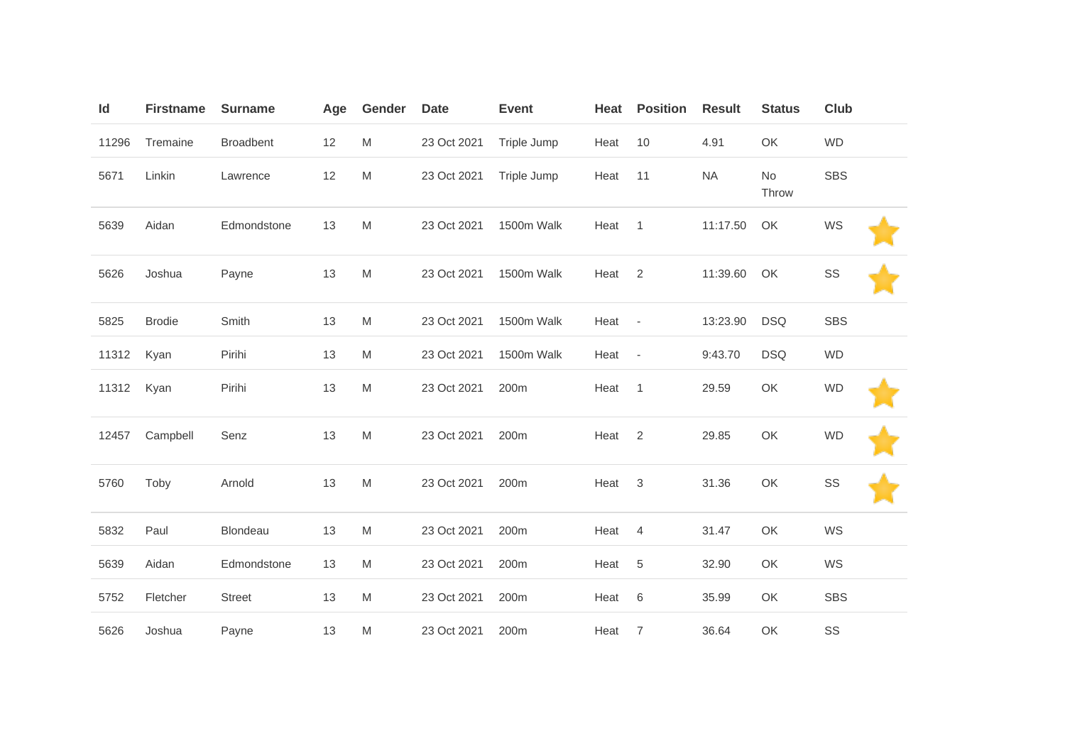| Id    | <b>Firstname</b> | <b>Surname</b>   | Age | Gender    | <b>Date</b> | <b>Event</b> | Heat | <b>Position</b>          | <b>Result</b> | <b>Status</b> | <b>Club</b> |  |
|-------|------------------|------------------|-----|-----------|-------------|--------------|------|--------------------------|---------------|---------------|-------------|--|
| 11296 | Tremaine         | <b>Broadbent</b> | 12  | ${\sf M}$ | 23 Oct 2021 | Triple Jump  | Heat | 10                       | 4.91          | OK            | <b>WD</b>   |  |
| 5671  | Linkin           | Lawrence         | 12  | M         | 23 Oct 2021 | Triple Jump  | Heat | 11                       | <b>NA</b>     | No<br>Throw   | <b>SBS</b>  |  |
| 5639  | Aidan            | Edmondstone      | 13  | M         | 23 Oct 2021 | 1500m Walk   | Heat | $\mathbf{1}$             | 11:17.50      | OK            | WS          |  |
| 5626  | Joshua           | Payne            | 13  | M         | 23 Oct 2021 | 1500m Walk   | Heat | $\overline{2}$           | 11:39.60      | OK            | SS          |  |
| 5825  | <b>Brodie</b>    | Smith            | 13  | M         | 23 Oct 2021 | 1500m Walk   | Heat | $\overline{\phantom{a}}$ | 13:23.90      | <b>DSQ</b>    | <b>SBS</b>  |  |
| 11312 | Kyan             | Pirihi           | 13  | M         | 23 Oct 2021 | 1500m Walk   | Heat | $\blacksquare$           | 9:43.70       | <b>DSQ</b>    | <b>WD</b>   |  |
| 11312 | Kyan             | Pirihi           | 13  | M         | 23 Oct 2021 | 200m         | Heat | $\mathbf{1}$             | 29.59         | OK            | <b>WD</b>   |  |
| 12457 | Campbell         | Senz             | 13  | ${\sf M}$ | 23 Oct 2021 | 200m         | Heat | $\overline{2}$           | 29.85         | OK            | <b>WD</b>   |  |
| 5760  | Toby             | Arnold           | 13  | M         | 23 Oct 2021 | 200m         | Heat | 3                        | 31.36         | OK            | SS          |  |
| 5832  | Paul             | <b>Blondeau</b>  | 13  | M         | 23 Oct 2021 | 200m         | Heat | $\overline{4}$           | 31.47         | OK            | WS          |  |
| 5639  | Aidan            | Edmondstone      | 13  | ${\sf M}$ | 23 Oct 2021 | 200m         | Heat | 5                        | 32.90         | OK            | WS          |  |
| 5752  | Fletcher         | <b>Street</b>    | 13  | M         | 23 Oct 2021 | 200m         | Heat | $\,6$                    | 35.99         | OK            | <b>SBS</b>  |  |
| 5626  | Joshua           | Payne            | 13  | M         | 23 Oct 2021 | 200m         | Heat | 7                        | 36.64         | OK            | SS          |  |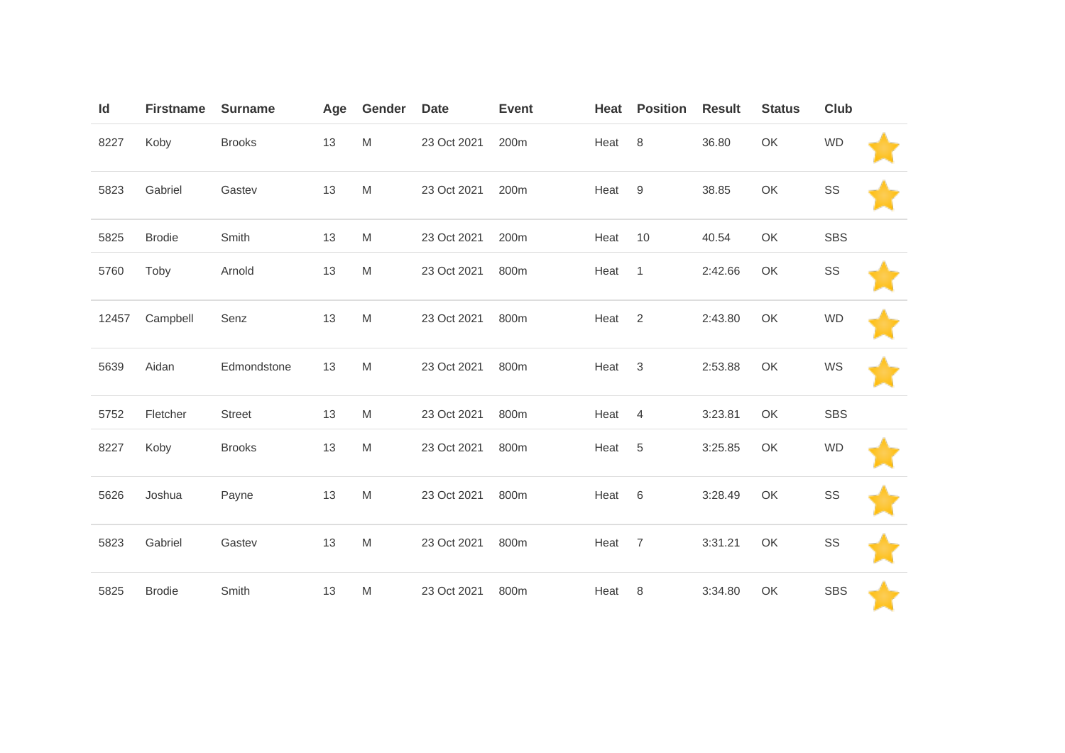| Id    | <b>Firstname</b> | <b>Surname</b> | Age | Gender | <b>Date</b> | <b>Event</b> | Heat | <b>Position</b> | <b>Result</b> | <b>Status</b> | <b>Club</b> |  |
|-------|------------------|----------------|-----|--------|-------------|--------------|------|-----------------|---------------|---------------|-------------|--|
| 8227  | Koby             | <b>Brooks</b>  | 13  | M      | 23 Oct 2021 | 200m         | Heat | 8               | 36.80         | OK            | <b>WD</b>   |  |
| 5823  | Gabriel          | Gastev         | 13  | M      | 23 Oct 2021 | 200m         | Heat | 9               | 38.85         | OK            | SS          |  |
| 5825  | <b>Brodie</b>    | Smith          | 13  | M      | 23 Oct 2021 | 200m         | Heat | 10              | 40.54         | OK            | <b>SBS</b>  |  |
| 5760  | Toby             | Arnold         | 13  | M      | 23 Oct 2021 | 800m         | Heat | $\overline{1}$  | 2:42.66       | OK            | SS          |  |
| 12457 | Campbell         | Senz           | 13  | M      | 23 Oct 2021 | 800m         | Heat | 2               | 2:43.80       | OK            | <b>WD</b>   |  |
| 5639  | Aidan            | Edmondstone    | 13  | M      | 23 Oct 2021 | 800m         | Heat | 3               | 2:53.88       | OK            | WS          |  |
| 5752  | Fletcher         | <b>Street</b>  | 13  | M      | 23 Oct 2021 | 800m         | Heat | $\overline{4}$  | 3:23.81       | OK            | <b>SBS</b>  |  |
| 8227  | Koby             | <b>Brooks</b>  | 13  | M      | 23 Oct 2021 | 800m         | Heat | 5               | 3:25.85       | OK            | <b>WD</b>   |  |
| 5626  | Joshua           | Payne          | 13  | M      | 23 Oct 2021 | 800m         | Heat | 6               | 3:28.49       | OK            | SS          |  |
| 5823  | Gabriel          | Gastev         | 13  | M      | 23 Oct 2021 | 800m         | Heat | $\overline{7}$  | 3:31.21       | OK            | SS          |  |
| 5825  | <b>Brodie</b>    | Smith          | 13  | M      | 23 Oct 2021 | 800m         | Heat | 8               | 3:34.80       | OK            | <b>SBS</b>  |  |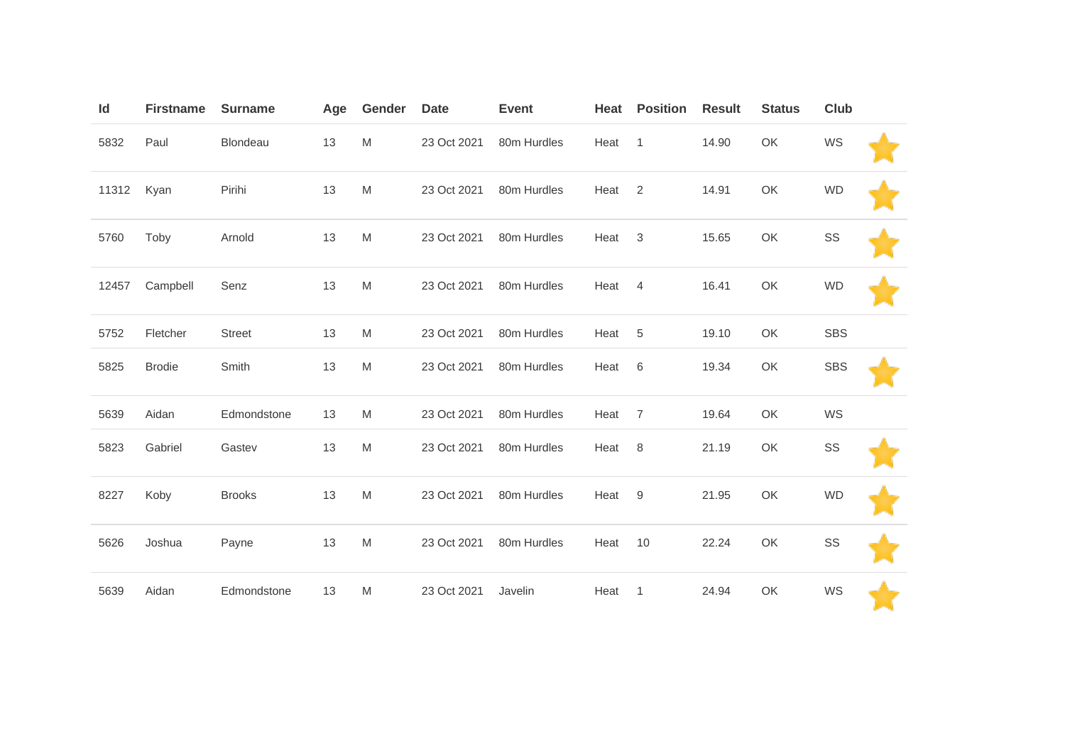| Id    | <b>Firstname</b> | <b>Surname</b> | Age | Gender    | <b>Date</b> | <b>Event</b> | Heat | <b>Position</b> | <b>Result</b> | <b>Status</b> | Club       |  |
|-------|------------------|----------------|-----|-----------|-------------|--------------|------|-----------------|---------------|---------------|------------|--|
| 5832  | Paul             | Blondeau       | 13  | ${\sf M}$ | 23 Oct 2021 | 80m Hurdles  | Heat | $\mathbf{1}$    | 14.90         | OK            | WS         |  |
| 11312 | Kyan             | Pirihi         | 13  | M         | 23 Oct 2021 | 80m Hurdles  | Heat | 2               | 14.91         | OK            | <b>WD</b>  |  |
| 5760  | Toby             | Arnold         | 13  | M         | 23 Oct 2021 | 80m Hurdles  | Heat | 3               | 15.65         | OK            | SS         |  |
| 12457 | Campbell         | Senz           | 13  | M         | 23 Oct 2021 | 80m Hurdles  | Heat | $\overline{4}$  | 16.41         | OK            | <b>WD</b>  |  |
| 5752  | Fletcher         | <b>Street</b>  | 13  | M         | 23 Oct 2021 | 80m Hurdles  | Heat | 5               | 19.10         | OK            | <b>SBS</b> |  |
| 5825  | <b>Brodie</b>    | Smith          | 13  | M         | 23 Oct 2021 | 80m Hurdles  | Heat | 6               | 19.34         | OK            | <b>SBS</b> |  |
| 5639  | Aidan            | Edmondstone    | 13  | M         | 23 Oct 2021 | 80m Hurdles  | Heat | 7               | 19.64         | OK            | WS         |  |
| 5823  | Gabriel          | Gastev         | 13  | M         | 23 Oct 2021 | 80m Hurdles  | Heat | 8               | 21.19         | OK            | SS         |  |
| 8227  | Koby             | <b>Brooks</b>  | 13  | M         | 23 Oct 2021 | 80m Hurdles  | Heat | 9               | 21.95         | OK            | <b>WD</b>  |  |
| 5626  | Joshua           | Payne          | 13  | ${\sf M}$ | 23 Oct 2021 | 80m Hurdles  | Heat | 10              | 22.24         | OK            | SS         |  |
| 5639  | Aidan            | Edmondstone    | 13  | M         | 23 Oct 2021 | Javelin      | Heat | $\mathbf{1}$    | 24.94         | OK            | WS         |  |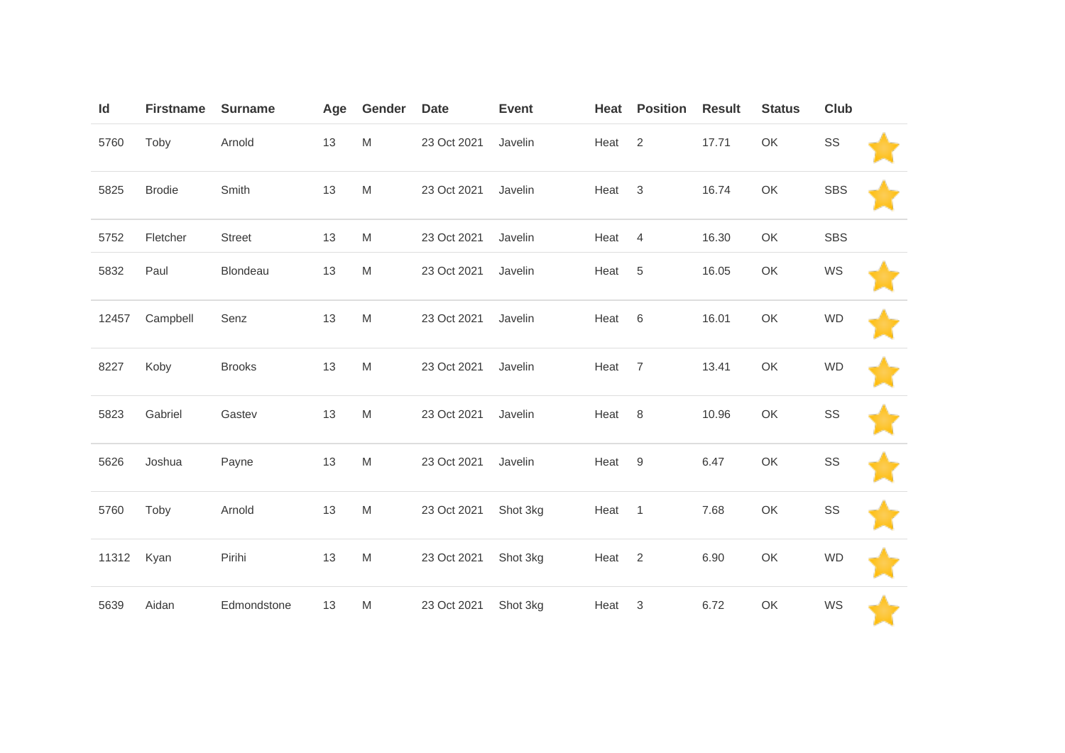| Id    | <b>Firstname</b> | <b>Surname</b> | Age | Gender    | <b>Date</b> | <b>Event</b> | Heat | <b>Position</b> | <b>Result</b> | <b>Status</b> | Club       |  |
|-------|------------------|----------------|-----|-----------|-------------|--------------|------|-----------------|---------------|---------------|------------|--|
| 5760  | Toby             | Arnold         | 13  | M         | 23 Oct 2021 | Javelin      | Heat | 2               | 17.71         | OK            | SS         |  |
| 5825  | <b>Brodie</b>    | Smith          | 13  | ${\sf M}$ | 23 Oct 2021 | Javelin      | Heat | $\mathbf{3}$    | 16.74         | OK            | <b>SBS</b> |  |
| 5752  | Fletcher         | <b>Street</b>  | 13  | M         | 23 Oct 2021 | Javelin      | Heat | $\overline{4}$  | 16.30         | OK            | <b>SBS</b> |  |
| 5832  | Paul             | Blondeau       | 13  | ${\sf M}$ | 23 Oct 2021 | Javelin      | Heat | 5               | 16.05         | OK            | WS         |  |
| 12457 | Campbell         | Senz           | 13  | M         | 23 Oct 2021 | Javelin      | Heat | 6               | 16.01         | OK            | <b>WD</b>  |  |
| 8227  | Koby             | <b>Brooks</b>  | 13  | ${\sf M}$ | 23 Oct 2021 | Javelin      | Heat | $\overline{7}$  | 13.41         | OK            | <b>WD</b>  |  |
| 5823  | Gabriel          | Gastev         | 13  | ${\sf M}$ | 23 Oct 2021 | Javelin      | Heat | 8               | 10.96         | OK            | SS         |  |
| 5626  | Joshua           | Payne          | 13  | ${\sf M}$ | 23 Oct 2021 | Javelin      | Heat | $9\,$           | 6.47          | OK            | SS         |  |
| 5760  | Toby             | Arnold         | 13  | ${\sf M}$ | 23 Oct 2021 | Shot 3kg     | Heat | $\mathbf{1}$    | 7.68          | OK            | SS         |  |
| 11312 | Kyan             | Pirihi         | 13  | ${\sf M}$ | 23 Oct 2021 | Shot 3kg     | Heat | 2               | 6.90          | OK            | <b>WD</b>  |  |
| 5639  | Aidan            | Edmondstone    | 13  | M         | 23 Oct 2021 | Shot 3kg     | Heat | $\sqrt{3}$      | 6.72          | OK            | WS         |  |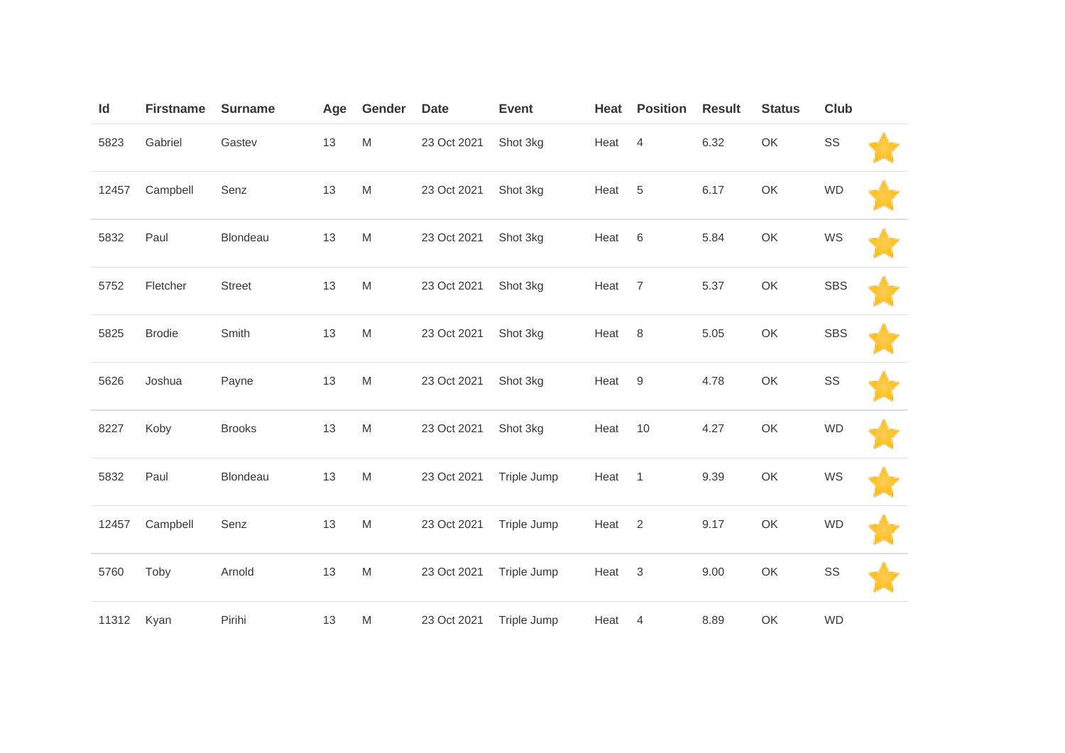| Id    | <b>Firstname</b> | <b>Surname</b> | Age | Gender                                                                                                     | <b>Date</b> | <b>Event</b> | Heat | <b>Position</b> | <b>Result</b> | <b>Status</b> | <b>Club</b> |  |
|-------|------------------|----------------|-----|------------------------------------------------------------------------------------------------------------|-------------|--------------|------|-----------------|---------------|---------------|-------------|--|
| 5823  | Gabriel          | Gastev         | 13  | $\mathsf{M}% _{T}=\mathsf{M}_{T}\!\left( a,b\right) ,\ \mathsf{M}_{T}=\mathsf{M}_{T}\!\left( a,b\right) ,$ | 23 Oct 2021 | Shot 3kg     | Heat | $\overline{4}$  | 6.32          | OK            | SS          |  |
| 12457 | Campbell         | Senz           | 13  | ${\sf M}$                                                                                                  | 23 Oct 2021 | Shot 3kg     | Heat | $\,$ 5 $\,$     | 6.17          | OK            | <b>WD</b>   |  |
| 5832  | Paul             | Blondeau       | 13  | M                                                                                                          | 23 Oct 2021 | Shot 3kg     | Heat | $\,6$           | 5.84          | OK            | WS          |  |
| 5752  | Fletcher         | Street         | 13  | ${\sf M}$                                                                                                  | 23 Oct 2021 | Shot 3kg     | Heat | $\overline{7}$  | 5.37          | OK            | <b>SBS</b>  |  |
| 5825  | <b>Brodie</b>    | Smith          | 13  | ${\sf M}$                                                                                                  | 23 Oct 2021 | Shot 3kg     | Heat | 8               | 5.05          | OK            | <b>SBS</b>  |  |
| 5626  | Joshua           | Payne          | 13  | M                                                                                                          | 23 Oct 2021 | Shot 3kg     | Heat | $9\,$           | 4.78          | OK            | SS          |  |
| 8227  | Koby             | <b>Brooks</b>  | 13  | ${\sf M}$                                                                                                  | 23 Oct 2021 | Shot 3kg     | Heat | 10              | 4.27          | OK            | <b>WD</b>   |  |
| 5832  | Paul             | Blondeau       | 13  | M                                                                                                          | 23 Oct 2021 | Triple Jump  | Heat | $\mathbf{1}$    | 9.39          | OK            | WS          |  |
| 12457 | Campbell         | Senz           | 13  | ${\sf M}$                                                                                                  | 23 Oct 2021 | Triple Jump  | Heat | $\overline{2}$  | 9.17          | OK            | <b>WD</b>   |  |
| 5760  | Toby             | Arnold         | 13  | ${\sf M}$                                                                                                  | 23 Oct 2021 | Triple Jump  | Heat | $\mathbf{3}$    | 9.00          | OK            | SS          |  |
| 11312 | Kyan             | Pirihi         | 13  | M                                                                                                          | 23 Oct 2021 | Triple Jump  | Heat | $\overline{4}$  | 8.89          | OK            | <b>WD</b>   |  |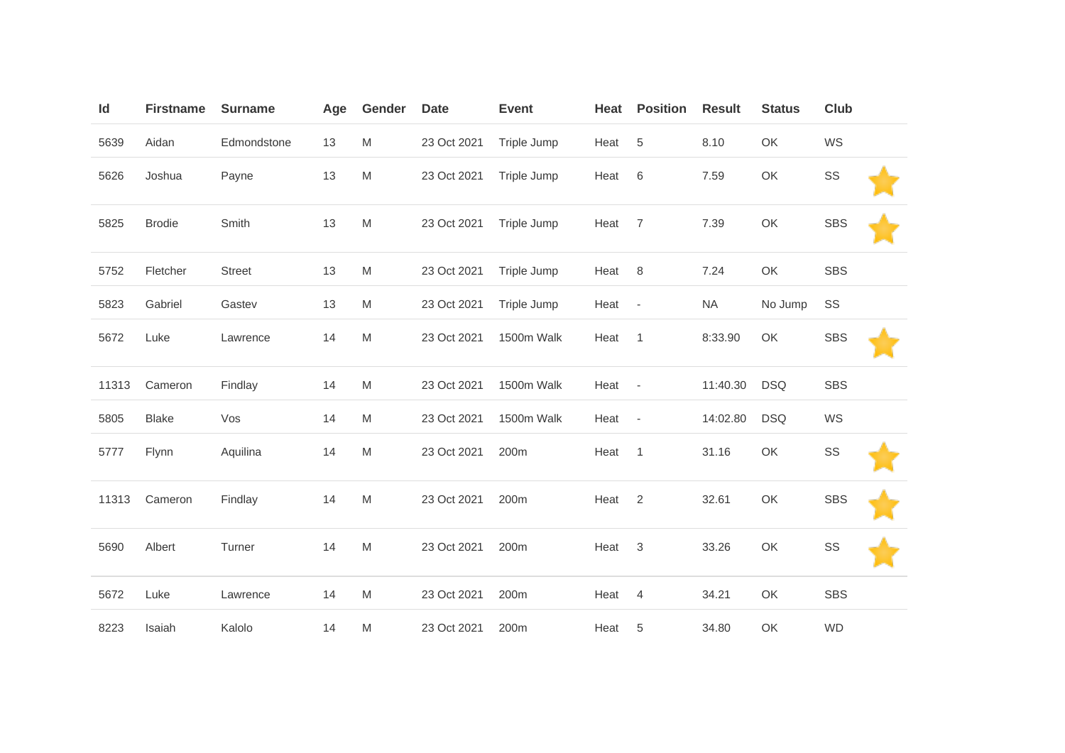| Id    | <b>Firstname</b> | <b>Surname</b> | Age | Gender    | <b>Date</b> | <b>Event</b> | Heat   | <b>Position</b>          | <b>Result</b> | <b>Status</b> | <b>Club</b> |  |
|-------|------------------|----------------|-----|-----------|-------------|--------------|--------|--------------------------|---------------|---------------|-------------|--|
| 5639  | Aidan            | Edmondstone    | 13  | M         | 23 Oct 2021 | Triple Jump  | Heat   | $\,$ 5 $\,$              | 8.10          | OK            | WS          |  |
| 5626  | Joshua           | Payne          | 13  | ${\sf M}$ | 23 Oct 2021 | Triple Jump  | Heat   | $\,6$                    | 7.59          | OK            | SS          |  |
| 5825  | <b>Brodie</b>    | Smith          | 13  | ${\sf M}$ | 23 Oct 2021 | Triple Jump  | Heat   | $\overline{7}$           | 7.39          | OK            | <b>SBS</b>  |  |
| 5752  | Fletcher         | <b>Street</b>  | 13  | M         | 23 Oct 2021 | Triple Jump  | Heat   | 8                        | 7.24          | OK            | <b>SBS</b>  |  |
| 5823  | Gabriel          | Gastev         | 13  | M         | 23 Oct 2021 | Triple Jump  | Heat   | $\overline{\phantom{a}}$ | <b>NA</b>     | No Jump       | SS          |  |
| 5672  | Luke             | Lawrence       | 14  | ${\sf M}$ | 23 Oct 2021 | 1500m Walk   | Heat   | $\overline{1}$           | 8:33.90       | OK            | <b>SBS</b>  |  |
| 11313 | Cameron          | Findlay        | 14  | M         | 23 Oct 2021 | 1500m Walk   | Heat - |                          | 11:40.30      | <b>DSQ</b>    | <b>SBS</b>  |  |
| 5805  | <b>Blake</b>     | Vos            | 14  | ${\sf M}$ | 23 Oct 2021 | 1500m Walk   | Heat   | $\overline{\phantom{a}}$ | 14:02.80      | <b>DSQ</b>    | WS          |  |
| 5777  | Flynn            | Aquilina       | 14  | ${\sf M}$ | 23 Oct 2021 | 200m         | Heat   | $\mathbf{1}$             | 31.16         | OK            | SS          |  |
| 11313 | Cameron          | Findlay        | 14  | M         | 23 Oct 2021 | 200m         | Heat   | 2                        | 32.61         | OK            | <b>SBS</b>  |  |
| 5690  | Albert           | Turner         | 14  | ${\sf M}$ | 23 Oct 2021 | 200m         | Heat   | $\mathbf{3}$             | 33.26         | OK            | $\text{SS}$ |  |
| 5672  | Luke             | Lawrence       | 14  | M         | 23 Oct 2021 | 200m         | Heat   | $\overline{4}$           | 34.21         | OK            | <b>SBS</b>  |  |
| 8223  | Isaiah           | Kalolo         | 14  | M         | 23 Oct 2021 | 200m         | Heat   | 5                        | 34.80         | OK            | <b>WD</b>   |  |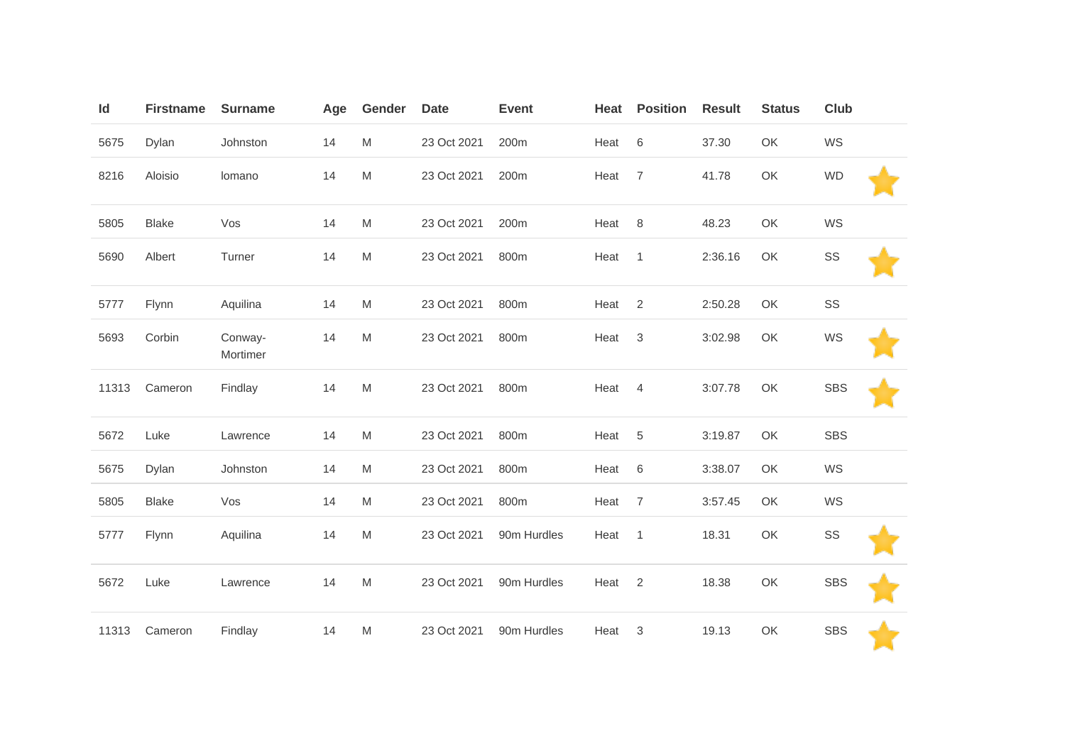| Id    | <b>Firstname</b> | <b>Surname</b>      | Age | Gender    | <b>Date</b> | <b>Event</b> | Heat | <b>Position</b> | <b>Result</b> | <b>Status</b> | <b>Club</b> |  |
|-------|------------------|---------------------|-----|-----------|-------------|--------------|------|-----------------|---------------|---------------|-------------|--|
| 5675  | Dylan            | Johnston            | 14  | M         | 23 Oct 2021 | 200m         | Heat | 6               | 37.30         | OK            | WS          |  |
| 8216  | Aloisio          | lomano              | 14  | ${\sf M}$ | 23 Oct 2021 | 200m         | Heat | $\overline{7}$  | 41.78         | OK            | <b>WD</b>   |  |
| 5805  | <b>Blake</b>     | Vos                 | 14  | ${\sf M}$ | 23 Oct 2021 | 200m         | Heat | 8               | 48.23         | OK            | WS          |  |
| 5690  | Albert           | Turner              | 14  | ${\sf M}$ | 23 Oct 2021 | 800m         | Heat | $\mathbf{1}$    | 2:36.16       | OK            | SS          |  |
| 5777  | Flynn            | Aquilina            | 14  | M         | 23 Oct 2021 | 800m         | Heat | 2               | 2:50.28       | OK            | SS          |  |
| 5693  | Corbin           | Conway-<br>Mortimer | 14  | ${\sf M}$ | 23 Oct 2021 | 800m         | Heat | $\mathbf{3}$    | 3:02.98       | OK            | WS          |  |
| 11313 | Cameron          | Findlay             | 14  | ${\sf M}$ | 23 Oct 2021 | 800m         | Heat | 4               | 3:07.78       | OK            | <b>SBS</b>  |  |
| 5672  | Luke             | Lawrence            | 14  | ${\sf M}$ | 23 Oct 2021 | 800m         | Heat | $\,$ 5 $\,$     | 3:19.87       | OK            | <b>SBS</b>  |  |
| 5675  | Dylan            | Johnston            | 14  | M         | 23 Oct 2021 | 800m         | Heat | 6               | 3:38.07       | OK            | WS          |  |
| 5805  | <b>Blake</b>     | Vos                 | 14  | ${\sf M}$ | 23 Oct 2021 | 800m         | Heat | $\overline{7}$  | 3:57.45       | OK            | WS          |  |
| 5777  | Flynn            | Aquilina            | 14  | ${\sf M}$ | 23 Oct 2021 | 90m Hurdles  | Heat | $\mathbf{1}$    | 18.31         | OK            | SS          |  |
| 5672  | Luke             | Lawrence            | 14  | M         | 23 Oct 2021 | 90m Hurdles  | Heat | 2               | 18.38         | OK            | <b>SBS</b>  |  |
| 11313 | Cameron          | Findlay             | 14  | M         | 23 Oct 2021 | 90m Hurdles  | Heat | 3               | 19.13         | OK            | <b>SBS</b>  |  |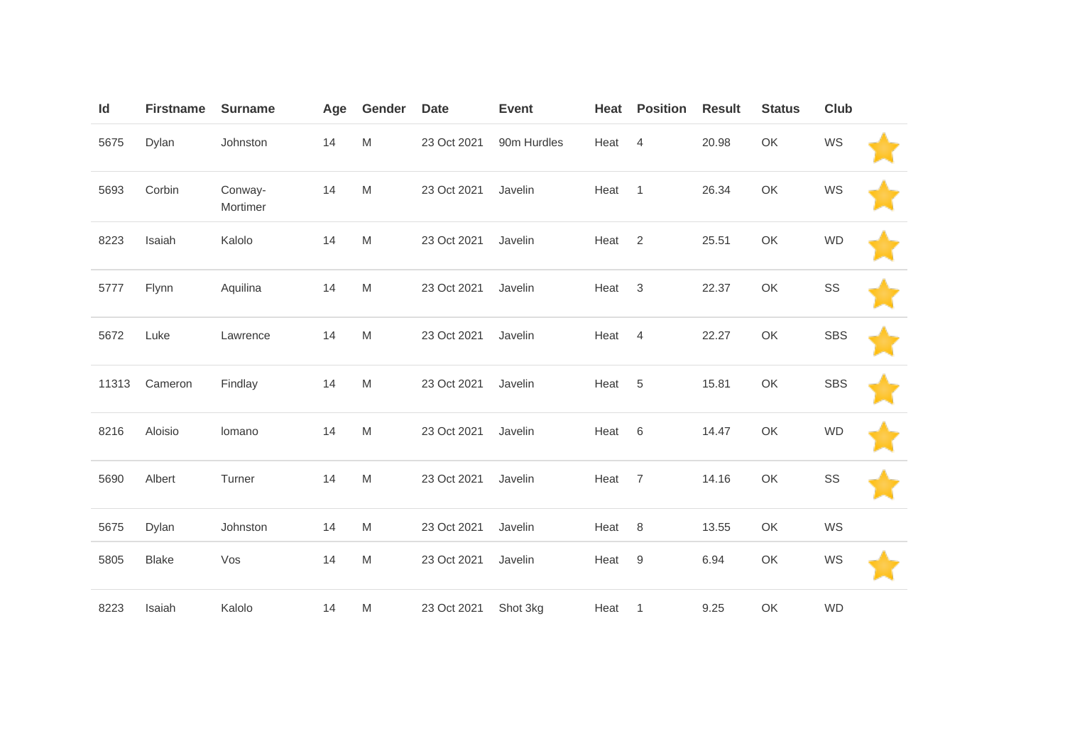| Id    | <b>Firstname</b> | <b>Surname</b>      | Age | Gender    | <b>Date</b> | <b>Event</b> | Heat | <b>Position</b>  | <b>Result</b> | <b>Status</b> | <b>Club</b> |  |
|-------|------------------|---------------------|-----|-----------|-------------|--------------|------|------------------|---------------|---------------|-------------|--|
| 5675  | Dylan            | Johnston            | 14  | ${\sf M}$ | 23 Oct 2021 | 90m Hurdles  | Heat | $\overline{4}$   | 20.98         | OK            | WS          |  |
| 5693  | Corbin           | Conway-<br>Mortimer | 14  | ${\sf M}$ | 23 Oct 2021 | Javelin      | Heat | $\mathbf{1}$     | 26.34         | OK            | WS          |  |
| 8223  | Isaiah           | Kalolo              | 14  | ${\sf M}$ | 23 Oct 2021 | Javelin      | Heat | $\overline{2}$   | 25.51         | OK            | <b>WD</b>   |  |
| 5777  | Flynn            | Aquilina            | 14  | ${\sf M}$ | 23 Oct 2021 | Javelin      | Heat | 3                | 22.37         | OK            | SS          |  |
| 5672  | Luke             | Lawrence            | 14  | ${\sf M}$ | 23 Oct 2021 | Javelin      | Heat | $\overline{4}$   | 22.27         | OK            | <b>SBS</b>  |  |
| 11313 | Cameron          | Findlay             | 14  | ${\sf M}$ | 23 Oct 2021 | Javelin      | Heat | 5                | 15.81         | OK            | <b>SBS</b>  |  |
| 8216  | Aloisio          | lomano              | 14  | M         | 23 Oct 2021 | Javelin      | Heat | 6                | 14.47         | OK            | <b>WD</b>   |  |
| 5690  | Albert           | Turner              | 14  | ${\sf M}$ | 23 Oct 2021 | Javelin      | Heat | $\overline{7}$   | 14.16         | OK            | SS          |  |
| 5675  | Dylan            | Johnston            | 14  | ${\sf M}$ | 23 Oct 2021 | Javelin      | Heat | 8                | 13.55         | OK            | WS          |  |
| 5805  | <b>Blake</b>     | Vos                 | 14  | ${\sf M}$ | 23 Oct 2021 | Javelin      | Heat | $\boldsymbol{9}$ | 6.94          | OK            | WS          |  |
| 8223  | Isaiah           | Kalolo              | 14  | M         | 23 Oct 2021 | Shot 3kg     | Heat | $\overline{1}$   | 9.25          | OK            | <b>WD</b>   |  |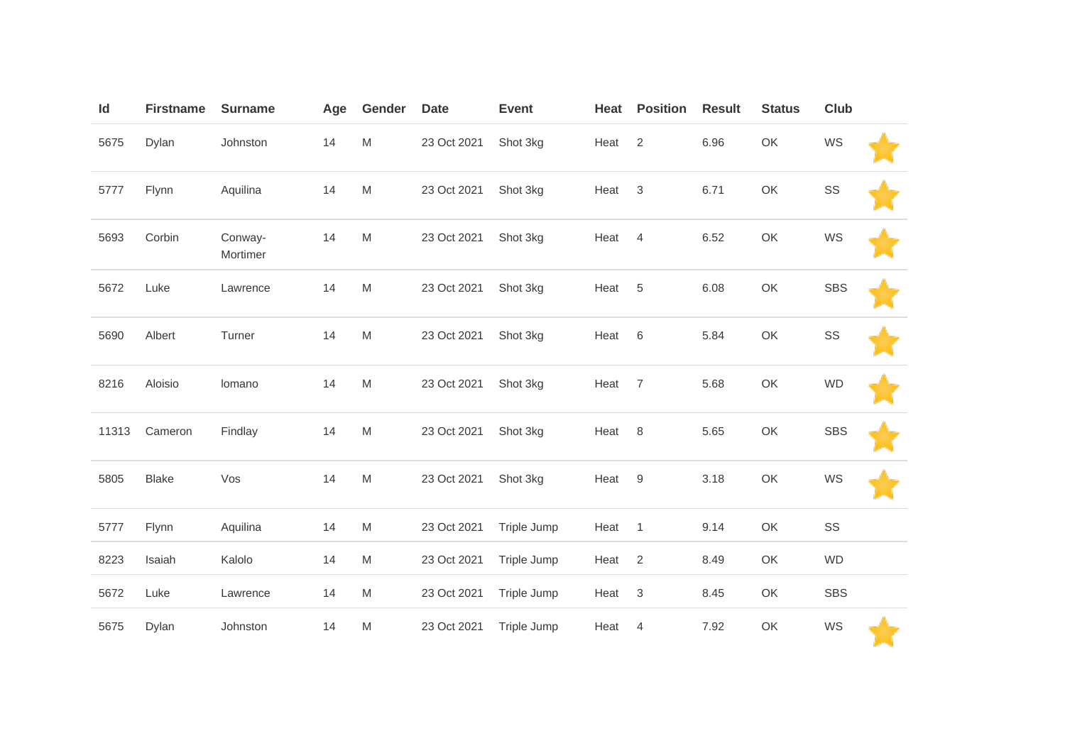| Id    | <b>Firstname</b> | <b>Surname</b>      | Age | Gender    | <b>Date</b> | <b>Event</b> | Heat | <b>Position</b>           | <b>Result</b> | <b>Status</b> | <b>Club</b> |  |
|-------|------------------|---------------------|-----|-----------|-------------|--------------|------|---------------------------|---------------|---------------|-------------|--|
| 5675  | Dylan            | Johnston            | 14  | ${\sf M}$ | 23 Oct 2021 | Shot 3kg     | Heat | $\mathbf{2}$              | 6.96          | OK            | WS          |  |
| 5777  | Flynn            | Aquilina            | 14  | ${\sf M}$ | 23 Oct 2021 | Shot 3kg     | Heat | $\ensuremath{\mathsf{3}}$ | 6.71          | OK            | SS          |  |
| 5693  | Corbin           | Conway-<br>Mortimer | 14  | ${\sf M}$ | 23 Oct 2021 | Shot 3kg     | Heat | $\overline{4}$            | 6.52          | OK            | WS          |  |
| 5672  | Luke             | Lawrence            | 14  | ${\sf M}$ | 23 Oct 2021 | Shot 3kg     | Heat | $\,$ 5 $\,$               | 6.08          | OK            | <b>SBS</b>  |  |
| 5690  | Albert           | Turner              | 14  | ${\sf M}$ | 23 Oct 2021 | Shot 3kg     | Heat | 6                         | 5.84          | OK            | SS          |  |
| 8216  | Aloisio          | lomano              | 14  | ${\sf M}$ | 23 Oct 2021 | Shot 3kg     | Heat | $\overline{7}$            | 5.68          | OK            | <b>WD</b>   |  |
| 11313 | Cameron          | Findlay             | 14  | ${\sf M}$ | 23 Oct 2021 | Shot 3kg     | Heat | 8                         | 5.65          | OK            | <b>SBS</b>  |  |
| 5805  | <b>Blake</b>     | Vos                 | 14  | ${\sf M}$ | 23 Oct 2021 | Shot 3kg     | Heat | $9\,$                     | 3.18          | OK            | WS          |  |
| 5777  | Flynn            | Aquilina            | 14  | ${\sf M}$ | 23 Oct 2021 | Triple Jump  | Heat | $\mathbf{1}$              | 9.14          | OK            | SS          |  |
| 8223  | Isaiah           | Kalolo              | 14  | ${\sf M}$ | 23 Oct 2021 | Triple Jump  | Heat | $\overline{2}$            | 8.49          | OK            | <b>WD</b>   |  |
| 5672  | Luke             | Lawrence            | 14  | M         | 23 Oct 2021 | Triple Jump  | Heat | $\sqrt{3}$                | 8.45          | OK            | <b>SBS</b>  |  |
| 5675  | Dylan            | Johnston            | 14  | ${\sf M}$ | 23 Oct 2021 | Triple Jump  | Heat | $\overline{4}$            | 7.92          | OK            | WS          |  |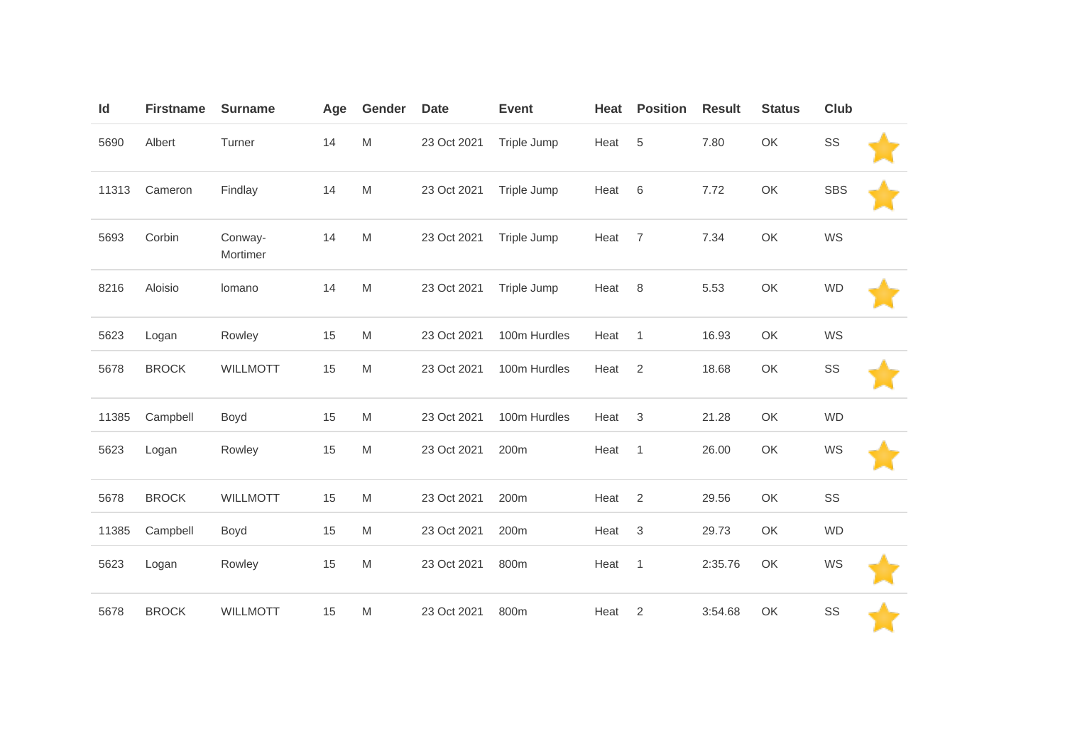| Id    | <b>Firstname</b> | <b>Surname</b>      | Age | Gender    | <b>Date</b> | <b>Event</b> | Heat | <b>Position</b>           | <b>Result</b> | <b>Status</b> | Club       |  |
|-------|------------------|---------------------|-----|-----------|-------------|--------------|------|---------------------------|---------------|---------------|------------|--|
| 5690  | Albert           | Turner              | 14  | M         | 23 Oct 2021 | Triple Jump  | Heat | $\overline{5}$            | 7.80          | OK            | SS         |  |
| 11313 | Cameron          | Findlay             | 14  | ${\sf M}$ | 23 Oct 2021 | Triple Jump  | Heat | 6                         | 7.72          | OK            | <b>SBS</b> |  |
| 5693  | Corbin           | Conway-<br>Mortimer | 14  | M         | 23 Oct 2021 | Triple Jump  | Heat | $\overline{7}$            | 7.34          | OK            | WS         |  |
| 8216  | Aloisio          | lomano              | 14  | M         | 23 Oct 2021 | Triple Jump  | Heat | 8                         | 5.53          | OK            | <b>WD</b>  |  |
| 5623  | Logan            | Rowley              | 15  | M         | 23 Oct 2021 | 100m Hurdles | Heat | $\overline{1}$            | 16.93         | OK            | WS         |  |
| 5678  | <b>BROCK</b>     | <b>WILLMOTT</b>     | 15  | M         | 23 Oct 2021 | 100m Hurdles | Heat | $\overline{2}$            | 18.68         | OK            | SS         |  |
| 11385 | Campbell         | Boyd                | 15  | M         | 23 Oct 2021 | 100m Hurdles | Heat | $\ensuremath{\mathsf{3}}$ | 21.28         | OK            | <b>WD</b>  |  |
| 5623  | Logan            | Rowley              | 15  | M         | 23 Oct 2021 | 200m         | Heat | $\overline{1}$            | 26.00         | OK            | WS         |  |
| 5678  | <b>BROCK</b>     | <b>WILLMOTT</b>     | 15  | M         | 23 Oct 2021 | 200m         | Heat | 2                         | 29.56         | OK            | SS         |  |
| 11385 | Campbell         | Boyd                | 15  | M         | 23 Oct 2021 | 200m         | Heat | $\ensuremath{\mathsf{3}}$ | 29.73         | OK            | <b>WD</b>  |  |
| 5623  | Logan            | Rowley              | 15  | M         | 23 Oct 2021 | 800m         | Heat | $\mathbf{1}$              | 2:35.76       | OK            | WS         |  |
| 5678  | <b>BROCK</b>     | <b>WILLMOTT</b>     | 15  | M         | 23 Oct 2021 | 800m         | Heat | $\overline{2}$            | 3:54.68       | OK            | SS         |  |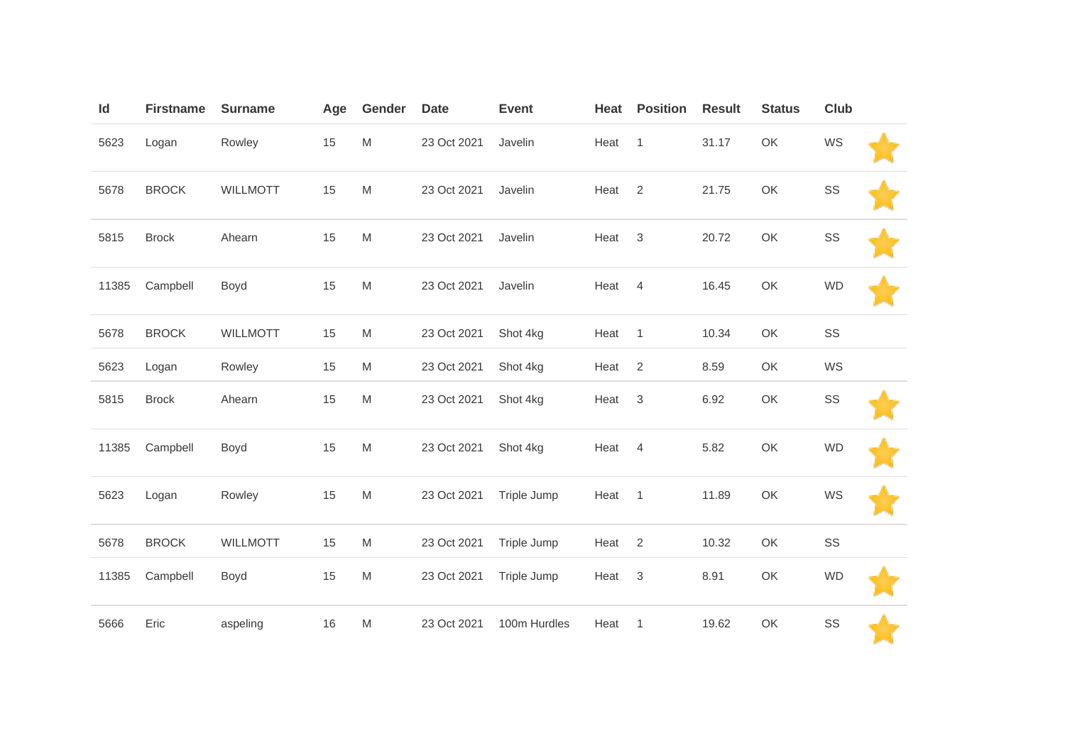| Id    | <b>Firstname</b> | <b>Surname</b>  | Age | Gender    | <b>Date</b> | <b>Event</b> | Heat | <b>Position</b>           | <b>Result</b> | <b>Status</b> | Club      |  |
|-------|------------------|-----------------|-----|-----------|-------------|--------------|------|---------------------------|---------------|---------------|-----------|--|
| 5623  | Logan            | Rowley          | 15  | ${\sf M}$ | 23 Oct 2021 | Javelin      | Heat | $\mathbf{1}$              | 31.17         | OK            | WS        |  |
| 5678  | <b>BROCK</b>     | <b>WILLMOTT</b> | 15  | ${\sf M}$ | 23 Oct 2021 | Javelin      | Heat | $\overline{2}$            | 21.75         | OK            | SS        |  |
| 5815  | <b>Brock</b>     | Ahearn          | 15  | M         | 23 Oct 2021 | Javelin      | Heat | 3                         | 20.72         | OK            | SS        |  |
| 11385 | Campbell         | Boyd            | 15  | ${\sf M}$ | 23 Oct 2021 | Javelin      | Heat | $\overline{4}$            | 16.45         | OK            | <b>WD</b> |  |
| 5678  | <b>BROCK</b>     | <b>WILLMOTT</b> | 15  | ${\sf M}$ | 23 Oct 2021 | Shot 4kg     | Heat | $\mathbf{1}$              | 10.34         | OK            | SS        |  |
| 5623  | Logan            | Rowley          | 15  | M         | 23 Oct 2021 | Shot 4kg     | Heat | $\overline{2}$            | 8.59          | OK            | WS        |  |
| 5815  | <b>Brock</b>     | Ahearn          | 15  | M         | 23 Oct 2021 | Shot 4kg     | Heat | $\mathfrak{Z}$            | 6.92          | OK            | SS        |  |
| 11385 | Campbell         | Boyd            | 15  | M         | 23 Oct 2021 | Shot 4kg     | Heat | $\overline{4}$            | 5.82          | OK            | <b>WD</b> |  |
| 5623  | Logan            | Rowley          | 15  | M         | 23 Oct 2021 | Triple Jump  | Heat | $\mathbf{1}$              | 11.89         | OK            | WS        |  |
| 5678  | <b>BROCK</b>     | <b>WILLMOTT</b> | 15  | M         | 23 Oct 2021 | Triple Jump  | Heat | $\overline{2}$            | 10.32         | OK            | SS        |  |
| 11385 | Campbell         | Boyd            | 15  | ${\sf M}$ | 23 Oct 2021 | Triple Jump  | Heat | $\ensuremath{\mathsf{3}}$ | 8.91          | OK            | <b>WD</b> |  |
| 5666  | Eric             | aspeling        | 16  | ${\sf M}$ | 23 Oct 2021 | 100m Hurdles | Heat | $\overline{1}$            | 19.62         | OK            | SS        |  |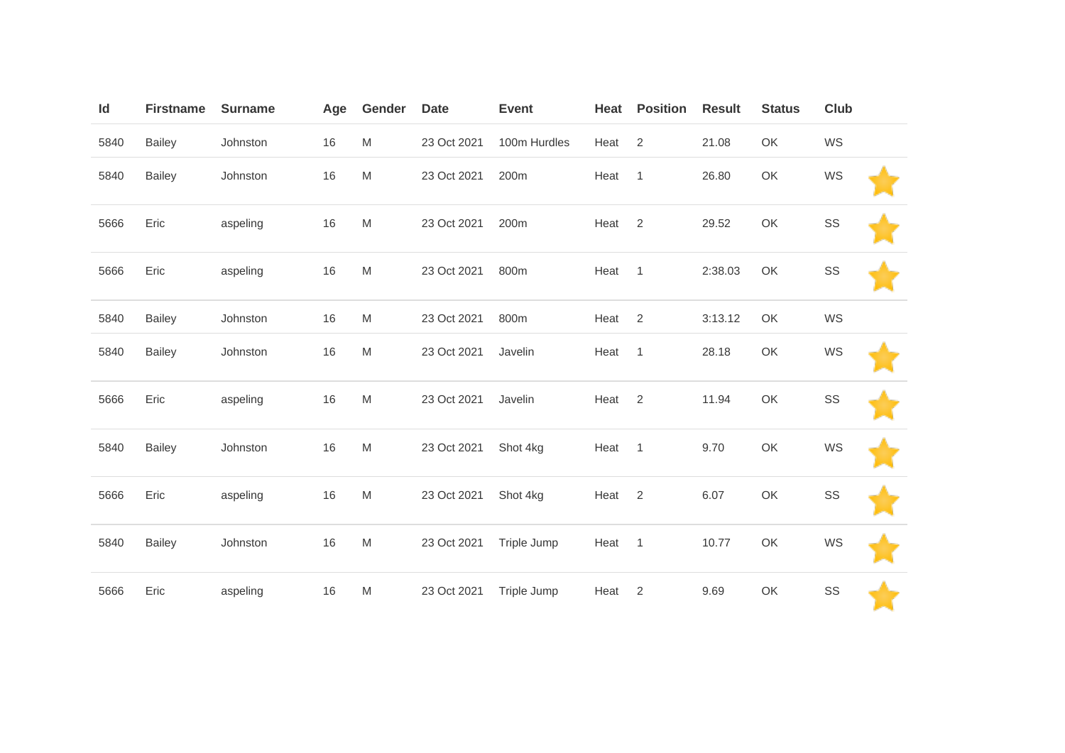| Id   | <b>Firstname</b> | <b>Surname</b> | Age | Gender | <b>Date</b> | <b>Event</b> | Heat | <b>Position</b> | <b>Result</b> | <b>Status</b> | <b>Club</b> |  |
|------|------------------|----------------|-----|--------|-------------|--------------|------|-----------------|---------------|---------------|-------------|--|
| 5840 | <b>Bailey</b>    | Johnston       | 16  | M      | 23 Oct 2021 | 100m Hurdles | Heat | 2               | 21.08         | OK            | WS          |  |
| 5840 | <b>Bailey</b>    | Johnston       | 16  | M      | 23 Oct 2021 | 200m         | Heat | $\overline{1}$  | 26.80         | OK            | WS          |  |
| 5666 | Eric             | aspeling       | 16  | M      | 23 Oct 2021 | 200m         | Heat | 2               | 29.52         | OK            | SS          |  |
| 5666 | Eric             | aspeling       | 16  | M      | 23 Oct 2021 | 800m         | Heat | $\overline{1}$  | 2:38.03       | OK            | SS          |  |
| 5840 | <b>Bailey</b>    | Johnston       | 16  | M      | 23 Oct 2021 | 800m         | Heat | 2               | 3:13.12       | OK            | WS          |  |
| 5840 | <b>Bailey</b>    | Johnston       | 16  | M      | 23 Oct 2021 | Javelin      | Heat | $\mathbf{1}$    | 28.18         | OK            | WS          |  |
| 5666 | Eric             | aspeling       | 16  | M      | 23 Oct 2021 | Javelin      | Heat | 2               | 11.94         | OK            | SS          |  |
| 5840 | <b>Bailey</b>    | Johnston       | 16  | M      | 23 Oct 2021 | Shot 4kg     | Heat | $\overline{1}$  | 9.70          | OK            | WS          |  |
| 5666 | Eric             | aspeling       | 16  | M      | 23 Oct 2021 | Shot 4kg     | Heat | $\overline{2}$  | 6.07          | OK            | SS          |  |
| 5840 | <b>Bailey</b>    | Johnston       | 16  | M      | 23 Oct 2021 | Triple Jump  | Heat | $\overline{1}$  | 10.77         | OK            | WS          |  |
| 5666 | Eric             | aspeling       | 16  | M      | 23 Oct 2021 | Triple Jump  | Heat | 2               | 9.69          | OK            | SS          |  |